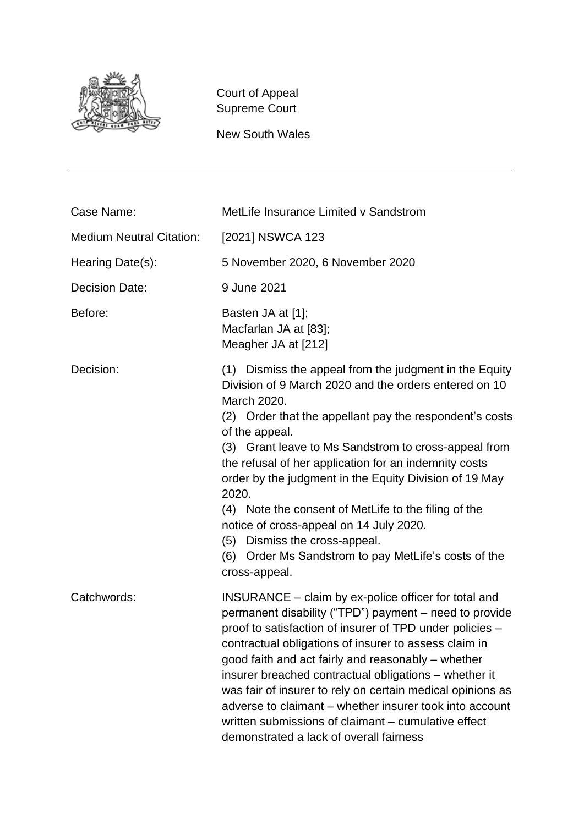

Court of Appeal Supreme Court

New South Wales

| Case Name:                      | MetLife Insurance Limited v Sandstrom                                                                                                                                                                                                                                                                                                                                                                                                                                                                                                                                                          |
|---------------------------------|------------------------------------------------------------------------------------------------------------------------------------------------------------------------------------------------------------------------------------------------------------------------------------------------------------------------------------------------------------------------------------------------------------------------------------------------------------------------------------------------------------------------------------------------------------------------------------------------|
| <b>Medium Neutral Citation:</b> | [2021] NSWCA 123                                                                                                                                                                                                                                                                                                                                                                                                                                                                                                                                                                               |
| Hearing Date(s):                | 5 November 2020, 6 November 2020                                                                                                                                                                                                                                                                                                                                                                                                                                                                                                                                                               |
| <b>Decision Date:</b>           | 9 June 2021                                                                                                                                                                                                                                                                                                                                                                                                                                                                                                                                                                                    |
| Before:                         | Basten JA at [1];<br>Macfarlan JA at [83];<br>Meagher JA at [212]                                                                                                                                                                                                                                                                                                                                                                                                                                                                                                                              |
| Decision:                       | (1) Dismiss the appeal from the judgment in the Equity<br>Division of 9 March 2020 and the orders entered on 10<br>March 2020.<br>(2) Order that the appellant pay the respondent's costs<br>of the appeal.<br>(3) Grant leave to Ms Sandstrom to cross-appeal from<br>the refusal of her application for an indemnity costs<br>order by the judgment in the Equity Division of 19 May<br>2020.<br>(4) Note the consent of MetLife to the filing of the<br>notice of cross-appeal on 14 July 2020.<br>(5) Dismiss the cross-appeal.<br>(6) Order Ms Sandstrom to pay MetLife's costs of the    |
| Catchwords:                     | cross-appeal.<br>INSURANCE – claim by ex-police officer for total and<br>permanent disability ("TPD") payment - need to provide<br>proof to satisfaction of insurer of TPD under policies -<br>contractual obligations of insurer to assess claim in<br>good faith and act fairly and reasonably – whether<br>insurer breached contractual obligations – whether it<br>was fair of insurer to rely on certain medical opinions as<br>adverse to claimant – whether insurer took into account<br>written submissions of claimant – cumulative effect<br>demonstrated a lack of overall fairness |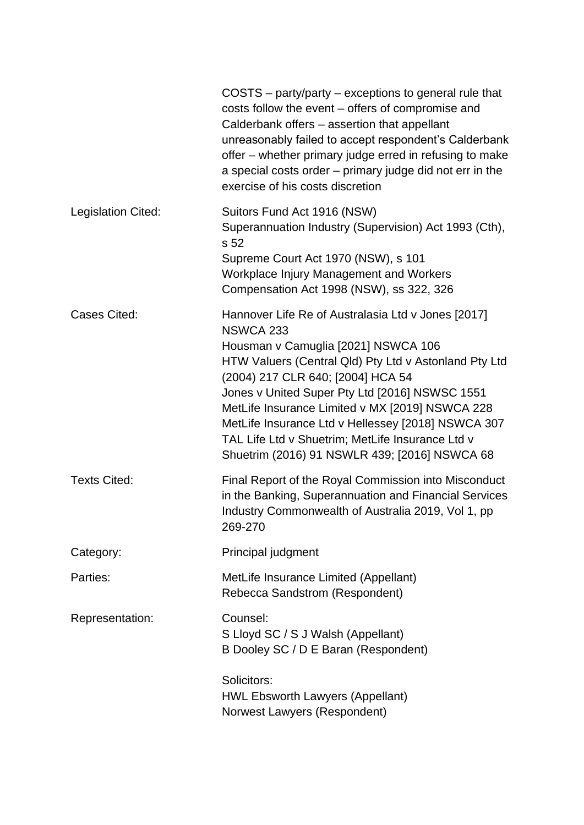|                     | COSTS – party/party – exceptions to general rule that<br>costs follow the event – offers of compromise and<br>Calderbank offers - assertion that appellant<br>unreasonably failed to accept respondent's Calderbank<br>offer - whether primary judge erred in refusing to make<br>a special costs order – primary judge did not err in the<br>exercise of his costs discretion                                                                                       |
|---------------------|----------------------------------------------------------------------------------------------------------------------------------------------------------------------------------------------------------------------------------------------------------------------------------------------------------------------------------------------------------------------------------------------------------------------------------------------------------------------|
| Legislation Cited:  | Suitors Fund Act 1916 (NSW)<br>Superannuation Industry (Supervision) Act 1993 (Cth),<br>s 52<br>Supreme Court Act 1970 (NSW), s 101<br>Workplace Injury Management and Workers<br>Compensation Act 1998 (NSW), ss 322, 326                                                                                                                                                                                                                                           |
| <b>Cases Cited:</b> | Hannover Life Re of Australasia Ltd v Jones [2017]<br>NSWCA 233<br>Housman v Camuglia [2021] NSWCA 106<br>HTW Valuers (Central Qld) Pty Ltd v Astonland Pty Ltd<br>(2004) 217 CLR 640; [2004] HCA 54<br>Jones v United Super Pty Ltd [2016] NSWSC 1551<br>MetLife Insurance Limited v MX [2019] NSWCA 228<br>MetLife Insurance Ltd v Hellessey [2018] NSWCA 307<br>TAL Life Ltd v Shuetrim; MetLife Insurance Ltd v<br>Shuetrim (2016) 91 NSWLR 439; [2016] NSWCA 68 |
| <b>Texts Cited:</b> | Final Report of the Royal Commission into Misconduct<br>in the Banking, Superannuation and Financial Services<br>Industry Commonwealth of Australia 2019, Vol 1, pp<br>269-270                                                                                                                                                                                                                                                                                       |
| Category:           | Principal judgment                                                                                                                                                                                                                                                                                                                                                                                                                                                   |
| Parties:            | MetLife Insurance Limited (Appellant)<br>Rebecca Sandstrom (Respondent)                                                                                                                                                                                                                                                                                                                                                                                              |
| Representation:     | Counsel:<br>S Lloyd SC / S J Walsh (Appellant)<br>B Dooley SC / D E Baran (Respondent)                                                                                                                                                                                                                                                                                                                                                                               |
|                     | Solicitors:<br><b>HWL Ebsworth Lawyers (Appellant)</b><br>Norwest Lawyers (Respondent)                                                                                                                                                                                                                                                                                                                                                                               |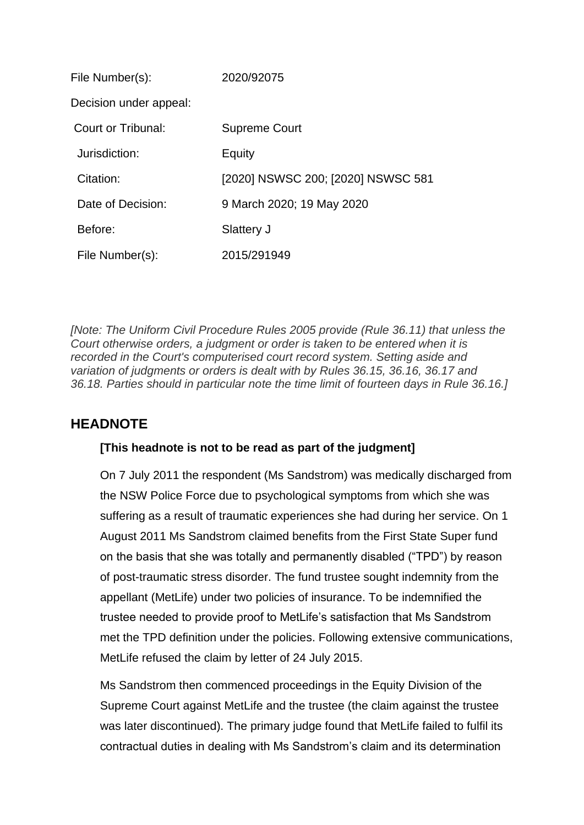| File Number(s):        | 2020/92075                         |
|------------------------|------------------------------------|
| Decision under appeal: |                                    |
| Court or Tribunal:     | <b>Supreme Court</b>               |
| Jurisdiction:          | Equity                             |
| Citation:              | [2020] NSWSC 200; [2020] NSWSC 581 |
| Date of Decision:      | 9 March 2020; 19 May 2020          |
| Before:                | Slattery J                         |
| File Number(s):        | 2015/291949                        |

*[Note: The Uniform Civil Procedure Rules 2005 provide (Rule 36.11) that unless the Court otherwise orders, a judgment or order is taken to be entered when it is recorded in the Court's computerised court record system. Setting aside and variation of judgments or orders is dealt with by Rules 36.15, 36.16, 36.17 and 36.18. Parties should in particular note the time limit of fourteen days in Rule 36.16.]*

# **HEADNOTE**

### **[This headnote is not to be read as part of the judgment]**

On 7 July 2011 the respondent (Ms Sandstrom) was medically discharged from the NSW Police Force due to psychological symptoms from which she was suffering as a result of traumatic experiences she had during her service. On 1 August 2011 Ms Sandstrom claimed benefits from the First State Super fund on the basis that she was totally and permanently disabled ("TPD") by reason of post-traumatic stress disorder. The fund trustee sought indemnity from the appellant (MetLife) under two policies of insurance. To be indemnified the trustee needed to provide proof to MetLife's satisfaction that Ms Sandstrom met the TPD definition under the policies. Following extensive communications, MetLife refused the claim by letter of 24 July 2015.

Ms Sandstrom then commenced proceedings in the Equity Division of the Supreme Court against MetLife and the trustee (the claim against the trustee was later discontinued). The primary judge found that MetLife failed to fulfil its contractual duties in dealing with Ms Sandstrom's claim and its determination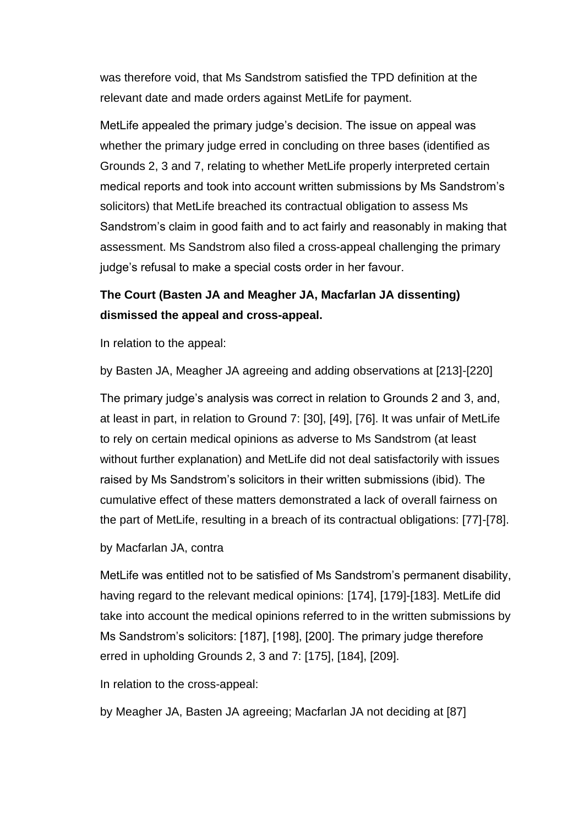was therefore void, that Ms Sandstrom satisfied the TPD definition at the relevant date and made orders against MetLife for payment.

MetLife appealed the primary judge's decision. The issue on appeal was whether the primary judge erred in concluding on three bases (identified as Grounds 2, 3 and 7, relating to whether MetLife properly interpreted certain medical reports and took into account written submissions by Ms Sandstrom's solicitors) that MetLife breached its contractual obligation to assess Ms Sandstrom's claim in good faith and to act fairly and reasonably in making that assessment. Ms Sandstrom also filed a cross-appeal challenging the primary judge's refusal to make a special costs order in her favour.

# **The Court (Basten JA and Meagher JA, Macfarlan JA dissenting) dismissed the appeal and cross-appeal.**

In relation to the appeal:

by Basten JA, Meagher JA agreeing and adding observations at [213]-[220]

The primary judge's analysis was correct in relation to Grounds 2 and 3, and, at least in part, in relation to Ground 7: [30], [49], [76]. It was unfair of MetLife to rely on certain medical opinions as adverse to Ms Sandstrom (at least without further explanation) and MetLife did not deal satisfactorily with issues raised by Ms Sandstrom's solicitors in their written submissions (ibid). The cumulative effect of these matters demonstrated a lack of overall fairness on the part of MetLife, resulting in a breach of its contractual obligations: [77]-[78].

### by Macfarlan JA, contra

MetLife was entitled not to be satisfied of Ms Sandstrom's permanent disability, having regard to the relevant medical opinions: [174], [179]-[183]. MetLife did take into account the medical opinions referred to in the written submissions by Ms Sandstrom's solicitors: [187], [198], [200]. The primary judge therefore erred in upholding Grounds 2, 3 and 7: [175], [184], [209].

In relation to the cross-appeal:

by Meagher JA, Basten JA agreeing; Macfarlan JA not deciding at [87]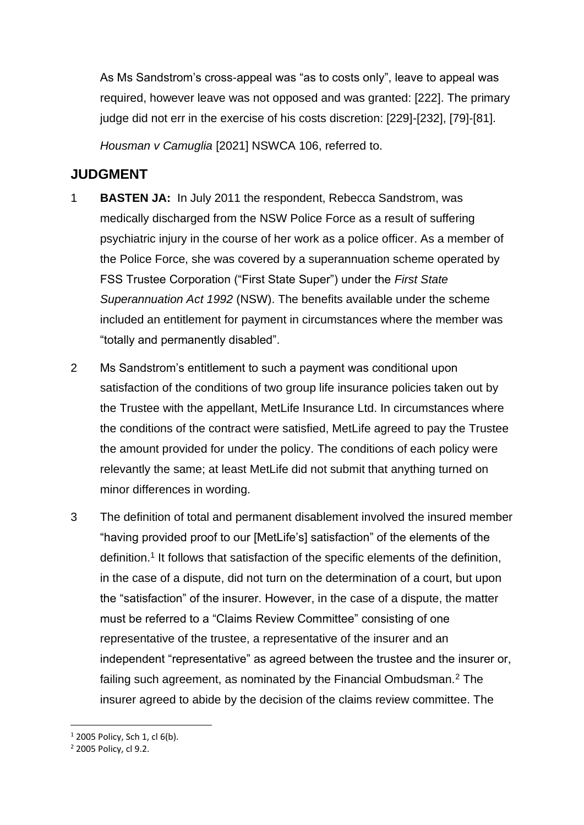As Ms Sandstrom's cross-appeal was "as to costs only", leave to appeal was required, however leave was not opposed and was granted: [222]. The primary judge did not err in the exercise of his costs discretion: [229]-[232], [79]-[81].

*Housman v Camuglia* [2021] NSWCA 106, referred to.

# **JUDGMENT**

- 1 **BASTEN JA:** In July 2011 the respondent, Rebecca Sandstrom, was medically discharged from the NSW Police Force as a result of suffering psychiatric injury in the course of her work as a police officer. As a member of the Police Force, she was covered by a superannuation scheme operated by FSS Trustee Corporation ("First State Super") under the *First State Superannuation Act 1992* (NSW). The benefits available under the scheme included an entitlement for payment in circumstances where the member was "totally and permanently disabled".
- 2 Ms Sandstrom's entitlement to such a payment was conditional upon satisfaction of the conditions of two group life insurance policies taken out by the Trustee with the appellant, MetLife Insurance Ltd. In circumstances where the conditions of the contract were satisfied, MetLife agreed to pay the Trustee the amount provided for under the policy. The conditions of each policy were relevantly the same; at least MetLife did not submit that anything turned on minor differences in wording.
- 3 The definition of total and permanent disablement involved the insured member "having provided proof to our [MetLife's] satisfaction" of the elements of the definition.<sup>1</sup> It follows that satisfaction of the specific elements of the definition, in the case of a dispute, did not turn on the determination of a court, but upon the "satisfaction" of the insurer. However, in the case of a dispute, the matter must be referred to a "Claims Review Committee" consisting of one representative of the trustee, a representative of the insurer and an independent "representative" as agreed between the trustee and the insurer or, failing such agreement, as nominated by the Financial Ombudsman.<sup>2</sup> The insurer agreed to abide by the decision of the claims review committee. The

 $1$  2005 Policy, Sch 1, cl 6(b).

<sup>2</sup> 2005 Policy, cl 9.2.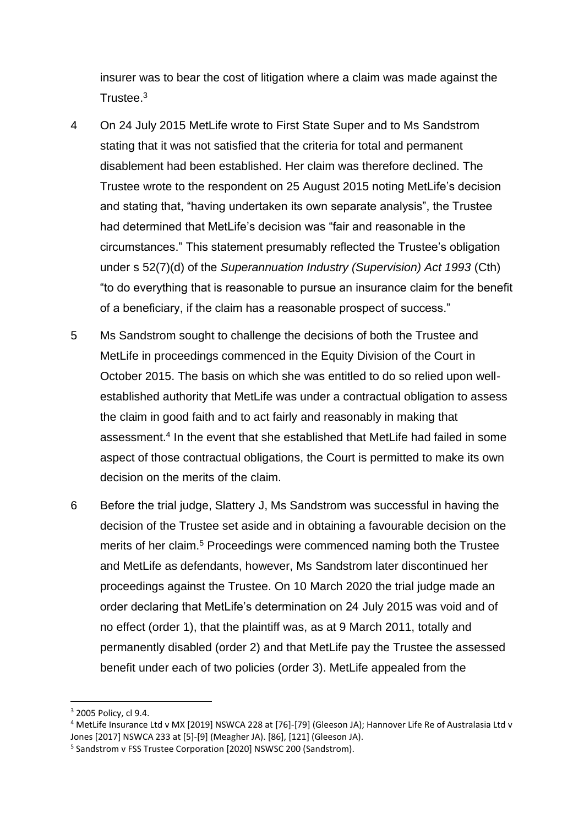insurer was to bear the cost of litigation where a claim was made against the Trustee.<sup>3</sup>

- 4 On 24 July 2015 MetLife wrote to First State Super and to Ms Sandstrom stating that it was not satisfied that the criteria for total and permanent disablement had been established. Her claim was therefore declined. The Trustee wrote to the respondent on 25 August 2015 noting MetLife's decision and stating that, "having undertaken its own separate analysis", the Trustee had determined that MetLife's decision was "fair and reasonable in the circumstances." This statement presumably reflected the Trustee's obligation under s 52(7)(d) of the *Superannuation Industry (Supervision) Act 1993* (Cth) "to do everything that is reasonable to pursue an insurance claim for the benefit of a beneficiary, if the claim has a reasonable prospect of success."
- 5 Ms Sandstrom sought to challenge the decisions of both the Trustee and MetLife in proceedings commenced in the Equity Division of the Court in October 2015. The basis on which she was entitled to do so relied upon wellestablished authority that MetLife was under a contractual obligation to assess the claim in good faith and to act fairly and reasonably in making that assessment.<sup>4</sup> In the event that she established that MetLife had failed in some aspect of those contractual obligations, the Court is permitted to make its own decision on the merits of the claim.
- 6 Before the trial judge, Slattery J, Ms Sandstrom was successful in having the decision of the Trustee set aside and in obtaining a favourable decision on the merits of her claim.<sup>5</sup> Proceedings were commenced naming both the Trustee and MetLife as defendants, however, Ms Sandstrom later discontinued her proceedings against the Trustee. On 10 March 2020 the trial judge made an order declaring that MetLife's determination on 24 July 2015 was void and of no effect (order 1), that the plaintiff was, as at 9 March 2011, totally and permanently disabled (order 2) and that MetLife pay the Trustee the assessed benefit under each of two policies (order 3). MetLife appealed from the

<sup>4</sup> MetLife Insurance Ltd v MX [2019] NSWCA 228 at [76]-[79] (Gleeson JA); Hannover Life Re of Australasia Ltd v Jones [2017] NSWCA 233 at [5]-[9] (Meagher JA). [86], [121] (Gleeson JA).

<sup>3</sup> 2005 Policy, cl 9.4.

<sup>&</sup>lt;sup>5</sup> Sandstrom v FSS Trustee Corporation [2020] NSWSC 200 (Sandstrom).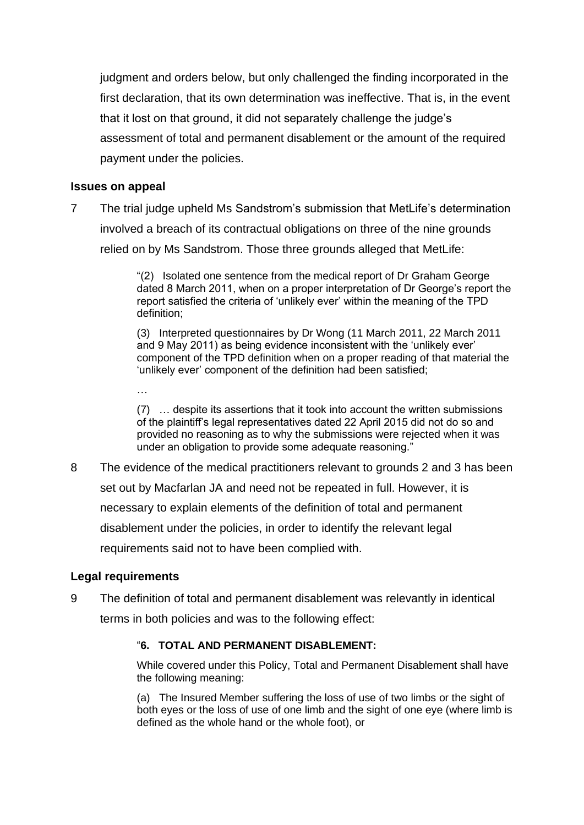judgment and orders below, but only challenged the finding incorporated in the first declaration, that its own determination was ineffective. That is, in the event that it lost on that ground, it did not separately challenge the judge's assessment of total and permanent disablement or the amount of the required payment under the policies.

### **Issues on appeal**

7 The trial judge upheld Ms Sandstrom's submission that MetLife's determination involved a breach of its contractual obligations on three of the nine grounds relied on by Ms Sandstrom. Those three grounds alleged that MetLife:

> "(2) Isolated one sentence from the medical report of Dr Graham George dated 8 March 2011, when on a proper interpretation of Dr George's report the report satisfied the criteria of 'unlikely ever' within the meaning of the TPD definition;

> (3) Interpreted questionnaires by Dr Wong (11 March 2011, 22 March 2011 and 9 May 2011) as being evidence inconsistent with the 'unlikely ever' component of the TPD definition when on a proper reading of that material the 'unlikely ever' component of the definition had been satisfied;

(7) … despite its assertions that it took into account the written submissions of the plaintiff's legal representatives dated 22 April 2015 did not do so and provided no reasoning as to why the submissions were rejected when it was under an obligation to provide some adequate reasoning."

8 The evidence of the medical practitioners relevant to grounds 2 and 3 has been set out by Macfarlan JA and need not be repeated in full. However, it is necessary to explain elements of the definition of total and permanent disablement under the policies, in order to identify the relevant legal requirements said not to have been complied with.

### **Legal requirements**

…

9 The definition of total and permanent disablement was relevantly in identical terms in both policies and was to the following effect:

### "**6. TOTAL AND PERMANENT DISABLEMENT:**

While covered under this Policy, Total and Permanent Disablement shall have the following meaning:

(a) The Insured Member suffering the loss of use of two limbs or the sight of both eyes or the loss of use of one limb and the sight of one eye (where limb is defined as the whole hand or the whole foot), or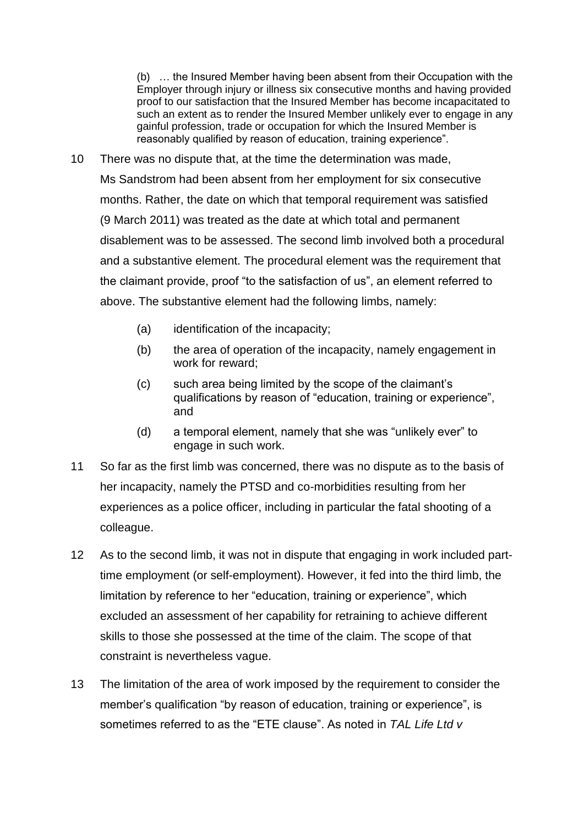(b) … the Insured Member having been absent from their Occupation with the Employer through injury or illness six consecutive months and having provided proof to our satisfaction that the Insured Member has become incapacitated to such an extent as to render the Insured Member unlikely ever to engage in any gainful profession, trade or occupation for which the Insured Member is reasonably qualified by reason of education, training experience".

- 10 There was no dispute that, at the time the determination was made, Ms Sandstrom had been absent from her employment for six consecutive months. Rather, the date on which that temporal requirement was satisfied (9 March 2011) was treated as the date at which total and permanent disablement was to be assessed. The second limb involved both a procedural and a substantive element. The procedural element was the requirement that the claimant provide, proof "to the satisfaction of us", an element referred to above. The substantive element had the following limbs, namely:
	- (a) identification of the incapacity;
	- (b) the area of operation of the incapacity, namely engagement in work for reward;
	- (c) such area being limited by the scope of the claimant's qualifications by reason of "education, training or experience", and
	- (d) a temporal element, namely that she was "unlikely ever" to engage in such work.
- 11 So far as the first limb was concerned, there was no dispute as to the basis of her incapacity, namely the PTSD and co-morbidities resulting from her experiences as a police officer, including in particular the fatal shooting of a colleague.
- 12 As to the second limb, it was not in dispute that engaging in work included parttime employment (or self-employment). However, it fed into the third limb, the limitation by reference to her "education, training or experience", which excluded an assessment of her capability for retraining to achieve different skills to those she possessed at the time of the claim. The scope of that constraint is nevertheless vague.
- 13 The limitation of the area of work imposed by the requirement to consider the member's qualification "by reason of education, training or experience", is sometimes referred to as the "ETE clause". As noted in *TAL Life Ltd v*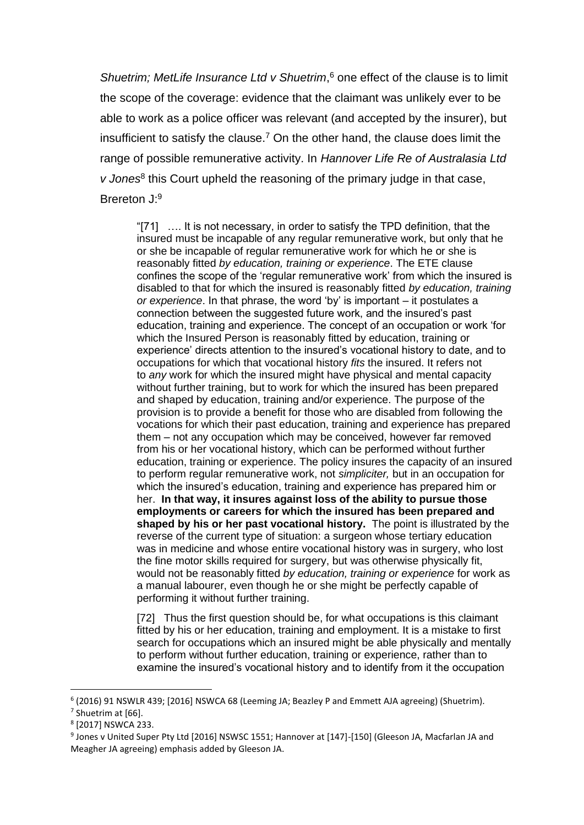*Shuetrim; MetLife Insurance Ltd v Shuetrim*, <sup>6</sup> one effect of the clause is to limit the scope of the coverage: evidence that the claimant was unlikely ever to be able to work as a police officer was relevant (and accepted by the insurer), but insufficient to satisfy the clause.<sup>7</sup> On the other hand, the clause does limit the range of possible remunerative activity. In *Hannover Life Re of Australasia Ltd*  v Jones<sup>8</sup> this Court upheld the reasoning of the primary judge in that case, Brereton J:9

"[71] …. It is not necessary, in order to satisfy the TPD definition, that the insured must be incapable of any regular remunerative work, but only that he or she be incapable of regular remunerative work for which he or she is reasonably fitted *by education, training or experience*. The ETE clause confines the scope of the 'regular remunerative work' from which the insured is disabled to that for which the insured is reasonably fitted *by education, training or experience*. In that phrase, the word 'by' is important – it postulates a connection between the suggested future work, and the insured's past education, training and experience. The concept of an occupation or work 'for which the Insured Person is reasonably fitted by education, training or experience' directs attention to the insured's vocational history to date, and to occupations for which that vocational history *fits* the insured. It refers not to *any* work for which the insured might have physical and mental capacity without further training, but to work for which the insured has been prepared and shaped by education, training and/or experience. The purpose of the provision is to provide a benefit for those who are disabled from following the vocations for which their past education, training and experience has prepared them – not any occupation which may be conceived, however far removed from his or her vocational history, which can be performed without further education, training or experience. The policy insures the capacity of an insured to perform regular remunerative work, not *simpliciter,* but in an occupation for which the insured's education, training and experience has prepared him or her. **In that way, it insures against loss of the ability to pursue those employments or careers for which the insured has been prepared and shaped by his or her past vocational history.** The point is illustrated by the reverse of the current type of situation: a surgeon whose tertiary education was in medicine and whose entire vocational history was in surgery, who lost the fine motor skills required for surgery, but was otherwise physically fit, would not be reasonably fitted *by education, training or experience* for work as a manual labourer, even though he or she might be perfectly capable of performing it without further training.

[72] Thus the first question should be, for what occupations is this claimant fitted by his or her education, training and employment. It is a mistake to first search for occupations which an insured might be able physically and mentally to perform without further education, training or experience, rather than to examine the insured's vocational history and to identify from it the occupation

<sup>6</sup> (2016) 91 NSWLR 439; [2016] NSWCA 68 (Leeming JA; Beazley P and Emmett AJA agreeing) (Shuetrim).

 $<sup>7</sup>$  Shuetrim at [66].</sup>

<sup>8</sup> [2017] NSWCA 233.

<sup>&</sup>lt;sup>9</sup> Jones v United Super Pty Ltd [2016] NSWSC 1551; Hannover at [147]-[150] (Gleeson JA, Macfarlan JA and Meagher JA agreeing) emphasis added by Gleeson JA.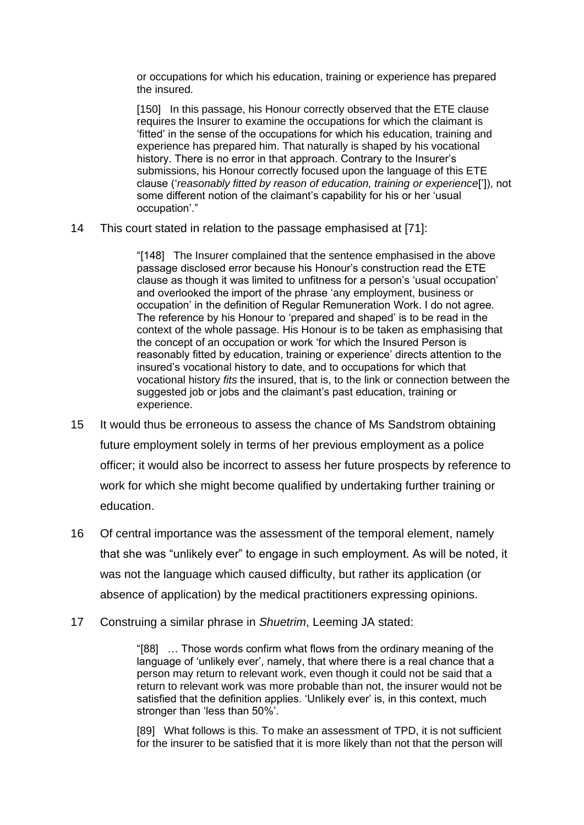or occupations for which his education, training or experience has prepared the insured.

[150] In this passage, his Honour correctly observed that the ETE clause requires the Insurer to examine the occupations for which the claimant is 'fitted' in the sense of the occupations for which his education, training and experience has prepared him. That naturally is shaped by his vocational history. There is no error in that approach. Contrary to the Insurer's submissions, his Honour correctly focused upon the language of this ETE clause ('*reasonably fitted by reason of education, training or experience*[']), not some different notion of the claimant's capability for his or her 'usual occupation'."

14 This court stated in relation to the passage emphasised at [71]:

"[148] The Insurer complained that the sentence emphasised in the above passage disclosed error because his Honour's construction read the ETE clause as though it was limited to unfitness for a person's 'usual occupation' and overlooked the import of the phrase 'any employment, business or occupation' in the definition of Regular Remuneration Work. I do not agree. The reference by his Honour to 'prepared and shaped' is to be read in the context of the whole passage. His Honour is to be taken as emphasising that the concept of an occupation or work 'for which the Insured Person is reasonably fitted by education, training or experience' directs attention to the insured's vocational history to date, and to occupations for which that vocational history *fits* the insured, that is, to the link or connection between the suggested job or jobs and the claimant's past education, training or experience.

- 15 It would thus be erroneous to assess the chance of Ms Sandstrom obtaining future employment solely in terms of her previous employment as a police officer; it would also be incorrect to assess her future prospects by reference to work for which she might become qualified by undertaking further training or education.
- 16 Of central importance was the assessment of the temporal element, namely that she was "unlikely ever" to engage in such employment. As will be noted, it was not the language which caused difficulty, but rather its application (or absence of application) by the medical practitioners expressing opinions.
- 17 Construing a similar phrase in *Shuetrim*, Leeming JA stated:

"[88] … Those words confirm what flows from the ordinary meaning of the language of 'unlikely ever', namely, that where there is a real chance that a person may return to relevant work, even though it could not be said that a return to relevant work was more probable than not, the insurer would not be satisfied that the definition applies. 'Unlikely ever' is, in this context, much stronger than 'less than 50%'.

[89] What follows is this. To make an assessment of TPD, it is not sufficient for the insurer to be satisfied that it is more likely than not that the person will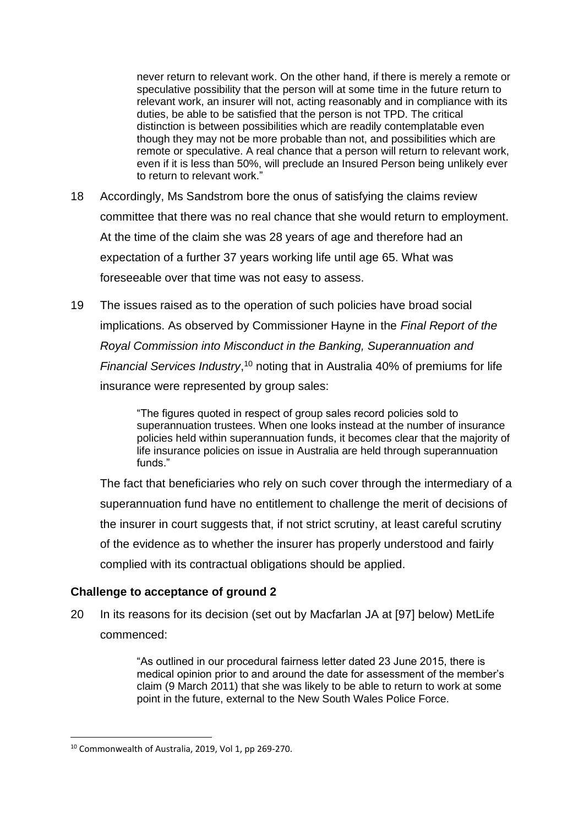never return to relevant work. On the other hand, if there is merely a remote or speculative possibility that the person will at some time in the future return to relevant work, an insurer will not, acting reasonably and in compliance with its duties, be able to be satisfied that the person is not TPD. The critical distinction is between possibilities which are readily contemplatable even though they may not be more probable than not, and possibilities which are remote or speculative. A real chance that a person will return to relevant work, even if it is less than 50%, will preclude an Insured Person being unlikely ever to return to relevant work."

- 18 Accordingly, Ms Sandstrom bore the onus of satisfying the claims review committee that there was no real chance that she would return to employment. At the time of the claim she was 28 years of age and therefore had an expectation of a further 37 years working life until age 65. What was foreseeable over that time was not easy to assess.
- 19 The issues raised as to the operation of such policies have broad social implications. As observed by Commissioner Hayne in the *Final Report of the Royal Commission into Misconduct in the Banking, Superannuation and Financial Services Industry*, <sup>10</sup> noting that in Australia 40% of premiums for life insurance were represented by group sales:

"The figures quoted in respect of group sales record policies sold to superannuation trustees. When one looks instead at the number of insurance policies held within superannuation funds, it becomes clear that the majority of life insurance policies on issue in Australia are held through superannuation funds."

The fact that beneficiaries who rely on such cover through the intermediary of a superannuation fund have no entitlement to challenge the merit of decisions of the insurer in court suggests that, if not strict scrutiny, at least careful scrutiny of the evidence as to whether the insurer has properly understood and fairly complied with its contractual obligations should be applied.

### **Challenge to acceptance of ground 2**

20 In its reasons for its decision (set out by Macfarlan JA at [97] below) MetLife commenced:

> "As outlined in our procedural fairness letter dated 23 June 2015, there is medical opinion prior to and around the date for assessment of the member's claim (9 March 2011) that she was likely to be able to return to work at some point in the future, external to the New South Wales Police Force.

<sup>10</sup> Commonwealth of Australia, 2019, Vol 1, pp 269-270.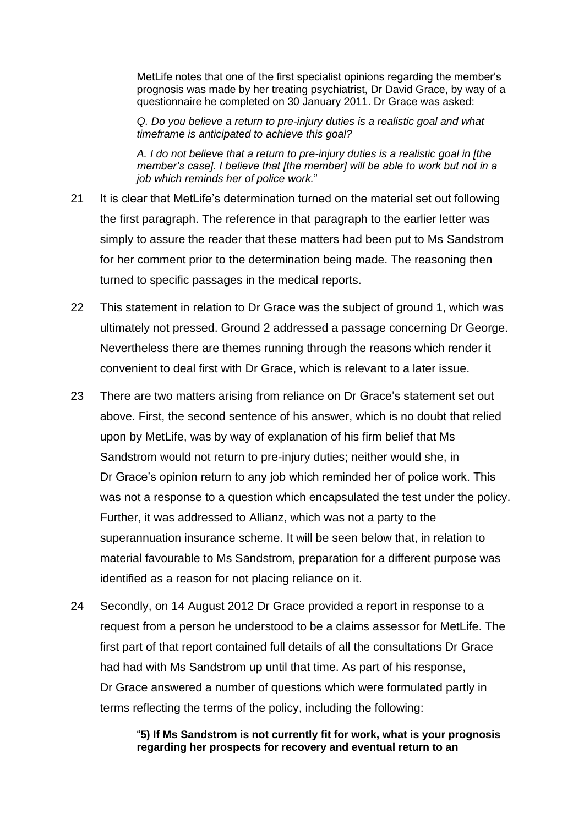MetLife notes that one of the first specialist opinions regarding the member's prognosis was made by her treating psychiatrist, Dr David Grace, by way of a questionnaire he completed on 30 January 2011. Dr Grace was asked:

*Q. Do you believe a return to pre-injury duties is a realistic goal and what timeframe is anticipated to achieve this goal?*

*A. I do not believe that a return to pre-injury duties is a realistic goal in [the member's case]. I believe that [the member] will be able to work but not in a job which reminds her of police work.*"

- 21 It is clear that MetLife's determination turned on the material set out following the first paragraph. The reference in that paragraph to the earlier letter was simply to assure the reader that these matters had been put to Ms Sandstrom for her comment prior to the determination being made. The reasoning then turned to specific passages in the medical reports.
- 22 This statement in relation to Dr Grace was the subject of ground 1, which was ultimately not pressed. Ground 2 addressed a passage concerning Dr George. Nevertheless there are themes running through the reasons which render it convenient to deal first with Dr Grace, which is relevant to a later issue.
- 23 There are two matters arising from reliance on Dr Grace's statement set out above. First, the second sentence of his answer, which is no doubt that relied upon by MetLife, was by way of explanation of his firm belief that Ms Sandstrom would not return to pre-injury duties; neither would she, in Dr Grace's opinion return to any job which reminded her of police work. This was not a response to a question which encapsulated the test under the policy. Further, it was addressed to Allianz, which was not a party to the superannuation insurance scheme. It will be seen below that, in relation to material favourable to Ms Sandstrom, preparation for a different purpose was identified as a reason for not placing reliance on it.
- 24 Secondly, on 14 August 2012 Dr Grace provided a report in response to a request from a person he understood to be a claims assessor for MetLife. The first part of that report contained full details of all the consultations Dr Grace had had with Ms Sandstrom up until that time. As part of his response, Dr Grace answered a number of questions which were formulated partly in terms reflecting the terms of the policy, including the following:

### "**5) If Ms Sandstrom is not currently fit for work, what is your prognosis regarding her prospects for recovery and eventual return to an**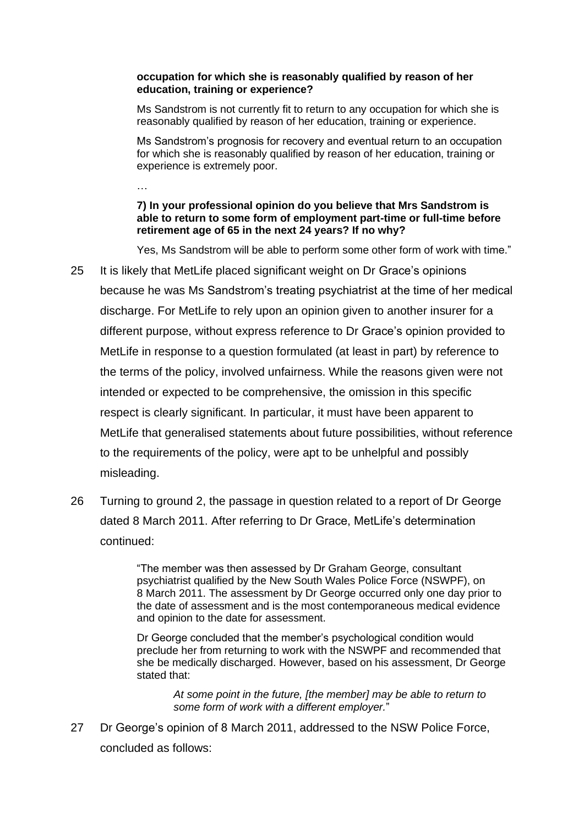#### **occupation for which she is reasonably qualified by reason of her education, training or experience?**

Ms Sandstrom is not currently fit to return to any occupation for which she is reasonably qualified by reason of her education, training or experience.

Ms Sandstrom's prognosis for recovery and eventual return to an occupation for which she is reasonably qualified by reason of her education, training or experience is extremely poor.

### **7) In your professional opinion do you believe that Mrs Sandstrom is able to return to some form of employment part-time or full-time before retirement age of 65 in the next 24 years? If no why?**

…

Yes, Ms Sandstrom will be able to perform some other form of work with time."

- 25 It is likely that MetLife placed significant weight on Dr Grace's opinions because he was Ms Sandstrom's treating psychiatrist at the time of her medical discharge. For MetLife to rely upon an opinion given to another insurer for a different purpose, without express reference to Dr Grace's opinion provided to MetLife in response to a question formulated (at least in part) by reference to the terms of the policy, involved unfairness. While the reasons given were not intended or expected to be comprehensive, the omission in this specific respect is clearly significant. In particular, it must have been apparent to MetLife that generalised statements about future possibilities, without reference to the requirements of the policy, were apt to be unhelpful and possibly misleading.
- 26 Turning to ground 2, the passage in question related to a report of Dr George dated 8 March 2011. After referring to Dr Grace, MetLife's determination continued:

"The member was then assessed by Dr Graham George, consultant psychiatrist qualified by the New South Wales Police Force (NSWPF), on 8 March 2011. The assessment by Dr George occurred only one day prior to the date of assessment and is the most contemporaneous medical evidence and opinion to the date for assessment.

Dr George concluded that the member's psychological condition would preclude her from returning to work with the NSWPF and recommended that she be medically discharged. However, based on his assessment, Dr George stated that:

*At some point in the future, [the member] may be able to return to some form of work with a different employer.*"

27 Dr George's opinion of 8 March 2011, addressed to the NSW Police Force, concluded as follows: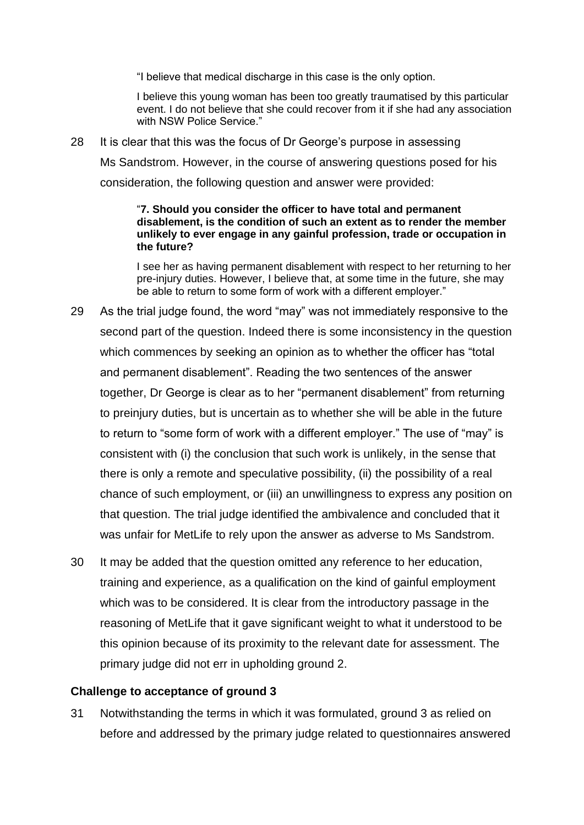"I believe that medical discharge in this case is the only option.

I believe this young woman has been too greatly traumatised by this particular event. I do not believe that she could recover from it if she had any association with NSW Police Service."

28 It is clear that this was the focus of Dr George's purpose in assessing Ms Sandstrom. However, in the course of answering questions posed for his consideration, the following question and answer were provided:

#### "**7. Should you consider the officer to have total and permanent disablement, is the condition of such an extent as to render the member unlikely to ever engage in any gainful profession, trade or occupation in the future?**

I see her as having permanent disablement with respect to her returning to her pre-injury duties. However, I believe that, at some time in the future, she may be able to return to some form of work with a different employer."

- 29 As the trial judge found, the word "may" was not immediately responsive to the second part of the question. Indeed there is some inconsistency in the question which commences by seeking an opinion as to whether the officer has "total and permanent disablement". Reading the two sentences of the answer together, Dr George is clear as to her "permanent disablement" from returning to preinjury duties, but is uncertain as to whether she will be able in the future to return to "some form of work with a different employer." The use of "may" is consistent with (i) the conclusion that such work is unlikely, in the sense that there is only a remote and speculative possibility, (ii) the possibility of a real chance of such employment, or (iii) an unwillingness to express any position on that question. The trial judge identified the ambivalence and concluded that it was unfair for MetLife to rely upon the answer as adverse to Ms Sandstrom.
- 30 It may be added that the question omitted any reference to her education, training and experience, as a qualification on the kind of gainful employment which was to be considered. It is clear from the introductory passage in the reasoning of MetLife that it gave significant weight to what it understood to be this opinion because of its proximity to the relevant date for assessment. The primary judge did not err in upholding ground 2.

### **Challenge to acceptance of ground 3**

31 Notwithstanding the terms in which it was formulated, ground 3 as relied on before and addressed by the primary judge related to questionnaires answered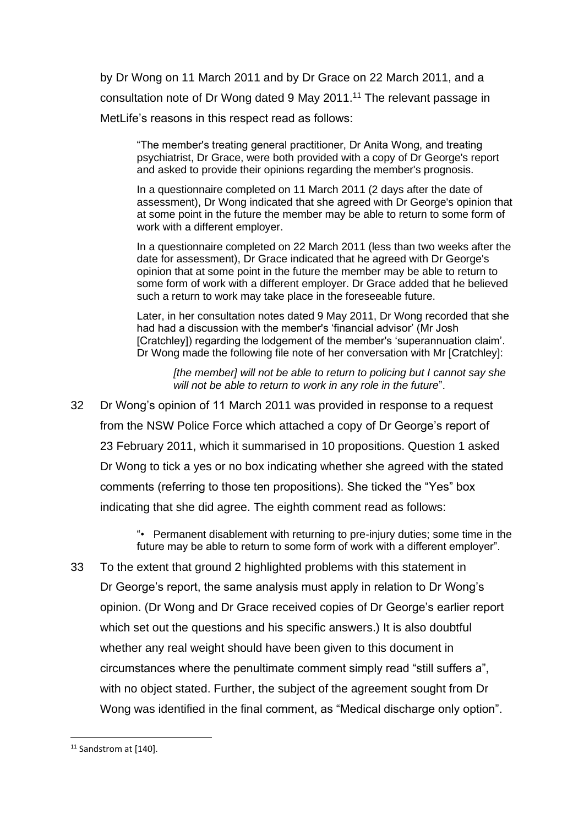by Dr Wong on 11 March 2011 and by Dr Grace on 22 March 2011, and a consultation note of Dr Wong dated 9 May 2011.<sup>11</sup> The relevant passage in MetLife's reasons in this respect read as follows:

"The member's treating general practitioner, Dr Anita Wong, and treating psychiatrist, Dr Grace, were both provided with a copy of Dr George's report and asked to provide their opinions regarding the member's prognosis.

In a questionnaire completed on 11 March 2011 (2 days after the date of assessment), Dr Wong indicated that she agreed with Dr George's opinion that at some point in the future the member may be able to return to some form of work with a different employer.

In a questionnaire completed on 22 March 2011 (less than two weeks after the date for assessment), Dr Grace indicated that he agreed with Dr George's opinion that at some point in the future the member may be able to return to some form of work with a different employer. Dr Grace added that he believed such a return to work may take place in the foreseeable future.

Later, in her consultation notes dated 9 May 2011, Dr Wong recorded that she had had a discussion with the member's 'financial advisor' (Mr Josh [Cratchley]) regarding the lodgement of the member's 'superannuation claim'. Dr Wong made the following file note of her conversation with Mr [Cratchley]:

*[the member] will not be able to return to policing but I cannot say she will not be able to return to work in any role in the future*".

32 Dr Wong's opinion of 11 March 2011 was provided in response to a request from the NSW Police Force which attached a copy of Dr George's report of 23 February 2011, which it summarised in 10 propositions. Question 1 asked Dr Wong to tick a yes or no box indicating whether she agreed with the stated comments (referring to those ten propositions). She ticked the "Yes" box indicating that she did agree. The eighth comment read as follows:

> "• Permanent disablement with returning to pre-injury duties; some time in the future may be able to return to some form of work with a different employer".

33 To the extent that ground 2 highlighted problems with this statement in Dr George's report, the same analysis must apply in relation to Dr Wong's opinion. (Dr Wong and Dr Grace received copies of Dr George's earlier report which set out the questions and his specific answers.) It is also doubtful whether any real weight should have been given to this document in circumstances where the penultimate comment simply read "still suffers a", with no object stated. Further, the subject of the agreement sought from Dr Wong was identified in the final comment, as "Medical discharge only option".

<sup>11</sup> Sandstrom at [140].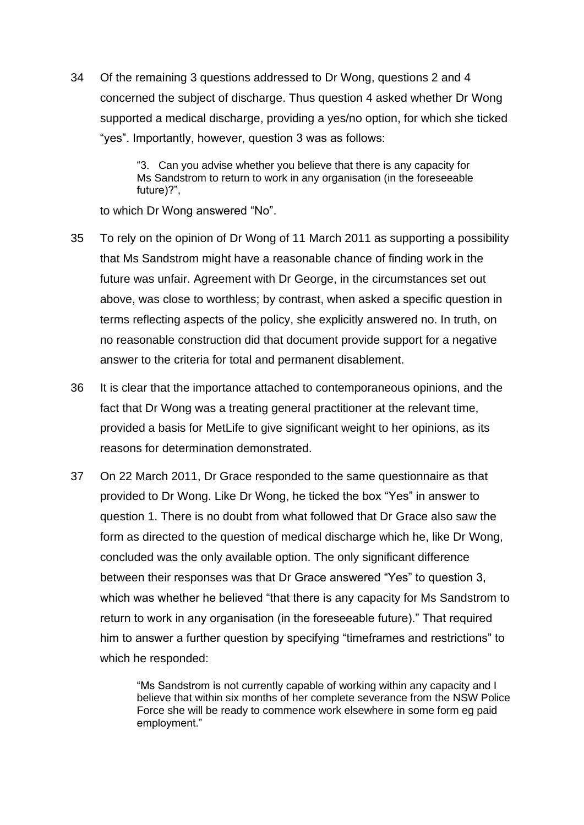34 Of the remaining 3 questions addressed to Dr Wong, questions 2 and 4 concerned the subject of discharge. Thus question 4 asked whether Dr Wong supported a medical discharge, providing a yes/no option, for which she ticked "yes". Importantly, however, question 3 was as follows:

> "3. Can you advise whether you believe that there is any capacity for Ms Sandstrom to return to work in any organisation (in the foreseeable future)?",

to which Dr Wong answered "No".

- 35 To rely on the opinion of Dr Wong of 11 March 2011 as supporting a possibility that Ms Sandstrom might have a reasonable chance of finding work in the future was unfair. Agreement with Dr George, in the circumstances set out above, was close to worthless; by contrast, when asked a specific question in terms reflecting aspects of the policy, she explicitly answered no. In truth, on no reasonable construction did that document provide support for a negative answer to the criteria for total and permanent disablement.
- 36 It is clear that the importance attached to contemporaneous opinions, and the fact that Dr Wong was a treating general practitioner at the relevant time, provided a basis for MetLife to give significant weight to her opinions, as its reasons for determination demonstrated.
- 37 On 22 March 2011, Dr Grace responded to the same questionnaire as that provided to Dr Wong. Like Dr Wong, he ticked the box "Yes" in answer to question 1. There is no doubt from what followed that Dr Grace also saw the form as directed to the question of medical discharge which he, like Dr Wong, concluded was the only available option. The only significant difference between their responses was that Dr Grace answered "Yes" to question 3, which was whether he believed "that there is any capacity for Ms Sandstrom to return to work in any organisation (in the foreseeable future)." That required him to answer a further question by specifying "timeframes and restrictions" to which he responded:

"Ms Sandstrom is not currently capable of working within any capacity and I believe that within six months of her complete severance from the NSW Police Force she will be ready to commence work elsewhere in some form eg paid employment."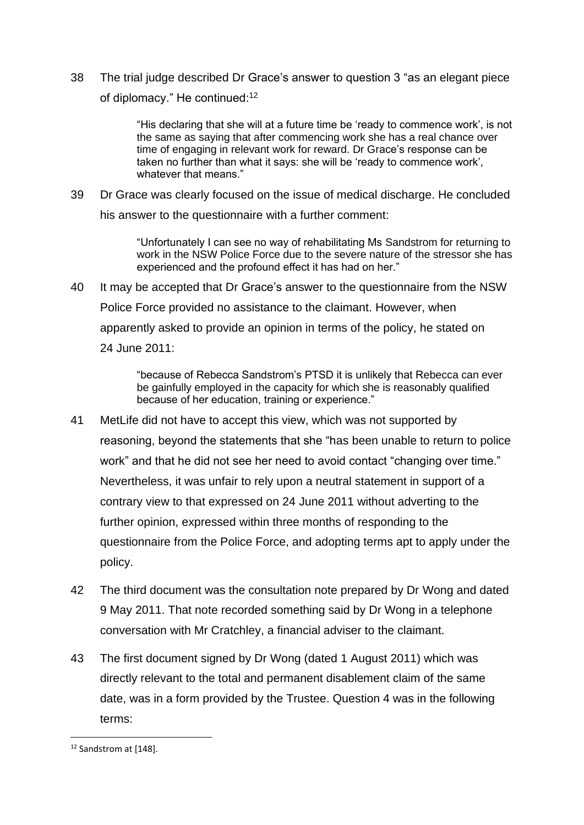38 The trial judge described Dr Grace's answer to question 3 "as an elegant piece of diplomacy." He continued:<sup>12</sup>

> "His declaring that she will at a future time be 'ready to commence work', is not the same as saying that after commencing work she has a real chance over time of engaging in relevant work for reward. Dr Grace's response can be taken no further than what it says: she will be 'ready to commence work', whatever that means."

39 Dr Grace was clearly focused on the issue of medical discharge. He concluded his answer to the questionnaire with a further comment:

> "Unfortunately I can see no way of rehabilitating Ms Sandstrom for returning to work in the NSW Police Force due to the severe nature of the stressor she has experienced and the profound effect it has had on her."

40 It may be accepted that Dr Grace's answer to the questionnaire from the NSW Police Force provided no assistance to the claimant. However, when apparently asked to provide an opinion in terms of the policy, he stated on 24 June 2011:

> "because of Rebecca Sandstrom's PTSD it is unlikely that Rebecca can ever be gainfully employed in the capacity for which she is reasonably qualified because of her education, training or experience."

- 41 MetLife did not have to accept this view, which was not supported by reasoning, beyond the statements that she "has been unable to return to police work" and that he did not see her need to avoid contact "changing over time." Nevertheless, it was unfair to rely upon a neutral statement in support of a contrary view to that expressed on 24 June 2011 without adverting to the further opinion, expressed within three months of responding to the questionnaire from the Police Force, and adopting terms apt to apply under the policy.
- 42 The third document was the consultation note prepared by Dr Wong and dated 9 May 2011. That note recorded something said by Dr Wong in a telephone conversation with Mr Cratchley, a financial adviser to the claimant.
- 43 The first document signed by Dr Wong (dated 1 August 2011) which was directly relevant to the total and permanent disablement claim of the same date, was in a form provided by the Trustee. Question 4 was in the following terms:

<sup>&</sup>lt;sup>12</sup> Sandstrom at [148].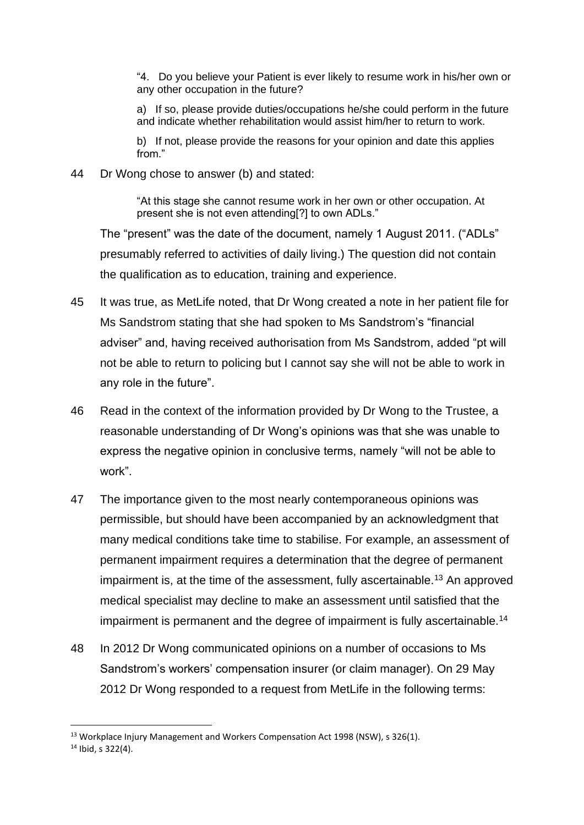"4. Do you believe your Patient is ever likely to resume work in his/her own or any other occupation in the future?

a) If so, please provide duties/occupations he/she could perform in the future and indicate whether rehabilitation would assist him/her to return to work.

b) If not, please provide the reasons for your opinion and date this applies from."

44 Dr Wong chose to answer (b) and stated:

"At this stage she cannot resume work in her own or other occupation. At present she is not even attending[?] to own ADLs."

The "present" was the date of the document, namely 1 August 2011. ("ADLs" presumably referred to activities of daily living.) The question did not contain the qualification as to education, training and experience.

- 45 It was true, as MetLife noted, that Dr Wong created a note in her patient file for Ms Sandstrom stating that she had spoken to Ms Sandstrom's "financial adviser" and, having received authorisation from Ms Sandstrom, added "pt will not be able to return to policing but I cannot say she will not be able to work in any role in the future".
- 46 Read in the context of the information provided by Dr Wong to the Trustee, a reasonable understanding of Dr Wong's opinions was that she was unable to express the negative opinion in conclusive terms, namely "will not be able to work".
- 47 The importance given to the most nearly contemporaneous opinions was permissible, but should have been accompanied by an acknowledgment that many medical conditions take time to stabilise. For example, an assessment of permanent impairment requires a determination that the degree of permanent impairment is, at the time of the assessment, fully ascertainable.<sup>13</sup> An approved medical specialist may decline to make an assessment until satisfied that the impairment is permanent and the degree of impairment is fully ascertainable.<sup>14</sup>
- 48 In 2012 Dr Wong communicated opinions on a number of occasions to Ms Sandstrom's workers' compensation insurer (or claim manager). On 29 May 2012 Dr Wong responded to a request from MetLife in the following terms:

<sup>&</sup>lt;sup>13</sup> Workplace Injury Management and Workers Compensation Act 1998 (NSW), s 326(1).

<sup>14</sup> Ibid, s 322(4).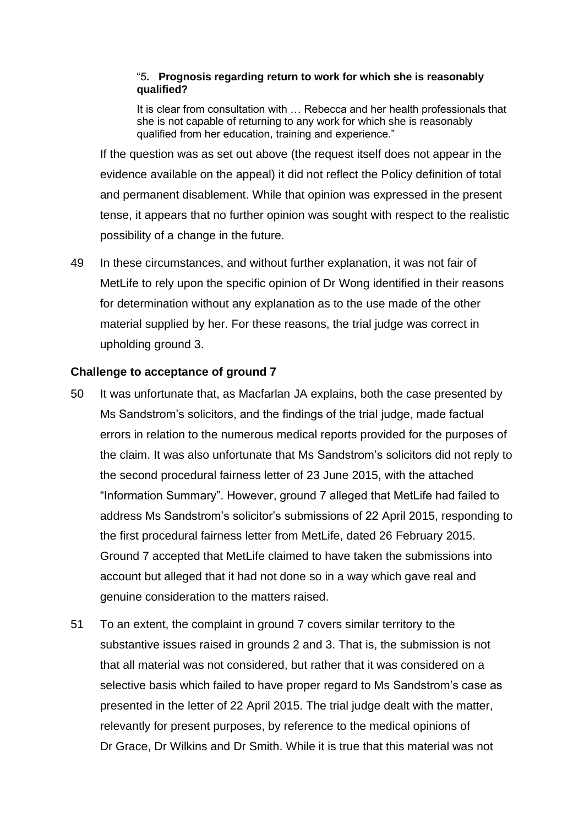### "5**. Prognosis regarding return to work for which she is reasonably qualified?**

It is clear from consultation with … Rebecca and her health professionals that she is not capable of returning to any work for which she is reasonably qualified from her education, training and experience."

If the question was as set out above (the request itself does not appear in the evidence available on the appeal) it did not reflect the Policy definition of total and permanent disablement. While that opinion was expressed in the present tense, it appears that no further opinion was sought with respect to the realistic possibility of a change in the future.

49 In these circumstances, and without further explanation, it was not fair of MetLife to rely upon the specific opinion of Dr Wong identified in their reasons for determination without any explanation as to the use made of the other material supplied by her. For these reasons, the trial judge was correct in upholding ground 3.

## **Challenge to acceptance of ground 7**

- 50 It was unfortunate that, as Macfarlan JA explains, both the case presented by Ms Sandstrom's solicitors, and the findings of the trial judge, made factual errors in relation to the numerous medical reports provided for the purposes of the claim. It was also unfortunate that Ms Sandstrom's solicitors did not reply to the second procedural fairness letter of 23 June 2015, with the attached "Information Summary". However, ground 7 alleged that MetLife had failed to address Ms Sandstrom's solicitor's submissions of 22 April 2015, responding to the first procedural fairness letter from MetLife, dated 26 February 2015. Ground 7 accepted that MetLife claimed to have taken the submissions into account but alleged that it had not done so in a way which gave real and genuine consideration to the matters raised.
- 51 To an extent, the complaint in ground 7 covers similar territory to the substantive issues raised in grounds 2 and 3. That is, the submission is not that all material was not considered, but rather that it was considered on a selective basis which failed to have proper regard to Ms Sandstrom's case as presented in the letter of 22 April 2015. The trial judge dealt with the matter, relevantly for present purposes, by reference to the medical opinions of Dr Grace, Dr Wilkins and Dr Smith. While it is true that this material was not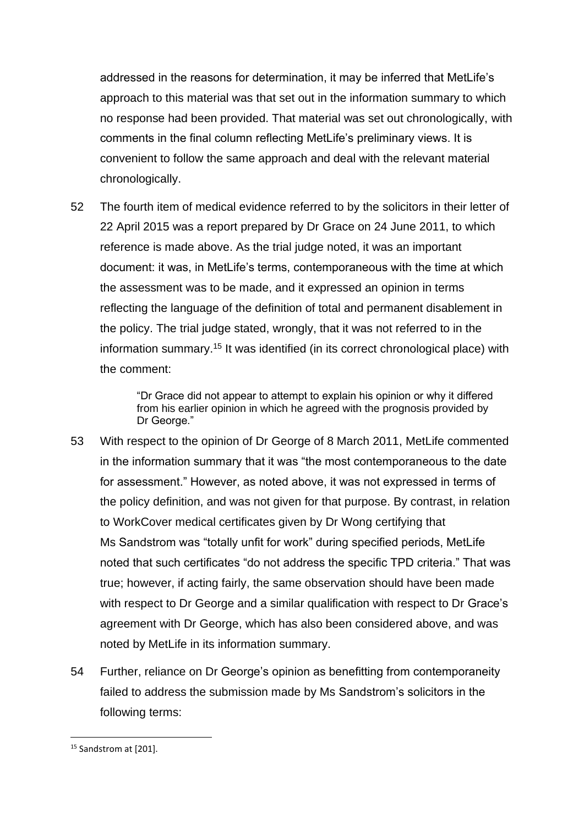addressed in the reasons for determination, it may be inferred that MetLife's approach to this material was that set out in the information summary to which no response had been provided. That material was set out chronologically, with comments in the final column reflecting MetLife's preliminary views. It is convenient to follow the same approach and deal with the relevant material chronologically.

52 The fourth item of medical evidence referred to by the solicitors in their letter of 22 April 2015 was a report prepared by Dr Grace on 24 June 2011, to which reference is made above. As the trial judge noted, it was an important document: it was, in MetLife's terms, contemporaneous with the time at which the assessment was to be made, and it expressed an opinion in terms reflecting the language of the definition of total and permanent disablement in the policy. The trial judge stated, wrongly, that it was not referred to in the information summary.<sup>15</sup> It was identified (in its correct chronological place) with the comment:

> "Dr Grace did not appear to attempt to explain his opinion or why it differed from his earlier opinion in which he agreed with the prognosis provided by Dr George."

- 53 With respect to the opinion of Dr George of 8 March 2011, MetLife commented in the information summary that it was "the most contemporaneous to the date for assessment." However, as noted above, it was not expressed in terms of the policy definition, and was not given for that purpose. By contrast, in relation to WorkCover medical certificates given by Dr Wong certifying that Ms Sandstrom was "totally unfit for work" during specified periods, MetLife noted that such certificates "do not address the specific TPD criteria." That was true; however, if acting fairly, the same observation should have been made with respect to Dr George and a similar qualification with respect to Dr Grace's agreement with Dr George, which has also been considered above, and was noted by MetLife in its information summary.
- 54 Further, reliance on Dr George's opinion as benefitting from contemporaneity failed to address the submission made by Ms Sandstrom's solicitors in the following terms:

<sup>&</sup>lt;sup>15</sup> Sandstrom at [201].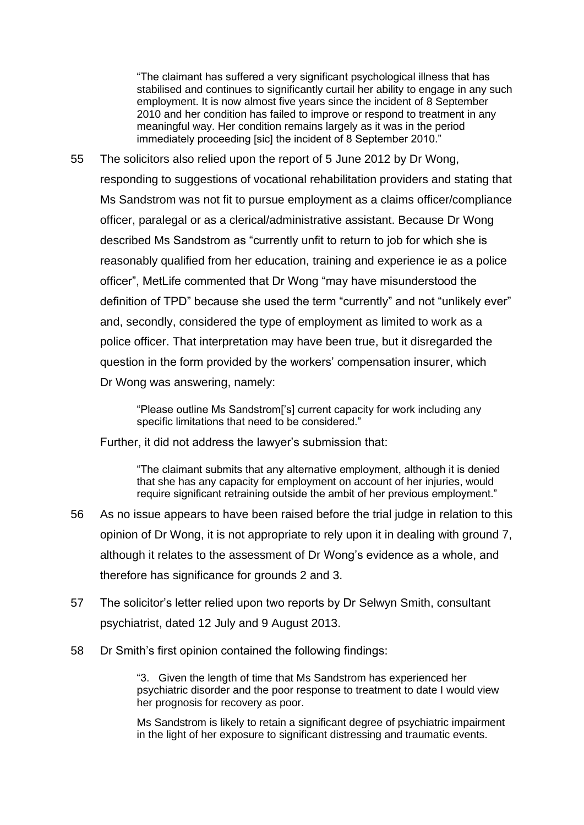"The claimant has suffered a very significant psychological illness that has stabilised and continues to significantly curtail her ability to engage in any such employment. It is now almost five years since the incident of 8 September 2010 and her condition has failed to improve or respond to treatment in any meaningful way. Her condition remains largely as it was in the period immediately proceeding [sic] the incident of 8 September 2010."

55 The solicitors also relied upon the report of 5 June 2012 by Dr Wong, responding to suggestions of vocational rehabilitation providers and stating that Ms Sandstrom was not fit to pursue employment as a claims officer/compliance officer, paralegal or as a clerical/administrative assistant. Because Dr Wong described Ms Sandstrom as "currently unfit to return to job for which she is reasonably qualified from her education, training and experience ie as a police officer", MetLife commented that Dr Wong "may have misunderstood the definition of TPD" because she used the term "currently" and not "unlikely ever" and, secondly, considered the type of employment as limited to work as a police officer. That interpretation may have been true, but it disregarded the question in the form provided by the workers' compensation insurer, which Dr Wong was answering, namely:

> "Please outline Ms Sandstrom['s] current capacity for work including any specific limitations that need to be considered."

Further, it did not address the lawyer's submission that:

"The claimant submits that any alternative employment, although it is denied that she has any capacity for employment on account of her injuries, would require significant retraining outside the ambit of her previous employment."

- 56 As no issue appears to have been raised before the trial judge in relation to this opinion of Dr Wong, it is not appropriate to rely upon it in dealing with ground 7, although it relates to the assessment of Dr Wong's evidence as a whole, and therefore has significance for grounds 2 and 3.
- 57 The solicitor's letter relied upon two reports by Dr Selwyn Smith, consultant psychiatrist, dated 12 July and 9 August 2013.
- 58 Dr Smith's first opinion contained the following findings:

"3. Given the length of time that Ms Sandstrom has experienced her psychiatric disorder and the poor response to treatment to date I would view her prognosis for recovery as poor.

Ms Sandstrom is likely to retain a significant degree of psychiatric impairment in the light of her exposure to significant distressing and traumatic events.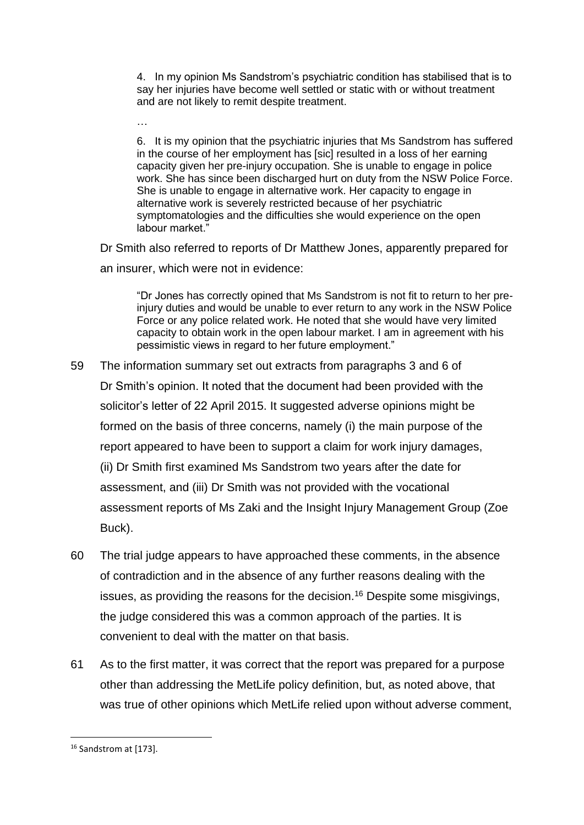4. In my opinion Ms Sandstrom's psychiatric condition has stabilised that is to say her injuries have become well settled or static with or without treatment and are not likely to remit despite treatment.

6. It is my opinion that the psychiatric injuries that Ms Sandstrom has suffered in the course of her employment has [sic] resulted in a loss of her earning capacity given her pre-injury occupation. She is unable to engage in police work. She has since been discharged hurt on duty from the NSW Police Force. She is unable to engage in alternative work. Her capacity to engage in alternative work is severely restricted because of her psychiatric symptomatologies and the difficulties she would experience on the open labour market."

Dr Smith also referred to reports of Dr Matthew Jones, apparently prepared for an insurer, which were not in evidence:

"Dr Jones has correctly opined that Ms Sandstrom is not fit to return to her preinjury duties and would be unable to ever return to any work in the NSW Police Force or any police related work. He noted that she would have very limited capacity to obtain work in the open labour market. I am in agreement with his pessimistic views in regard to her future employment."

- 59 The information summary set out extracts from paragraphs 3 and 6 of Dr Smith's opinion. It noted that the document had been provided with the solicitor's letter of 22 April 2015. It suggested adverse opinions might be formed on the basis of three concerns, namely (i) the main purpose of the report appeared to have been to support a claim for work injury damages, (ii) Dr Smith first examined Ms Sandstrom two years after the date for assessment, and (iii) Dr Smith was not provided with the vocational assessment reports of Ms Zaki and the Insight Injury Management Group (Zoe Buck).
- 60 The trial judge appears to have approached these comments, in the absence of contradiction and in the absence of any further reasons dealing with the issues, as providing the reasons for the decision.<sup>16</sup> Despite some misgivings, the judge considered this was a common approach of the parties. It is convenient to deal with the matter on that basis.
- 61 As to the first matter, it was correct that the report was prepared for a purpose other than addressing the MetLife policy definition, but, as noted above, that was true of other opinions which MetLife relied upon without adverse comment,

…

<sup>&</sup>lt;sup>16</sup> Sandstrom at [173].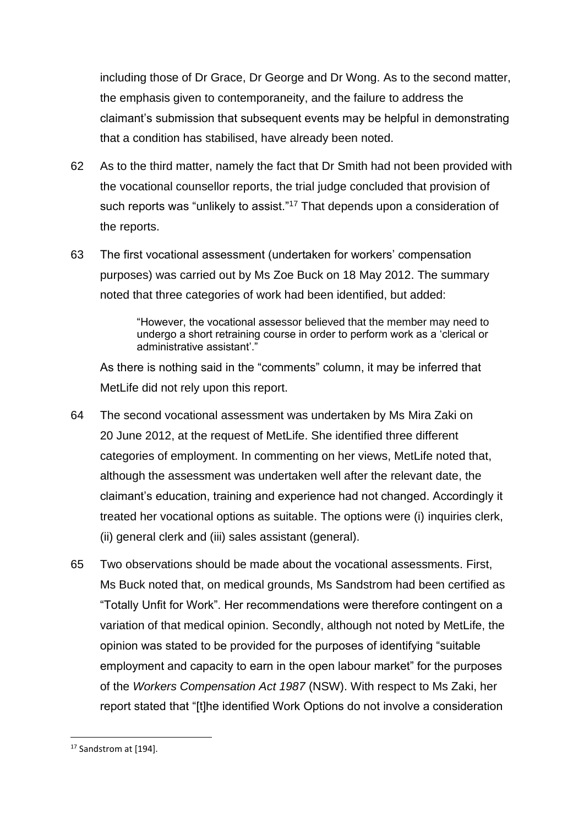including those of Dr Grace, Dr George and Dr Wong. As to the second matter, the emphasis given to contemporaneity, and the failure to address the claimant's submission that subsequent events may be helpful in demonstrating that a condition has stabilised, have already been noted.

- 62 As to the third matter, namely the fact that Dr Smith had not been provided with the vocational counsellor reports, the trial judge concluded that provision of such reports was "unlikely to assist."<sup>17</sup> That depends upon a consideration of the reports.
- 63 The first vocational assessment (undertaken for workers' compensation purposes) was carried out by Ms Zoe Buck on 18 May 2012. The summary noted that three categories of work had been identified, but added:

"However, the vocational assessor believed that the member may need to undergo a short retraining course in order to perform work as a 'clerical or administrative assistant'."

As there is nothing said in the "comments" column, it may be inferred that MetLife did not rely upon this report.

- 64 The second vocational assessment was undertaken by Ms Mira Zaki on 20 June 2012, at the request of MetLife. She identified three different categories of employment. In commenting on her views, MetLife noted that, although the assessment was undertaken well after the relevant date, the claimant's education, training and experience had not changed. Accordingly it treated her vocational options as suitable. The options were (i) inquiries clerk, (ii) general clerk and (iii) sales assistant (general).
- 65 Two observations should be made about the vocational assessments. First, Ms Buck noted that, on medical grounds, Ms Sandstrom had been certified as "Totally Unfit for Work". Her recommendations were therefore contingent on a variation of that medical opinion. Secondly, although not noted by MetLife, the opinion was stated to be provided for the purposes of identifying "suitable employment and capacity to earn in the open labour market" for the purposes of the *Workers Compensation Act 1987* (NSW). With respect to Ms Zaki, her report stated that "[t]he identified Work Options do not involve a consideration

<sup>&</sup>lt;sup>17</sup> Sandstrom at [194].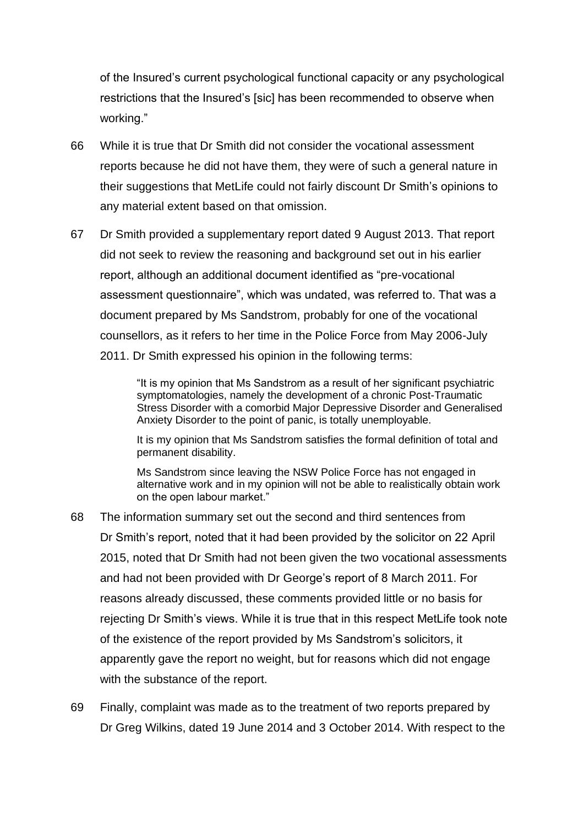of the Insured's current psychological functional capacity or any psychological restrictions that the Insured's [sic] has been recommended to observe when working."

- 66 While it is true that Dr Smith did not consider the vocational assessment reports because he did not have them, they were of such a general nature in their suggestions that MetLife could not fairly discount Dr Smith's opinions to any material extent based on that omission.
- 67 Dr Smith provided a supplementary report dated 9 August 2013. That report did not seek to review the reasoning and background set out in his earlier report, although an additional document identified as "pre-vocational assessment questionnaire", which was undated, was referred to. That was a document prepared by Ms Sandstrom, probably for one of the vocational counsellors, as it refers to her time in the Police Force from May 2006-July 2011. Dr Smith expressed his opinion in the following terms:

"It is my opinion that Ms Sandstrom as a result of her significant psychiatric symptomatologies, namely the development of a chronic Post-Traumatic Stress Disorder with a comorbid Major Depressive Disorder and Generalised Anxiety Disorder to the point of panic, is totally unemployable.

It is my opinion that Ms Sandstrom satisfies the formal definition of total and permanent disability.

Ms Sandstrom since leaving the NSW Police Force has not engaged in alternative work and in my opinion will not be able to realistically obtain work on the open labour market."

- 68 The information summary set out the second and third sentences from Dr Smith's report, noted that it had been provided by the solicitor on 22 April 2015, noted that Dr Smith had not been given the two vocational assessments and had not been provided with Dr George's report of 8 March 2011. For reasons already discussed, these comments provided little or no basis for rejecting Dr Smith's views. While it is true that in this respect MetLife took note of the existence of the report provided by Ms Sandstrom's solicitors, it apparently gave the report no weight, but for reasons which did not engage with the substance of the report.
- 69 Finally, complaint was made as to the treatment of two reports prepared by Dr Greg Wilkins, dated 19 June 2014 and 3 October 2014. With respect to the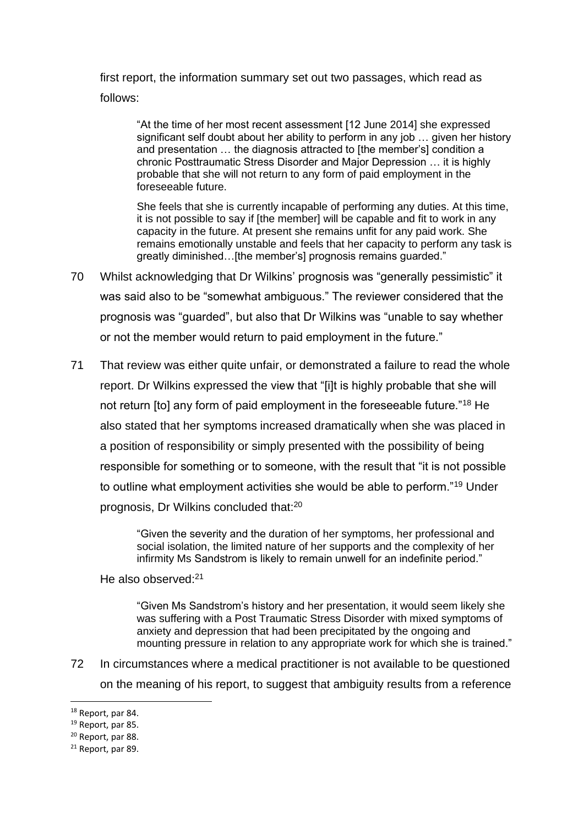first report, the information summary set out two passages, which read as follows:

"At the time of her most recent assessment [12 June 2014] she expressed significant self doubt about her ability to perform in any job … given her history and presentation … the diagnosis attracted to [the member's] condition a chronic Posttraumatic Stress Disorder and Major Depression … it is highly probable that she will not return to any form of paid employment in the foreseeable future.

She feels that she is currently incapable of performing any duties. At this time, it is not possible to say if [the member] will be capable and fit to work in any capacity in the future. At present she remains unfit for any paid work. She remains emotionally unstable and feels that her capacity to perform any task is greatly diminished…[the member's] prognosis remains guarded."

- 70 Whilst acknowledging that Dr Wilkins' prognosis was "generally pessimistic" it was said also to be "somewhat ambiguous." The reviewer considered that the prognosis was "guarded", but also that Dr Wilkins was "unable to say whether or not the member would return to paid employment in the future."
- 71 That review was either quite unfair, or demonstrated a failure to read the whole report. Dr Wilkins expressed the view that "[i]t is highly probable that she will not return [to] any form of paid employment in the foreseeable future."<sup>18</sup> He also stated that her symptoms increased dramatically when she was placed in a position of responsibility or simply presented with the possibility of being responsible for something or to someone, with the result that "it is not possible to outline what employment activities she would be able to perform."<sup>19</sup> Under prognosis, Dr Wilkins concluded that:<sup>20</sup>

"Given the severity and the duration of her symptoms, her professional and social isolation, the limited nature of her supports and the complexity of her infirmity Ms Sandstrom is likely to remain unwell for an indefinite period."

He also observed:<sup>21</sup>

"Given Ms Sandstrom's history and her presentation, it would seem likely she was suffering with a Post Traumatic Stress Disorder with mixed symptoms of anxiety and depression that had been precipitated by the ongoing and mounting pressure in relation to any appropriate work for which she is trained."

72 In circumstances where a medical practitioner is not available to be questioned on the meaning of his report, to suggest that ambiguity results from a reference

<sup>&</sup>lt;sup>18</sup> Report, par 84.

<sup>19</sup> Report, par 85.

<sup>&</sup>lt;sup>20</sup> Report, par 88.

<sup>&</sup>lt;sup>21</sup> Report, par 89.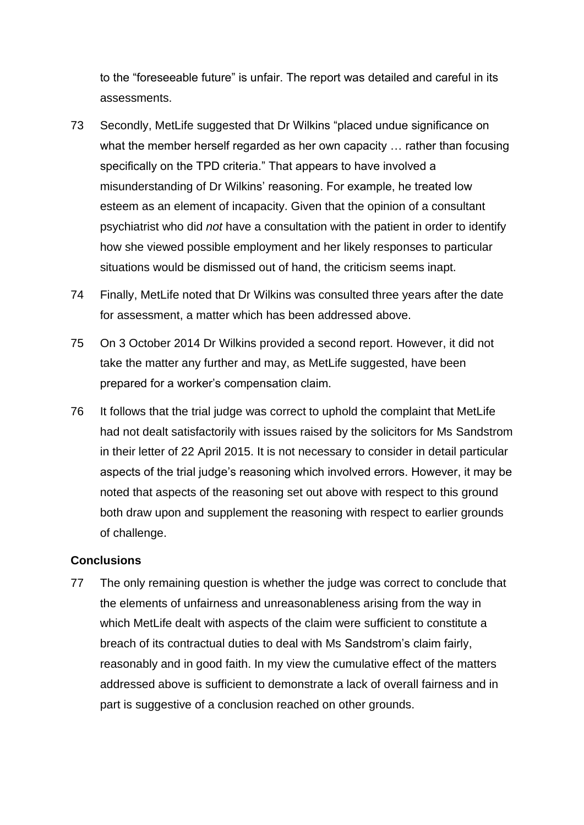to the "foreseeable future" is unfair. The report was detailed and careful in its assessments.

- 73 Secondly, MetLife suggested that Dr Wilkins "placed undue significance on what the member herself regarded as her own capacity ... rather than focusing specifically on the TPD criteria." That appears to have involved a misunderstanding of Dr Wilkins' reasoning. For example, he treated low esteem as an element of incapacity. Given that the opinion of a consultant psychiatrist who did *not* have a consultation with the patient in order to identify how she viewed possible employment and her likely responses to particular situations would be dismissed out of hand, the criticism seems inapt.
- 74 Finally, MetLife noted that Dr Wilkins was consulted three years after the date for assessment, a matter which has been addressed above.
- 75 On 3 October 2014 Dr Wilkins provided a second report. However, it did not take the matter any further and may, as MetLife suggested, have been prepared for a worker's compensation claim.
- 76 It follows that the trial judge was correct to uphold the complaint that MetLife had not dealt satisfactorily with issues raised by the solicitors for Ms Sandstrom in their letter of 22 April 2015. It is not necessary to consider in detail particular aspects of the trial judge's reasoning which involved errors. However, it may be noted that aspects of the reasoning set out above with respect to this ground both draw upon and supplement the reasoning with respect to earlier grounds of challenge.

### **Conclusions**

77 The only remaining question is whether the judge was correct to conclude that the elements of unfairness and unreasonableness arising from the way in which MetLife dealt with aspects of the claim were sufficient to constitute a breach of its contractual duties to deal with Ms Sandstrom's claim fairly, reasonably and in good faith. In my view the cumulative effect of the matters addressed above is sufficient to demonstrate a lack of overall fairness and in part is suggestive of a conclusion reached on other grounds.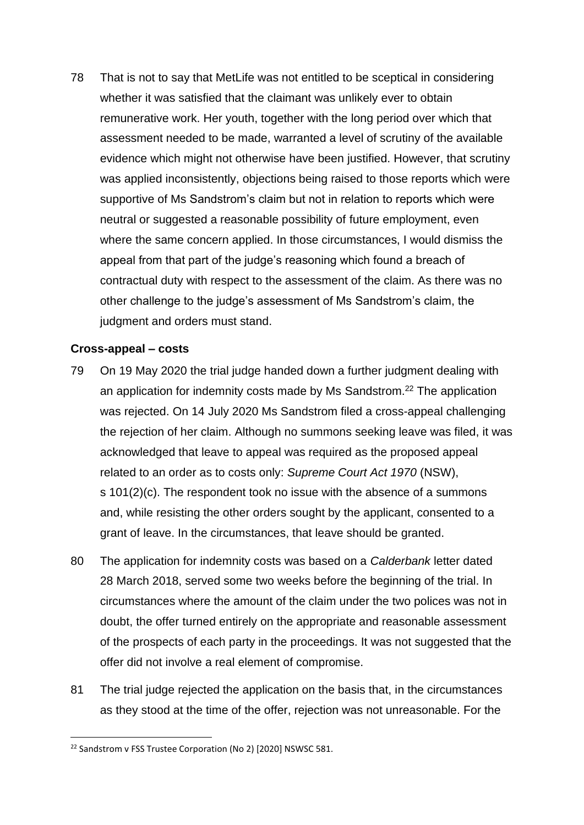78 That is not to say that MetLife was not entitled to be sceptical in considering whether it was satisfied that the claimant was unlikely ever to obtain remunerative work. Her youth, together with the long period over which that assessment needed to be made, warranted a level of scrutiny of the available evidence which might not otherwise have been justified. However, that scrutiny was applied inconsistently, objections being raised to those reports which were supportive of Ms Sandstrom's claim but not in relation to reports which were neutral or suggested a reasonable possibility of future employment, even where the same concern applied. In those circumstances, I would dismiss the appeal from that part of the judge's reasoning which found a breach of contractual duty with respect to the assessment of the claim. As there was no other challenge to the judge's assessment of Ms Sandstrom's claim, the judgment and orders must stand.

### **Cross-appeal – costs**

- 79 On 19 May 2020 the trial judge handed down a further judgment dealing with an application for indemnity costs made by Ms Sandstrom.<sup>22</sup> The application was rejected. On 14 July 2020 Ms Sandstrom filed a cross-appeal challenging the rejection of her claim. Although no summons seeking leave was filed, it was acknowledged that leave to appeal was required as the proposed appeal related to an order as to costs only: *Supreme Court Act 1970* (NSW), s 101(2)(c). The respondent took no issue with the absence of a summons and, while resisting the other orders sought by the applicant, consented to a grant of leave. In the circumstances, that leave should be granted.
- 80 The application for indemnity costs was based on a *Calderbank* letter dated 28 March 2018, served some two weeks before the beginning of the trial. In circumstances where the amount of the claim under the two polices was not in doubt, the offer turned entirely on the appropriate and reasonable assessment of the prospects of each party in the proceedings. It was not suggested that the offer did not involve a real element of compromise.
- 81 The trial judge rejected the application on the basis that, in the circumstances as they stood at the time of the offer, rejection was not unreasonable. For the

<sup>&</sup>lt;sup>22</sup> Sandstrom v FSS Trustee Corporation (No 2) [2020] NSWSC 581.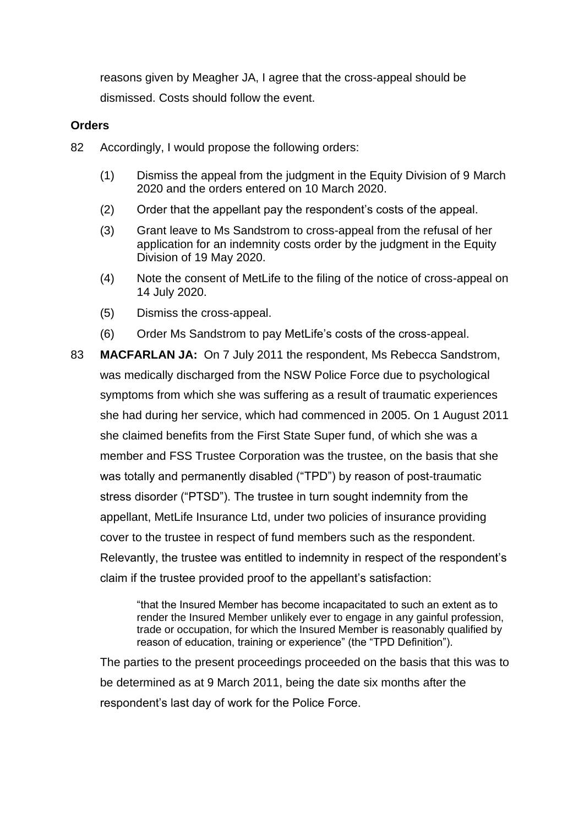reasons given by Meagher JA, I agree that the cross-appeal should be dismissed. Costs should follow the event.

### **Orders**

- 82 Accordingly, I would propose the following orders:
	- (1) Dismiss the appeal from the judgment in the Equity Division of 9 March 2020 and the orders entered on 10 March 2020.
	- (2) Order that the appellant pay the respondent's costs of the appeal.
	- (3) Grant leave to Ms Sandstrom to cross-appeal from the refusal of her application for an indemnity costs order by the judgment in the Equity Division of 19 May 2020.
	- (4) Note the consent of MetLife to the filing of the notice of cross-appeal on 14 July 2020.
	- (5) Dismiss the cross-appeal.
	- (6) Order Ms Sandstrom to pay MetLife's costs of the cross-appeal.

83 **MACFARLAN JA:** On 7 July 2011 the respondent, Ms Rebecca Sandstrom, was medically discharged from the NSW Police Force due to psychological symptoms from which she was suffering as a result of traumatic experiences she had during her service, which had commenced in 2005. On 1 August 2011 she claimed benefits from the First State Super fund, of which she was a member and FSS Trustee Corporation was the trustee, on the basis that she was totally and permanently disabled ("TPD") by reason of post-traumatic stress disorder ("PTSD"). The trustee in turn sought indemnity from the appellant, MetLife Insurance Ltd, under two policies of insurance providing cover to the trustee in respect of fund members such as the respondent. Relevantly, the trustee was entitled to indemnity in respect of the respondent's claim if the trustee provided proof to the appellant's satisfaction:

> "that the Insured Member has become incapacitated to such an extent as to render the Insured Member unlikely ever to engage in any gainful profession, trade or occupation, for which the Insured Member is reasonably qualified by reason of education, training or experience" (the "TPD Definition").

The parties to the present proceedings proceeded on the basis that this was to be determined as at 9 March 2011, being the date six months after the respondent's last day of work for the Police Force.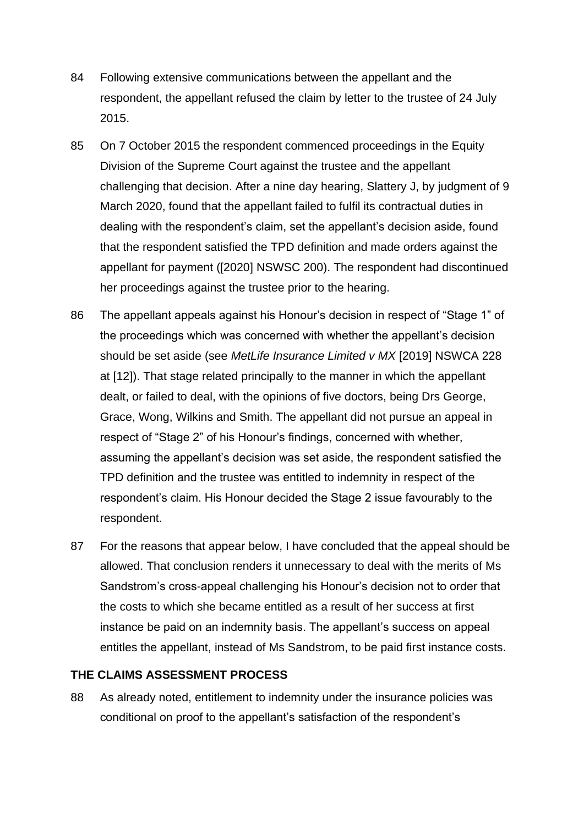- 84 Following extensive communications between the appellant and the respondent, the appellant refused the claim by letter to the trustee of 24 July 2015.
- 85 On 7 October 2015 the respondent commenced proceedings in the Equity Division of the Supreme Court against the trustee and the appellant challenging that decision. After a nine day hearing, Slattery J, by judgment of 9 March 2020, found that the appellant failed to fulfil its contractual duties in dealing with the respondent's claim, set the appellant's decision aside, found that the respondent satisfied the TPD definition and made orders against the appellant for payment ([2020] NSWSC 200). The respondent had discontinued her proceedings against the trustee prior to the hearing.
- 86 The appellant appeals against his Honour's decision in respect of "Stage 1" of the proceedings which was concerned with whether the appellant's decision should be set aside (see *MetLife Insurance Limited v MX* [2019] NSWCA 228 at [12]). That stage related principally to the manner in which the appellant dealt, or failed to deal, with the opinions of five doctors, being Drs George, Grace, Wong, Wilkins and Smith. The appellant did not pursue an appeal in respect of "Stage 2" of his Honour's findings, concerned with whether, assuming the appellant's decision was set aside, the respondent satisfied the TPD definition and the trustee was entitled to indemnity in respect of the respondent's claim. His Honour decided the Stage 2 issue favourably to the respondent.
- 87 For the reasons that appear below, I have concluded that the appeal should be allowed. That conclusion renders it unnecessary to deal with the merits of Ms Sandstrom's cross-appeal challenging his Honour's decision not to order that the costs to which she became entitled as a result of her success at first instance be paid on an indemnity basis. The appellant's success on appeal entitles the appellant, instead of Ms Sandstrom, to be paid first instance costs.

### **THE CLAIMS ASSESSMENT PROCESS**

88 As already noted, entitlement to indemnity under the insurance policies was conditional on proof to the appellant's satisfaction of the respondent's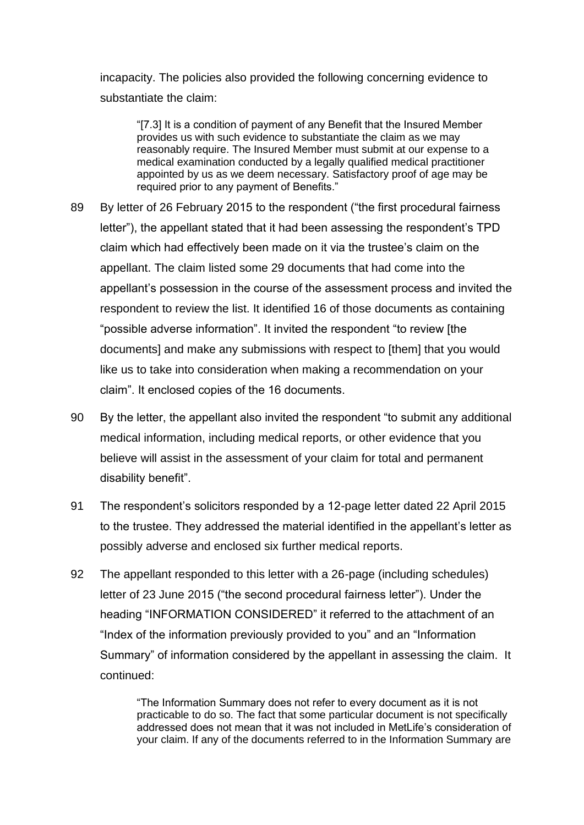incapacity. The policies also provided the following concerning evidence to substantiate the claim:

"[7.3] It is a condition of payment of any Benefit that the Insured Member provides us with such evidence to substantiate the claim as we may reasonably require. The Insured Member must submit at our expense to a medical examination conducted by a legally qualified medical practitioner appointed by us as we deem necessary. Satisfactory proof of age may be required prior to any payment of Benefits."

- 89 By letter of 26 February 2015 to the respondent ("the first procedural fairness letter"), the appellant stated that it had been assessing the respondent's TPD claim which had effectively been made on it via the trustee's claim on the appellant. The claim listed some 29 documents that had come into the appellant's possession in the course of the assessment process and invited the respondent to review the list. It identified 16 of those documents as containing "possible adverse information". It invited the respondent "to review [the documents] and make any submissions with respect to [them] that you would like us to take into consideration when making a recommendation on your claim". It enclosed copies of the 16 documents.
- 90 By the letter, the appellant also invited the respondent "to submit any additional medical information, including medical reports, or other evidence that you believe will assist in the assessment of your claim for total and permanent disability benefit".
- 91 The respondent's solicitors responded by a 12-page letter dated 22 April 2015 to the trustee. They addressed the material identified in the appellant's letter as possibly adverse and enclosed six further medical reports.
- 92 The appellant responded to this letter with a 26-page (including schedules) letter of 23 June 2015 ("the second procedural fairness letter"). Under the heading "INFORMATION CONSIDERED" it referred to the attachment of an "Index of the information previously provided to you" and an "Information Summary" of information considered by the appellant in assessing the claim. It continued:

"The Information Summary does not refer to every document as it is not practicable to do so. The fact that some particular document is not specifically addressed does not mean that it was not included in MetLife's consideration of your claim. If any of the documents referred to in the Information Summary are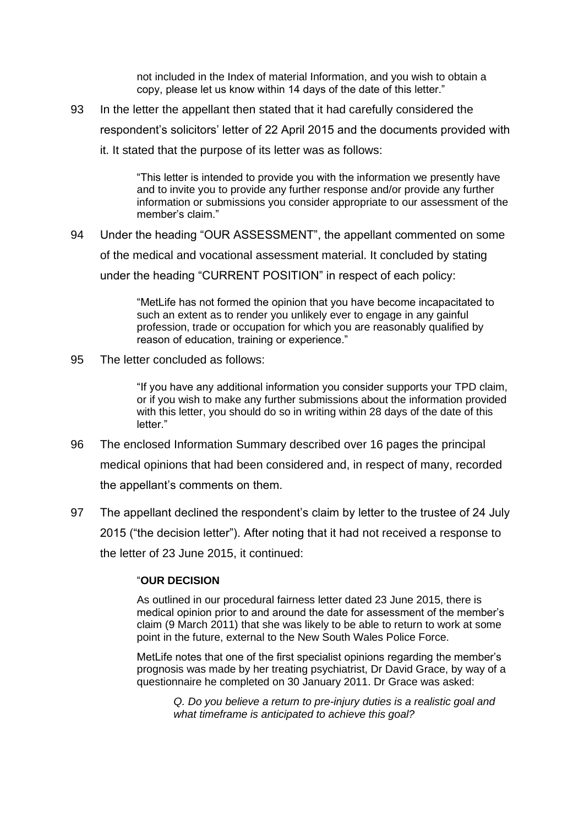not included in the Index of material Information, and you wish to obtain a copy, please let us know within 14 days of the date of this letter."

93 In the letter the appellant then stated that it had carefully considered the respondent's solicitors' letter of 22 April 2015 and the documents provided with

it. It stated that the purpose of its letter was as follows:

"This letter is intended to provide you with the information we presently have and to invite you to provide any further response and/or provide any further information or submissions you consider appropriate to our assessment of the member's claim."

94 Under the heading "OUR ASSESSMENT", the appellant commented on some of the medical and vocational assessment material. It concluded by stating under the heading "CURRENT POSITION" in respect of each policy:

> "MetLife has not formed the opinion that you have become incapacitated to such an extent as to render you unlikely ever to engage in any gainful profession, trade or occupation for which you are reasonably qualified by reason of education, training or experience."

95 The letter concluded as follows:

"If you have any additional information you consider supports your TPD claim, or if you wish to make any further submissions about the information provided with this letter, you should do so in writing within 28 days of the date of this letter."

- 96 The enclosed Information Summary described over 16 pages the principal medical opinions that had been considered and, in respect of many, recorded the appellant's comments on them.
- 97 The appellant declined the respondent's claim by letter to the trustee of 24 July 2015 ("the decision letter"). After noting that it had not received a response to the letter of 23 June 2015, it continued:

### "**OUR DECISION**

As outlined in our procedural fairness letter dated 23 June 2015, there is medical opinion prior to and around the date for assessment of the member's claim (9 March 2011) that she was likely to be able to return to work at some point in the future, external to the New South Wales Police Force.

MetLife notes that one of the first specialist opinions regarding the member's prognosis was made by her treating psychiatrist, Dr David Grace, by way of a questionnaire he completed on 30 January 2011. Dr Grace was asked:

*Q. Do you believe a return to pre-injury duties is a realistic goal and what timeframe is anticipated to achieve this goal?*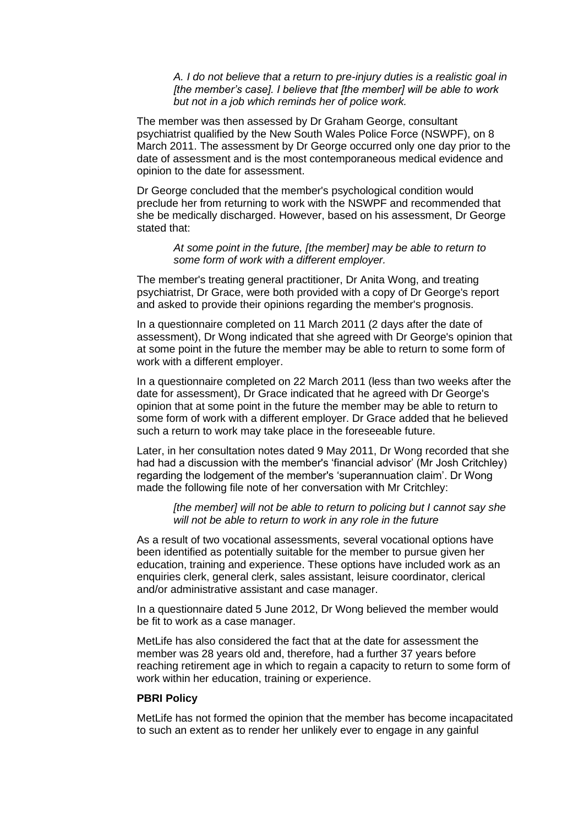*A. I do not believe that a return to pre-injury duties is a realistic goal in [the member's case]. I believe that [the member] will be able to work but not in a job which reminds her of police work.*

The member was then assessed by Dr Graham George, consultant psychiatrist qualified by the New South Wales Police Force (NSWPF), on 8 March 2011. The assessment by Dr George occurred only one day prior to the date of assessment and is the most contemporaneous medical evidence and opinion to the date for assessment.

Dr George concluded that the member's psychological condition would preclude her from returning to work with the NSWPF and recommended that she be medically discharged. However, based on his assessment, Dr George stated that:

*At some point in the future, [the member] may be able to return to some form of work with a different employer.*

The member's treating general practitioner, Dr Anita Wong, and treating psychiatrist, Dr Grace, were both provided with a copy of Dr George's report and asked to provide their opinions regarding the member's prognosis.

In a questionnaire completed on 11 March 2011 (2 days after the date of assessment), Dr Wong indicated that she agreed with Dr George's opinion that at some point in the future the member may be able to return to some form of work with a different employer.

In a questionnaire completed on 22 March 2011 (less than two weeks after the date for assessment), Dr Grace indicated that he agreed with Dr George's opinion that at some point in the future the member may be able to return to some form of work with a different employer. Dr Grace added that he believed such a return to work may take place in the foreseeable future.

Later, in her consultation notes dated 9 May 2011, Dr Wong recorded that she had had a discussion with the member's 'financial advisor' (Mr Josh Critchley) regarding the lodgement of the member's 'superannuation claim'. Dr Wong made the following file note of her conversation with Mr Critchley:

*[the member] will not be able to return to policing but I cannot say she will not be able to return to work in any role in the future*

As a result of two vocational assessments, several vocational options have been identified as potentially suitable for the member to pursue given her education, training and experience. These options have included work as an enquiries clerk, general clerk, sales assistant, leisure coordinator, clerical and/or administrative assistant and case manager.

In a questionnaire dated 5 June 2012, Dr Wong believed the member would be fit to work as a case manager.

MetLife has also considered the fact that at the date for assessment the member was 28 years old and, therefore, had a further 37 years before reaching retirement age in which to regain a capacity to return to some form of work within her education, training or experience.

#### **PBRI Policy**

MetLife has not formed the opinion that the member has become incapacitated to such an extent as to render her unlikely ever to engage in any gainful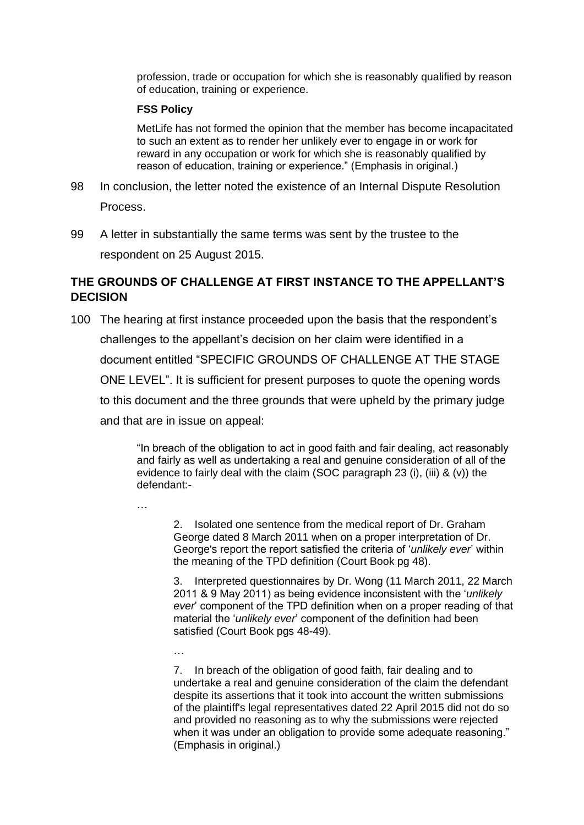profession, trade or occupation for which she is reasonably qualified by reason of education, training or experience.

#### **FSS Policy**

MetLife has not formed the opinion that the member has become incapacitated to such an extent as to render her unlikely ever to engage in or work for reward in any occupation or work for which she is reasonably qualified by reason of education, training or experience." (Emphasis in original.)

98 In conclusion, the letter noted the existence of an Internal Dispute Resolution Process.

99 A letter in substantially the same terms was sent by the trustee to the respondent on 25 August 2015.

# **THE GROUNDS OF CHALLENGE AT FIRST INSTANCE TO THE APPELLANT'S DECISION**

100 The hearing at first instance proceeded upon the basis that the respondent's challenges to the appellant's decision on her claim were identified in a document entitled "SPECIFIC GROUNDS OF CHALLENGE AT THE STAGE ONE LEVEL". It is sufficient for present purposes to quote the opening words to this document and the three grounds that were upheld by the primary judge and that are in issue on appeal:

> "In breach of the obligation to act in good faith and fair dealing, act reasonably and fairly as well as undertaking a real and genuine consideration of all of the evidence to fairly deal with the claim (SOC paragraph 23 (i), (iii)  $\&$  (v)) the defendant:-

…

…

2. Isolated one sentence from the medical report of Dr. Graham George dated 8 March 2011 when on a proper interpretation of Dr. George's report the report satisfied the criteria of '*unlikely ever*' within the meaning of the TPD definition (Court Book pg 48).

3. Interpreted questionnaires by Dr. Wong (11 March 2011, 22 March 2011 & 9 May 2011) as being evidence inconsistent with the '*unlikely ever*' component of the TPD definition when on a proper reading of that material the '*unlikely ever*' component of the definition had been satisfied (Court Book pgs 48-49).

7. In breach of the obligation of good faith, fair dealing and to undertake a real and genuine consideration of the claim the defendant despite its assertions that it took into account the written submissions of the plaintiff's legal representatives dated 22 April 2015 did not do so and provided no reasoning as to why the submissions were rejected when it was under an obligation to provide some adequate reasoning." (Emphasis in original.)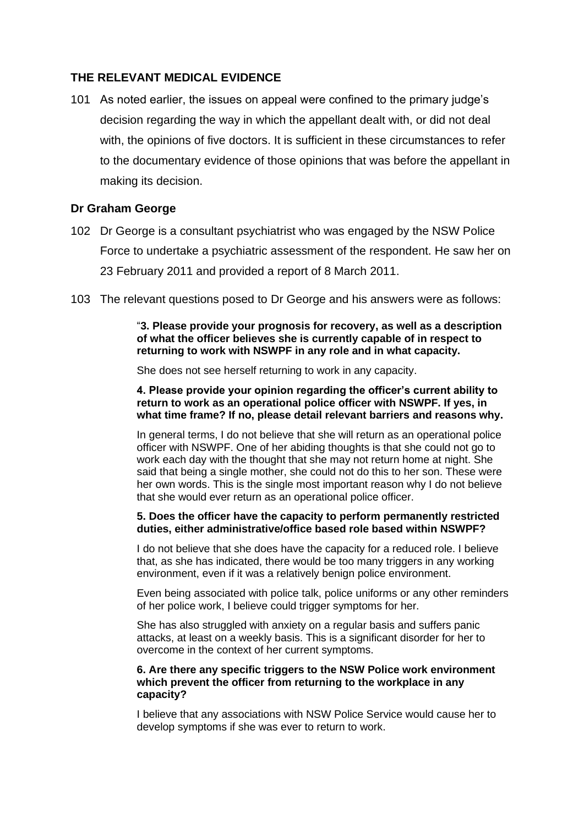### **THE RELEVANT MEDICAL EVIDENCE**

101 As noted earlier, the issues on appeal were confined to the primary judge's decision regarding the way in which the appellant dealt with, or did not deal with, the opinions of five doctors. It is sufficient in these circumstances to refer to the documentary evidence of those opinions that was before the appellant in making its decision.

## **Dr Graham George**

- 102 Dr George is a consultant psychiatrist who was engaged by the NSW Police Force to undertake a psychiatric assessment of the respondent. He saw her on 23 February 2011 and provided a report of 8 March 2011.
- 103 The relevant questions posed to Dr George and his answers were as follows:

"**3. Please provide your prognosis for recovery, as well as a description of what the officer believes she is currently capable of in respect to returning to work with NSWPF in any role and in what capacity.**

She does not see herself returning to work in any capacity.

**4. Please provide your opinion regarding the officer's current ability to return to work as an operational police officer with NSWPF. If yes, in what time frame? If no, please detail relevant barriers and reasons why.**

In general terms, I do not believe that she will return as an operational police officer with NSWPF. One of her abiding thoughts is that she could not go to work each day with the thought that she may not return home at night. She said that being a single mother, she could not do this to her son. These were her own words. This is the single most important reason why I do not believe that she would ever return as an operational police officer.

#### **5. Does the officer have the capacity to perform permanently restricted duties, either administrative/office based role based within NSWPF?**

I do not believe that she does have the capacity for a reduced role. I believe that, as she has indicated, there would be too many triggers in any working environment, even if it was a relatively benign police environment.

Even being associated with police talk, police uniforms or any other reminders of her police work, I believe could trigger symptoms for her.

She has also struggled with anxiety on a regular basis and suffers panic attacks, at least on a weekly basis. This is a significant disorder for her to overcome in the context of her current symptoms.

### **6. Are there any specific triggers to the NSW Police work environment which prevent the officer from returning to the workplace in any capacity?**

I believe that any associations with NSW Police Service would cause her to develop symptoms if she was ever to return to work.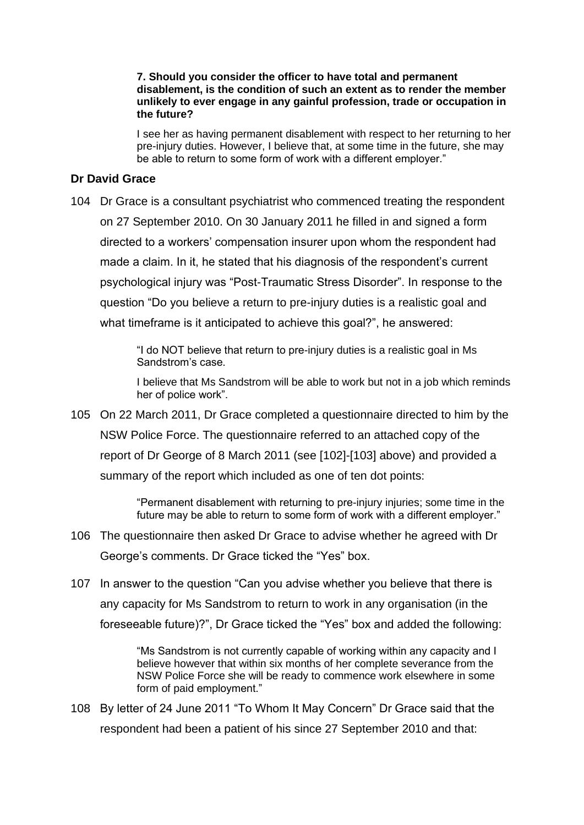#### **7. Should you consider the officer to have total and permanent disablement, is the condition of such an extent as to render the member unlikely to ever engage in any gainful profession, trade or occupation in the future?**

I see her as having permanent disablement with respect to her returning to her pre-injury duties. However, I believe that, at some time in the future, she may be able to return to some form of work with a different employer."

### **Dr David Grace**

104 Dr Grace is a consultant psychiatrist who commenced treating the respondent on 27 September 2010. On 30 January 2011 he filled in and signed a form directed to a workers' compensation insurer upon whom the respondent had made a claim. In it, he stated that his diagnosis of the respondent's current psychological injury was "Post-Traumatic Stress Disorder". In response to the question "Do you believe a return to pre-injury duties is a realistic goal and what timeframe is it anticipated to achieve this goal?", he answered:

> "I do NOT believe that return to pre-injury duties is a realistic goal in Ms Sandstrom's case.

I believe that Ms Sandstrom will be able to work but not in a job which reminds her of police work".

105 On 22 March 2011, Dr Grace completed a questionnaire directed to him by the NSW Police Force. The questionnaire referred to an attached copy of the report of Dr George of 8 March 2011 (see [102]-[103] above) and provided a summary of the report which included as one of ten dot points:

> "Permanent disablement with returning to pre-injury injuries; some time in the future may be able to return to some form of work with a different employer."

- 106 The questionnaire then asked Dr Grace to advise whether he agreed with Dr George's comments. Dr Grace ticked the "Yes" box.
- 107 In answer to the question "Can you advise whether you believe that there is any capacity for Ms Sandstrom to return to work in any organisation (in the foreseeable future)?", Dr Grace ticked the "Yes" box and added the following:

"Ms Sandstrom is not currently capable of working within any capacity and I believe however that within six months of her complete severance from the NSW Police Force she will be ready to commence work elsewhere in some form of paid employment."

108 By letter of 24 June 2011 "To Whom It May Concern" Dr Grace said that the respondent had been a patient of his since 27 September 2010 and that: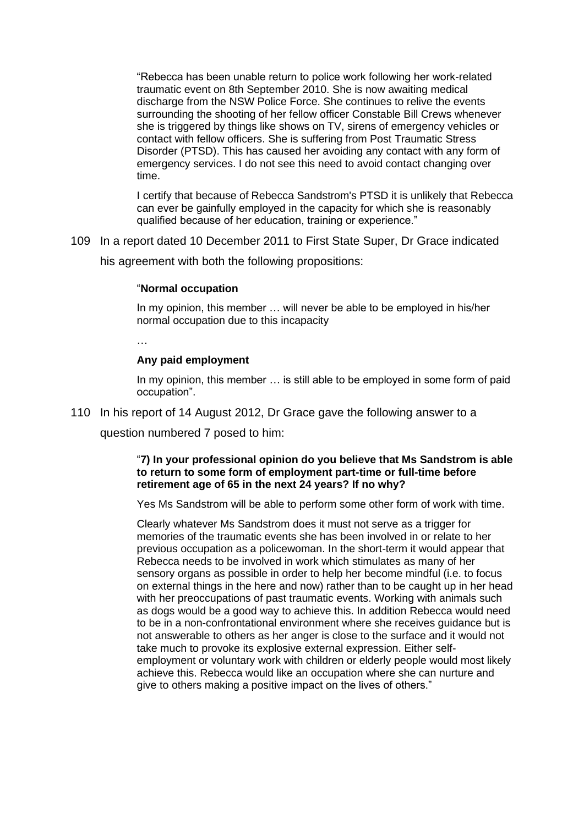"Rebecca has been unable return to police work following her work-related traumatic event on 8th September 2010. She is now awaiting medical discharge from the NSW Police Force. She continues to relive the events surrounding the shooting of her fellow officer Constable Bill Crews whenever she is triggered by things like shows on TV, sirens of emergency vehicles or contact with fellow officers. She is suffering from Post Traumatic Stress Disorder (PTSD). This has caused her avoiding any contact with any form of emergency services. I do not see this need to avoid contact changing over time.

I certify that because of Rebecca Sandstrom's PTSD it is unlikely that Rebecca can ever be gainfully employed in the capacity for which she is reasonably qualified because of her education, training or experience."

109 In a report dated 10 December 2011 to First State Super, Dr Grace indicated his agreement with both the following propositions:

### "**Normal occupation**

In my opinion, this member … will never be able to be employed in his/her normal occupation due to this incapacity

…

#### **Any paid employment**

In my opinion, this member ... is still able to be employed in some form of paid occupation".

110 In his report of 14 August 2012, Dr Grace gave the following answer to a

question numbered 7 posed to him:

#### "**7) In your professional opinion do you believe that Ms Sandstrom is able to return to some form of employment part-time or full-time before retirement age of 65 in the next 24 years? If no why?**

Yes Ms Sandstrom will be able to perform some other form of work with time.

Clearly whatever Ms Sandstrom does it must not serve as a trigger for memories of the traumatic events she has been involved in or relate to her previous occupation as a policewoman. In the short-term it would appear that Rebecca needs to be involved in work which stimulates as many of her sensory organs as possible in order to help her become mindful (i.e. to focus on external things in the here and now) rather than to be caught up in her head with her preoccupations of past traumatic events. Working with animals such as dogs would be a good way to achieve this. In addition Rebecca would need to be in a non-confrontational environment where she receives guidance but is not answerable to others as her anger is close to the surface and it would not take much to provoke its explosive external expression. Either selfemployment or voluntary work with children or elderly people would most likely achieve this. Rebecca would like an occupation where she can nurture and give to others making a positive impact on the lives of others."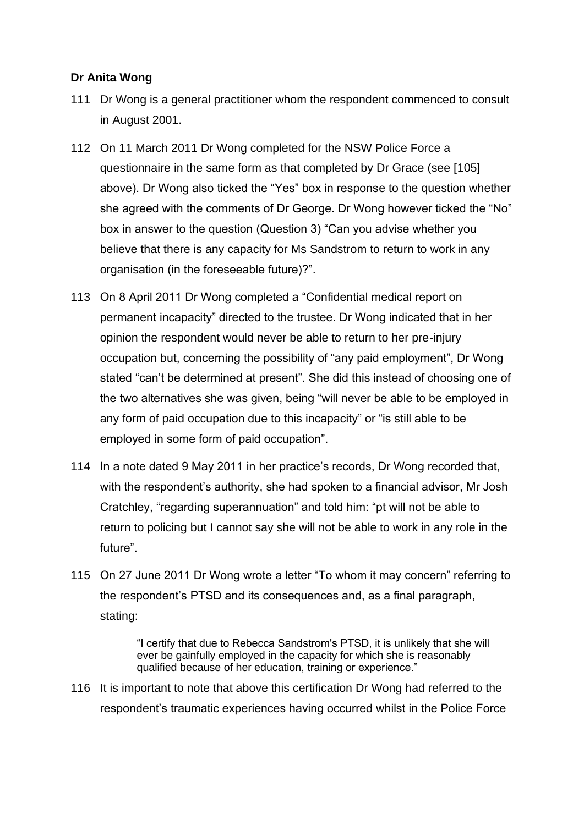# **Dr Anita Wong**

- 111 Dr Wong is a general practitioner whom the respondent commenced to consult in August 2001.
- 112 On 11 March 2011 Dr Wong completed for the NSW Police Force a questionnaire in the same form as that completed by Dr Grace (see [105] above). Dr Wong also ticked the "Yes" box in response to the question whether she agreed with the comments of Dr George. Dr Wong however ticked the "No" box in answer to the question (Question 3) "Can you advise whether you believe that there is any capacity for Ms Sandstrom to return to work in any organisation (in the foreseeable future)?".
- 113 On 8 April 2011 Dr Wong completed a "Confidential medical report on permanent incapacity" directed to the trustee. Dr Wong indicated that in her opinion the respondent would never be able to return to her pre-injury occupation but, concerning the possibility of "any paid employment", Dr Wong stated "can't be determined at present". She did this instead of choosing one of the two alternatives she was given, being "will never be able to be employed in any form of paid occupation due to this incapacity" or "is still able to be employed in some form of paid occupation".
- 114 In a note dated 9 May 2011 in her practice's records, Dr Wong recorded that, with the respondent's authority, she had spoken to a financial advisor, Mr Josh Cratchley, "regarding superannuation" and told him: "pt will not be able to return to policing but I cannot say she will not be able to work in any role in the future".
- 115 On 27 June 2011 Dr Wong wrote a letter "To whom it may concern" referring to the respondent's PTSD and its consequences and, as a final paragraph, stating:

"I certify that due to Rebecca Sandstrom's PTSD, it is unlikely that she will ever be gainfully employed in the capacity for which she is reasonably qualified because of her education, training or experience."

116 It is important to note that above this certification Dr Wong had referred to the respondent's traumatic experiences having occurred whilst in the Police Force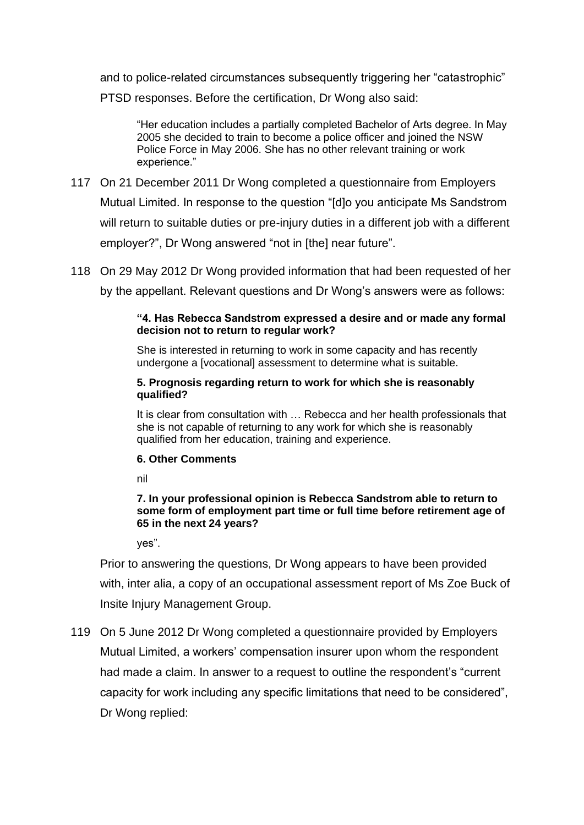and to police-related circumstances subsequently triggering her "catastrophic"

PTSD responses. Before the certification, Dr Wong also said:

"Her education includes a partially completed Bachelor of Arts degree. In May 2005 she decided to train to become a police officer and joined the NSW Police Force in May 2006. She has no other relevant training or work experience."

- 117 On 21 December 2011 Dr Wong completed a questionnaire from Employers Mutual Limited. In response to the question "[d]o you anticipate Ms Sandstrom will return to suitable duties or pre-injury duties in a different job with a different employer?", Dr Wong answered "not in [the] near future".
- 118 On 29 May 2012 Dr Wong provided information that had been requested of her

by the appellant. Relevant questions and Dr Wong's answers were as follows:

### **"4. Has Rebecca Sandstrom expressed a desire and or made any formal decision not to return to regular work?**

She is interested in returning to work in some capacity and has recently undergone a [vocational] assessment to determine what is suitable.

### **5. Prognosis regarding return to work for which she is reasonably qualified?**

It is clear from consultation with … Rebecca and her health professionals that she is not capable of returning to any work for which she is reasonably qualified from her education, training and experience.

### **6. Other Comments**

nil

### **7. In your professional opinion is Rebecca Sandstrom able to return to some form of employment part time or full time before retirement age of 65 in the next 24 years?**

yes".

Prior to answering the questions, Dr Wong appears to have been provided with, inter alia, a copy of an occupational assessment report of Ms Zoe Buck of Insite Injury Management Group.

119 On 5 June 2012 Dr Wong completed a questionnaire provided by Employers Mutual Limited, a workers' compensation insurer upon whom the respondent had made a claim. In answer to a request to outline the respondent's "current capacity for work including any specific limitations that need to be considered", Dr Wong replied: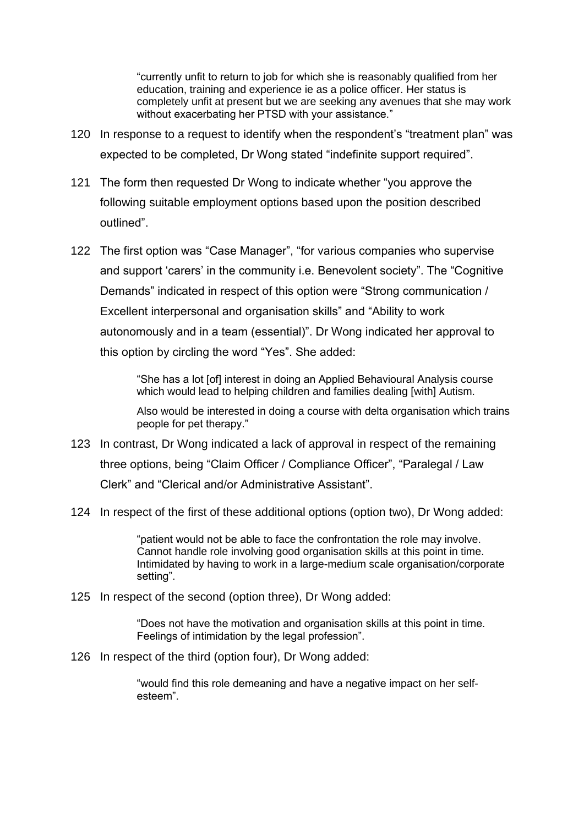"currently unfit to return to job for which she is reasonably qualified from her education, training and experience ie as a police officer. Her status is completely unfit at present but we are seeking any avenues that she may work without exacerbating her PTSD with your assistance."

- 120 In response to a request to identify when the respondent's "treatment plan" was expected to be completed, Dr Wong stated "indefinite support required".
- 121 The form then requested Dr Wong to indicate whether "you approve the following suitable employment options based upon the position described outlined".
- 122 The first option was "Case Manager", "for various companies who supervise and support 'carers' in the community i.e. Benevolent society". The "Cognitive Demands" indicated in respect of this option were "Strong communication / Excellent interpersonal and organisation skills" and "Ability to work autonomously and in a team (essential)". Dr Wong indicated her approval to this option by circling the word "Yes". She added:

"She has a lot [of] interest in doing an Applied Behavioural Analysis course which would lead to helping children and families dealing [with] Autism.

Also would be interested in doing a course with delta organisation which trains people for pet therapy."

- 123 In contrast, Dr Wong indicated a lack of approval in respect of the remaining three options, being "Claim Officer / Compliance Officer", "Paralegal / Law Clerk" and "Clerical and/or Administrative Assistant".
- 124 In respect of the first of these additional options (option two), Dr Wong added:

"patient would not be able to face the confrontation the role may involve. Cannot handle role involving good organisation skills at this point in time. Intimidated by having to work in a large-medium scale organisation/corporate setting".

125 In respect of the second (option three), Dr Wong added:

"Does not have the motivation and organisation skills at this point in time. Feelings of intimidation by the legal profession".

126 In respect of the third (option four), Dr Wong added:

"would find this role demeaning and have a negative impact on her selfesteem".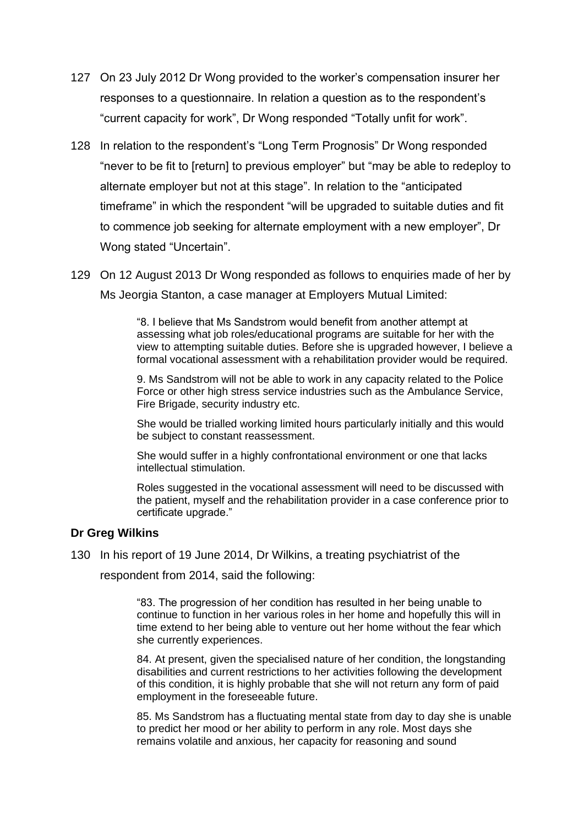- 127 On 23 July 2012 Dr Wong provided to the worker's compensation insurer her responses to a questionnaire. In relation a question as to the respondent's "current capacity for work", Dr Wong responded "Totally unfit for work".
- 128 In relation to the respondent's "Long Term Prognosis" Dr Wong responded "never to be fit to [return] to previous employer" but "may be able to redeploy to alternate employer but not at this stage". In relation to the "anticipated timeframe" in which the respondent "will be upgraded to suitable duties and fit to commence job seeking for alternate employment with a new employer", Dr Wong stated "Uncertain".
- 129 On 12 August 2013 Dr Wong responded as follows to enquiries made of her by Ms Jeorgia Stanton, a case manager at Employers Mutual Limited:

"8. I believe that Ms Sandstrom would benefit from another attempt at assessing what job roles/educational programs are suitable for her with the view to attempting suitable duties. Before she is upgraded however, I believe a formal vocational assessment with a rehabilitation provider would be required.

9. Ms Sandstrom will not be able to work in any capacity related to the Police Force or other high stress service industries such as the Ambulance Service, Fire Brigade, security industry etc.

She would be trialled working limited hours particularly initially and this would be subject to constant reassessment.

She would suffer in a highly confrontational environment or one that lacks intellectual stimulation.

Roles suggested in the vocational assessment will need to be discussed with the patient, myself and the rehabilitation provider in a case conference prior to certificate upgrade."

### **Dr Greg Wilkins**

130 In his report of 19 June 2014, Dr Wilkins, a treating psychiatrist of the

respondent from 2014, said the following:

"83. The progression of her condition has resulted in her being unable to continue to function in her various roles in her home and hopefully this will in time extend to her being able to venture out her home without the fear which she currently experiences.

84. At present, given the specialised nature of her condition, the longstanding disabilities and current restrictions to her activities following the development of this condition, it is highly probable that she will not return any form of paid employment in the foreseeable future.

85. Ms Sandstrom has a fluctuating mental state from day to day she is unable to predict her mood or her ability to perform in any role. Most days she remains volatile and anxious, her capacity for reasoning and sound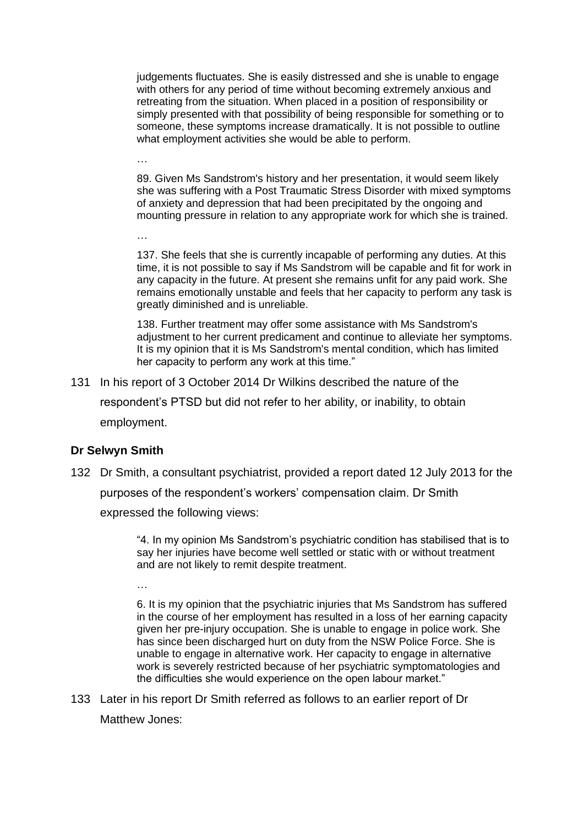judgements fluctuates. She is easily distressed and she is unable to engage with others for any period of time without becoming extremely anxious and retreating from the situation. When placed in a position of responsibility or simply presented with that possibility of being responsible for something or to someone, these symptoms increase dramatically. It is not possible to outline what employment activities she would be able to perform.

89. Given Ms Sandstrom's history and her presentation, it would seem likely she was suffering with a Post Traumatic Stress Disorder with mixed symptoms of anxiety and depression that had been precipitated by the ongoing and mounting pressure in relation to any appropriate work for which she is trained.

137. She feels that she is currently incapable of performing any duties. At this time, it is not possible to say if Ms Sandstrom will be capable and fit for work in any capacity in the future. At present she remains unfit for any paid work. She remains emotionally unstable and feels that her capacity to perform any task is greatly diminished and is unreliable.

138. Further treatment may offer some assistance with Ms Sandstrom's adjustment to her current predicament and continue to alleviate her symptoms. It is my opinion that it is Ms Sandstrom's mental condition, which has limited her capacity to perform any work at this time."

131 In his report of 3 October 2014 Dr Wilkins described the nature of the respondent's PTSD but did not refer to her ability, or inability, to obtain employment.

# **Dr Selwyn Smith**

…

…

132 Dr Smith, a consultant psychiatrist, provided a report dated 12 July 2013 for the

purposes of the respondent's workers' compensation claim. Dr Smith

expressed the following views:

"4. In my opinion Ms Sandstrom's psychiatric condition has stabilised that is to say her injuries have become well settled or static with or without treatment and are not likely to remit despite treatment.

…

6. It is my opinion that the psychiatric injuries that Ms Sandstrom has suffered in the course of her employment has resulted in a loss of her earning capacity given her pre-injury occupation. She is unable to engage in police work. She has since been discharged hurt on duty from the NSW Police Force. She is unable to engage in alternative work. Her capacity to engage in alternative work is severely restricted because of her psychiatric symptomatologies and the difficulties she would experience on the open labour market."

133 Later in his report Dr Smith referred as follows to an earlier report of Dr

Matthew Jones: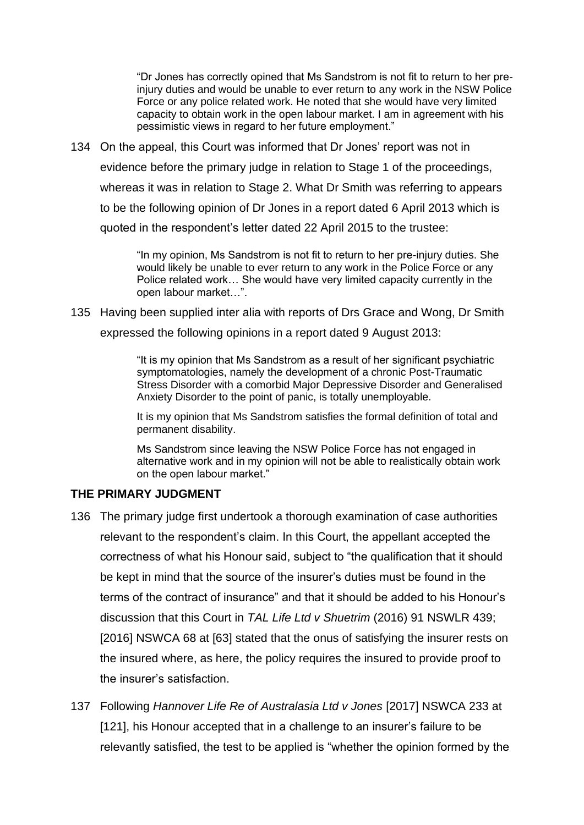"Dr Jones has correctly opined that Ms Sandstrom is not fit to return to her preinjury duties and would be unable to ever return to any work in the NSW Police Force or any police related work. He noted that she would have very limited capacity to obtain work in the open labour market. I am in agreement with his pessimistic views in regard to her future employment."

134 On the appeal, this Court was informed that Dr Jones' report was not in evidence before the primary judge in relation to Stage 1 of the proceedings, whereas it was in relation to Stage 2. What Dr Smith was referring to appears to be the following opinion of Dr Jones in a report dated 6 April 2013 which is quoted in the respondent's letter dated 22 April 2015 to the trustee:

> "In my opinion, Ms Sandstrom is not fit to return to her pre-injury duties. She would likely be unable to ever return to any work in the Police Force or any Police related work… She would have very limited capacity currently in the open labour market…".

135 Having been supplied inter alia with reports of Drs Grace and Wong, Dr Smith expressed the following opinions in a report dated 9 August 2013:

> "It is my opinion that Ms Sandstrom as a result of her significant psychiatric symptomatologies, namely the development of a chronic Post-Traumatic Stress Disorder with a comorbid Major Depressive Disorder and Generalised Anxiety Disorder to the point of panic, is totally unemployable.

It is my opinion that Ms Sandstrom satisfies the formal definition of total and permanent disability.

Ms Sandstrom since leaving the NSW Police Force has not engaged in alternative work and in my opinion will not be able to realistically obtain work on the open labour market."

### **THE PRIMARY JUDGMENT**

- 136 The primary judge first undertook a thorough examination of case authorities relevant to the respondent's claim. In this Court, the appellant accepted the correctness of what his Honour said, subject to "the qualification that it should be kept in mind that the source of the insurer's duties must be found in the terms of the contract of insurance" and that it should be added to his Honour's discussion that this Court in *TAL Life Ltd v Shuetrim* (2016) 91 NSWLR 439; [2016] NSWCA 68 at [63] stated that the onus of satisfying the insurer rests on the insured where, as here, the policy requires the insured to provide proof to the insurer's satisfaction.
- 137 Following *Hannover Life Re of Australasia Ltd v Jones* [2017] NSWCA 233 at [121], his Honour accepted that in a challenge to an insurer's failure to be relevantly satisfied, the test to be applied is "whether the opinion formed by the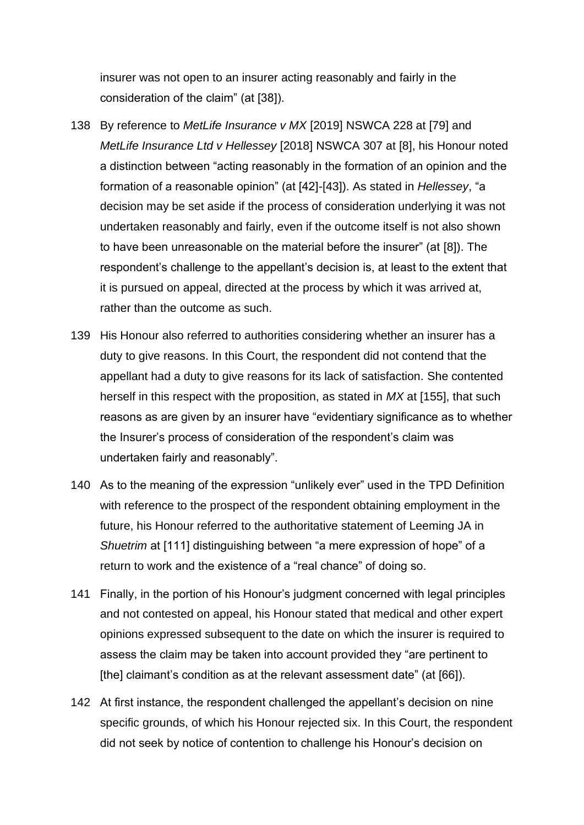insurer was not open to an insurer acting reasonably and fairly in the consideration of the claim" (at [38]).

- 138 By reference to *MetLife Insurance v MX* [2019] NSWCA 228 at [79] and *MetLife Insurance Ltd v Hellessey* [2018] NSWCA 307 at [8], his Honour noted a distinction between "acting reasonably in the formation of an opinion and the formation of a reasonable opinion" (at [42]-[43]). As stated in *Hellessey*, "a decision may be set aside if the process of consideration underlying it was not undertaken reasonably and fairly, even if the outcome itself is not also shown to have been unreasonable on the material before the insurer" (at [8]). The respondent's challenge to the appellant's decision is, at least to the extent that it is pursued on appeal, directed at the process by which it was arrived at, rather than the outcome as such.
- 139 His Honour also referred to authorities considering whether an insurer has a duty to give reasons. In this Court, the respondent did not contend that the appellant had a duty to give reasons for its lack of satisfaction. She contented herself in this respect with the proposition, as stated in *MX* at [155], that such reasons as are given by an insurer have "evidentiary significance as to whether the Insurer's process of consideration of the respondent's claim was undertaken fairly and reasonably".
- 140 As to the meaning of the expression "unlikely ever" used in the TPD Definition with reference to the prospect of the respondent obtaining employment in the future, his Honour referred to the authoritative statement of Leeming JA in *Shuetrim* at [111] distinguishing between "a mere expression of hope" of a return to work and the existence of a "real chance" of doing so.
- 141 Finally, in the portion of his Honour's judgment concerned with legal principles and not contested on appeal, his Honour stated that medical and other expert opinions expressed subsequent to the date on which the insurer is required to assess the claim may be taken into account provided they "are pertinent to [the] claimant's condition as at the relevant assessment date" (at [66]).
- 142 At first instance, the respondent challenged the appellant's decision on nine specific grounds, of which his Honour rejected six. In this Court, the respondent did not seek by notice of contention to challenge his Honour's decision on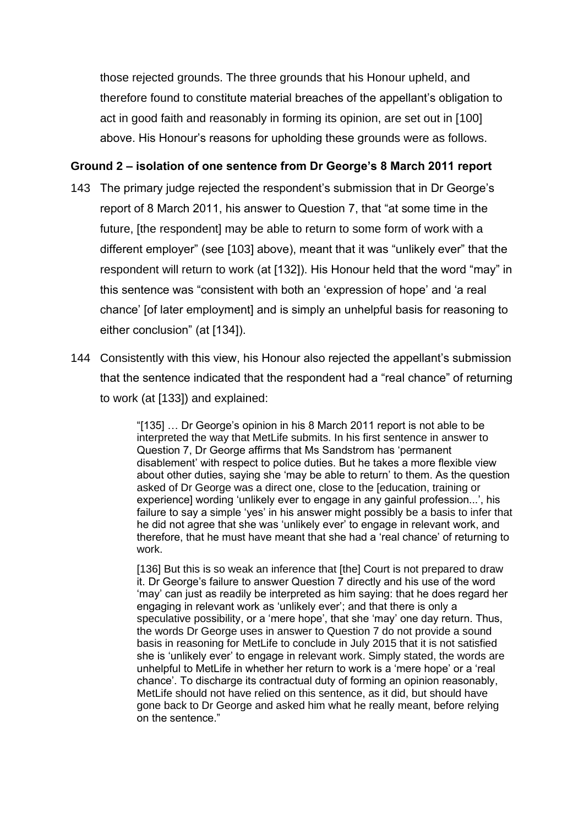those rejected grounds. The three grounds that his Honour upheld, and therefore found to constitute material breaches of the appellant's obligation to act in good faith and reasonably in forming its opinion, are set out in [100] above. His Honour's reasons for upholding these grounds were as follows.

# **Ground 2 – isolation of one sentence from Dr George's 8 March 2011 report**

- 143 The primary judge rejected the respondent's submission that in Dr George's report of 8 March 2011, his answer to Question 7, that "at some time in the future, [the respondent] may be able to return to some form of work with a different employer" (see [103] above), meant that it was "unlikely ever" that the respondent will return to work (at [132]). His Honour held that the word "may" in this sentence was "consistent with both an 'expression of hope' and 'a real chance' [of later employment] and is simply an unhelpful basis for reasoning to either conclusion" (at [134]).
- 144 Consistently with this view, his Honour also rejected the appellant's submission that the sentence indicated that the respondent had a "real chance" of returning to work (at [133]) and explained:

"[135] … Dr George's opinion in his 8 March 2011 report is not able to be interpreted the way that MetLife submits. In his first sentence in answer to Question 7, Dr George affirms that Ms Sandstrom has 'permanent disablement' with respect to police duties. But he takes a more flexible view about other duties, saying she 'may be able to return' to them. As the question asked of Dr George was a direct one, close to the [education, training or experience] wording 'unlikely ever to engage in any gainful profession...', his failure to say a simple 'yes' in his answer might possibly be a basis to infer that he did not agree that she was 'unlikely ever' to engage in relevant work, and therefore, that he must have meant that she had a 'real chance' of returning to work.

[136] But this is so weak an inference that [the] Court is not prepared to draw it. Dr George's failure to answer Question 7 directly and his use of the word 'may' can just as readily be interpreted as him saying: that he does regard her engaging in relevant work as 'unlikely ever'; and that there is only a speculative possibility, or a 'mere hope', that she 'may' one day return. Thus, the words Dr George uses in answer to Question 7 do not provide a sound basis in reasoning for MetLife to conclude in July 2015 that it is not satisfied she is 'unlikely ever' to engage in relevant work. Simply stated, the words are unhelpful to MetLife in whether her return to work is a 'mere hope' or a 'real chance'. To discharge its contractual duty of forming an opinion reasonably, MetLife should not have relied on this sentence, as it did, but should have gone back to Dr George and asked him what he really meant, before relying on the sentence."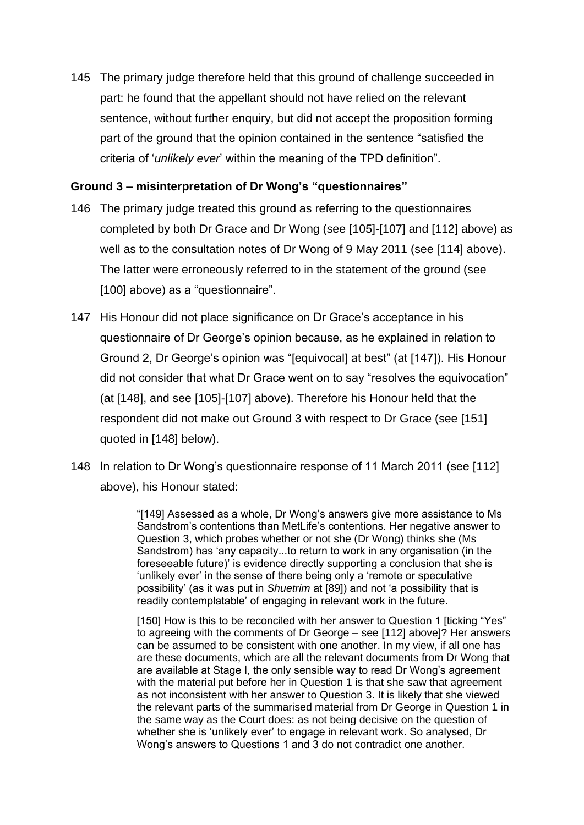145 The primary judge therefore held that this ground of challenge succeeded in part: he found that the appellant should not have relied on the relevant sentence, without further enquiry, but did not accept the proposition forming part of the ground that the opinion contained in the sentence "satisfied the criteria of '*unlikely ever*' within the meaning of the TPD definition".

# **Ground 3 – misinterpretation of Dr Wong's "questionnaires"**

- 146 The primary judge treated this ground as referring to the questionnaires completed by both Dr Grace and Dr Wong (see [105]-[107] and [112] above) as well as to the consultation notes of Dr Wong of 9 May 2011 (see [114] above). The latter were erroneously referred to in the statement of the ground (see [100] above) as a "questionnaire".
- 147 His Honour did not place significance on Dr Grace's acceptance in his questionnaire of Dr George's opinion because, as he explained in relation to Ground 2, Dr George's opinion was "[equivocal] at best" (at [147]). His Honour did not consider that what Dr Grace went on to say "resolves the equivocation" (at [148], and see [105]-[107] above). Therefore his Honour held that the respondent did not make out Ground 3 with respect to Dr Grace (see [151] quoted in [148] below).
- 148 In relation to Dr Wong's questionnaire response of 11 March 2011 (see [112] above), his Honour stated:

"[149] Assessed as a whole, Dr Wong's answers give more assistance to Ms Sandstrom's contentions than MetLife's contentions. Her negative answer to Question 3, which probes whether or not she (Dr Wong) thinks she (Ms Sandstrom) has 'any capacity...to return to work in any organisation (in the foreseeable future)' is evidence directly supporting a conclusion that she is 'unlikely ever' in the sense of there being only a 'remote or speculative possibility' (as it was put in *Shuetrim* at [89]) and not 'a possibility that is readily contemplatable' of engaging in relevant work in the future.

[150] How is this to be reconciled with her answer to Question 1 [ticking "Yes" to agreeing with the comments of Dr George – see [112] above]? Her answers can be assumed to be consistent with one another. In my view, if all one has are these documents, which are all the relevant documents from Dr Wong that are available at Stage I, the only sensible way to read Dr Wong's agreement with the material put before her in Question 1 is that she saw that agreement as not inconsistent with her answer to Question 3. It is likely that she viewed the relevant parts of the summarised material from Dr George in Question 1 in the same way as the Court does: as not being decisive on the question of whether she is 'unlikely ever' to engage in relevant work. So analysed, Dr Wong's answers to Questions 1 and 3 do not contradict one another.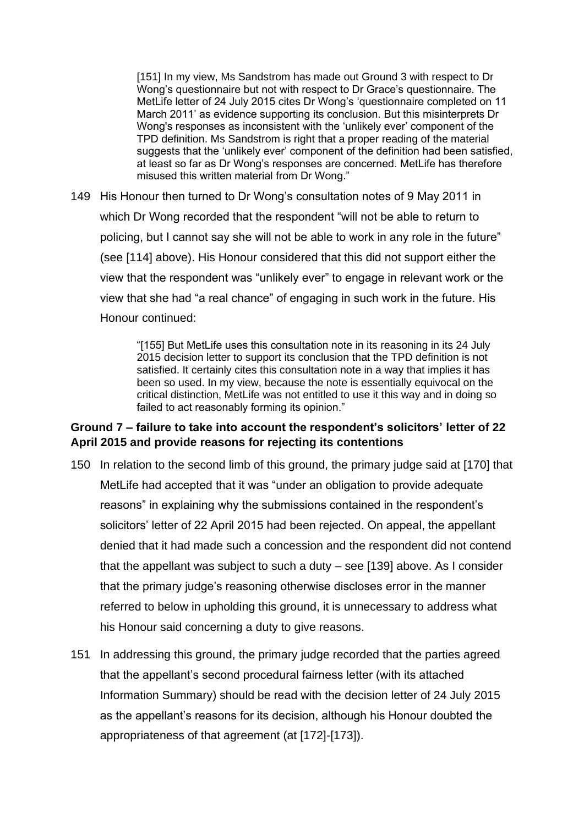[151] In my view, Ms Sandstrom has made out Ground 3 with respect to Dr Wong's questionnaire but not with respect to Dr Grace's questionnaire. The MetLife letter of 24 July 2015 cites Dr Wong's 'questionnaire completed on 11 March 2011' as evidence supporting its conclusion. But this misinterprets Dr Wong's responses as inconsistent with the 'unlikely ever' component of the TPD definition. Ms Sandstrom is right that a proper reading of the material suggests that the 'unlikely ever' component of the definition had been satisfied, at least so far as Dr Wong's responses are concerned. MetLife has therefore misused this written material from Dr Wong."

149 His Honour then turned to Dr Wong's consultation notes of 9 May 2011 in which Dr Wong recorded that the respondent "will not be able to return to policing, but I cannot say she will not be able to work in any role in the future" (see [114] above). His Honour considered that this did not support either the view that the respondent was "unlikely ever" to engage in relevant work or the view that she had "a real chance" of engaging in such work in the future. His Honour continued:

> "[155] But MetLife uses this consultation note in its reasoning in its 24 July 2015 decision letter to support its conclusion that the TPD definition is not satisfied. It certainly cites this consultation note in a way that implies it has been so used. In my view, because the note is essentially equivocal on the critical distinction, MetLife was not entitled to use it this way and in doing so failed to act reasonably forming its opinion."

## **Ground 7 – failure to take into account the respondent's solicitors' letter of 22 April 2015 and provide reasons for rejecting its contentions**

- 150 In relation to the second limb of this ground, the primary judge said at [170] that MetLife had accepted that it was "under an obligation to provide adequate reasons" in explaining why the submissions contained in the respondent's solicitors' letter of 22 April 2015 had been rejected. On appeal, the appellant denied that it had made such a concession and the respondent did not contend that the appellant was subject to such a duty – see [139] above. As I consider that the primary judge's reasoning otherwise discloses error in the manner referred to below in upholding this ground, it is unnecessary to address what his Honour said concerning a duty to give reasons.
- 151 In addressing this ground, the primary judge recorded that the parties agreed that the appellant's second procedural fairness letter (with its attached Information Summary) should be read with the decision letter of 24 July 2015 as the appellant's reasons for its decision, although his Honour doubted the appropriateness of that agreement (at [172]-[173]).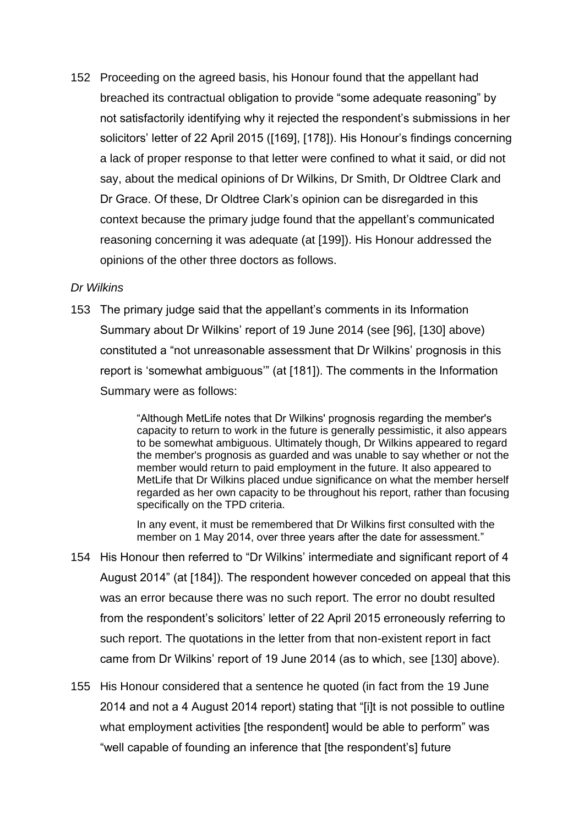152 Proceeding on the agreed basis, his Honour found that the appellant had breached its contractual obligation to provide "some adequate reasoning" by not satisfactorily identifying why it rejected the respondent's submissions in her solicitors' letter of 22 April 2015 ([169], [178]). His Honour's findings concerning a lack of proper response to that letter were confined to what it said, or did not say, about the medical opinions of Dr Wilkins, Dr Smith, Dr Oldtree Clark and Dr Grace. Of these, Dr Oldtree Clark's opinion can be disregarded in this context because the primary judge found that the appellant's communicated reasoning concerning it was adequate (at [199]). His Honour addressed the opinions of the other three doctors as follows.

### *Dr Wilkins*

153 The primary judge said that the appellant's comments in its Information Summary about Dr Wilkins' report of 19 June 2014 (see [96], [130] above) constituted a "not unreasonable assessment that Dr Wilkins' prognosis in this report is 'somewhat ambiguous'" (at [181]). The comments in the Information Summary were as follows:

> "Although MetLife notes that Dr Wilkins' prognosis regarding the member's capacity to return to work in the future is generally pessimistic, it also appears to be somewhat ambiguous. Ultimately though, Dr Wilkins appeared to regard the member's prognosis as guarded and was unable to say whether or not the member would return to paid employment in the future. It also appeared to MetLife that Dr Wilkins placed undue significance on what the member herself regarded as her own capacity to be throughout his report, rather than focusing specifically on the TPD criteria.

In any event, it must be remembered that Dr Wilkins first consulted with the member on 1 May 2014, over three years after the date for assessment."

- 154 His Honour then referred to "Dr Wilkins' intermediate and significant report of 4 August 2014" (at [184]). The respondent however conceded on appeal that this was an error because there was no such report. The error no doubt resulted from the respondent's solicitors' letter of 22 April 2015 erroneously referring to such report. The quotations in the letter from that non-existent report in fact came from Dr Wilkins' report of 19 June 2014 (as to which, see [130] above).
- 155 His Honour considered that a sentence he quoted (in fact from the 19 June 2014 and not a 4 August 2014 report) stating that "[i]t is not possible to outline what employment activities [the respondent] would be able to perform" was "well capable of founding an inference that [the respondent's] future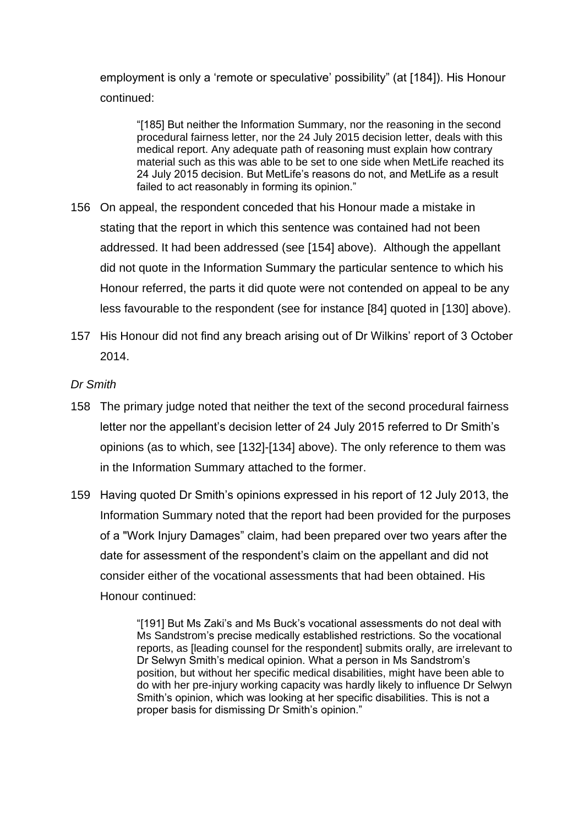employment is only a 'remote or speculative' possibility" (at [184]). His Honour continued:

"[185] But neither the Information Summary, nor the reasoning in the second procedural fairness letter, nor the 24 July 2015 decision letter, deals with this medical report. Any adequate path of reasoning must explain how contrary material such as this was able to be set to one side when MetLife reached its 24 July 2015 decision. But MetLife's reasons do not, and MetLife as a result failed to act reasonably in forming its opinion."

- 156 On appeal, the respondent conceded that his Honour made a mistake in stating that the report in which this sentence was contained had not been addressed. It had been addressed (see [154] above). Although the appellant did not quote in the Information Summary the particular sentence to which his Honour referred, the parts it did quote were not contended on appeal to be any less favourable to the respondent (see for instance [84] quoted in [130] above).
- 157 His Honour did not find any breach arising out of Dr Wilkins' report of 3 October 2014.

# *Dr Smith*

- 158 The primary judge noted that neither the text of the second procedural fairness letter nor the appellant's decision letter of 24 July 2015 referred to Dr Smith's opinions (as to which, see [132]-[134] above). The only reference to them was in the Information Summary attached to the former.
- 159 Having quoted Dr Smith's opinions expressed in his report of 12 July 2013, the Information Summary noted that the report had been provided for the purposes of a "Work Injury Damages" claim, had been prepared over two years after the date for assessment of the respondent's claim on the appellant and did not consider either of the vocational assessments that had been obtained. His Honour continued:

"[191] But Ms Zaki's and Ms Buck's vocational assessments do not deal with Ms Sandstrom's precise medically established restrictions. So the vocational reports, as [leading counsel for the respondent] submits orally, are irrelevant to Dr Selwyn Smith's medical opinion. What a person in Ms Sandstrom's position, but without her specific medical disabilities, might have been able to do with her pre-injury working capacity was hardly likely to influence Dr Selwyn Smith's opinion, which was looking at her specific disabilities. This is not a proper basis for dismissing Dr Smith's opinion."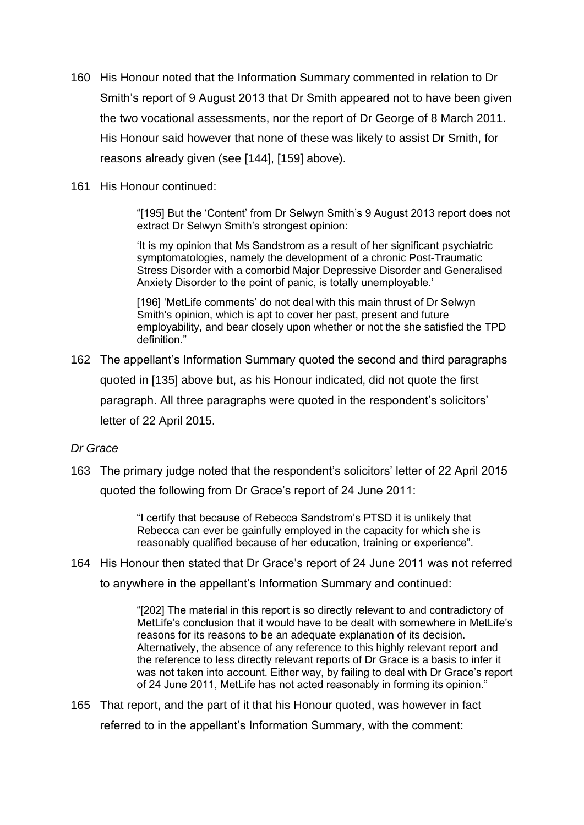- 160 His Honour noted that the Information Summary commented in relation to Dr Smith's report of 9 August 2013 that Dr Smith appeared not to have been given the two vocational assessments, nor the report of Dr George of 8 March 2011. His Honour said however that none of these was likely to assist Dr Smith, for reasons already given (see [144], [159] above).
- 161 His Honour continued:

"[195] But the 'Content' from Dr Selwyn Smith's 9 August 2013 report does not extract Dr Selwyn Smith's strongest opinion:

'It is my opinion that Ms Sandstrom as a result of her significant psychiatric symptomatologies, namely the development of a chronic Post-Traumatic Stress Disorder with a comorbid Major Depressive Disorder and Generalised Anxiety Disorder to the point of panic, is totally unemployable.'

[196] 'MetLife comments' do not deal with this main thrust of Dr Selwyn Smith's opinion, which is apt to cover her past, present and future employability, and bear closely upon whether or not the she satisfied the TPD definition."

162 The appellant's Information Summary quoted the second and third paragraphs quoted in [135] above but, as his Honour indicated, did not quote the first

paragraph. All three paragraphs were quoted in the respondent's solicitors' letter of 22 April 2015.

# *Dr Grace*

163 The primary judge noted that the respondent's solicitors' letter of 22 April 2015 quoted the following from Dr Grace's report of 24 June 2011:

> "I certify that because of Rebecca Sandstrom's PTSD it is unlikely that Rebecca can ever be gainfully employed in the capacity for which she is reasonably qualified because of her education, training or experience".

164 His Honour then stated that Dr Grace's report of 24 June 2011 was not referred

to anywhere in the appellant's Information Summary and continued:

"[202] The material in this report is so directly relevant to and contradictory of MetLife's conclusion that it would have to be dealt with somewhere in MetLife's reasons for its reasons to be an adequate explanation of its decision. Alternatively, the absence of any reference to this highly relevant report and the reference to less directly relevant reports of Dr Grace is a basis to infer it was not taken into account. Either way, by failing to deal with Dr Grace's report of 24 June 2011, MetLife has not acted reasonably in forming its opinion."

165 That report, and the part of it that his Honour quoted, was however in fact referred to in the appellant's Information Summary, with the comment: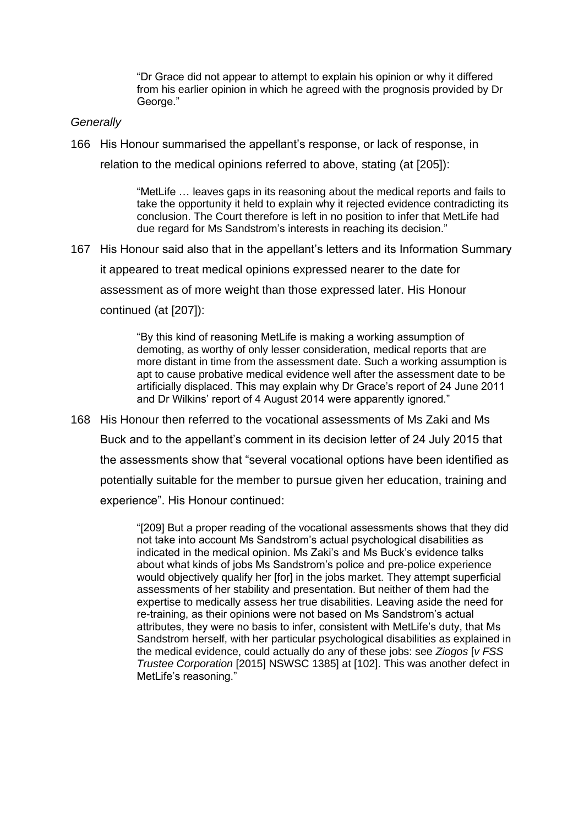"Dr Grace did not appear to attempt to explain his opinion or why it differed from his earlier opinion in which he agreed with the prognosis provided by Dr George."

### *Generally*

166 His Honour summarised the appellant's response, or lack of response, in

relation to the medical opinions referred to above, stating (at [205]):

"MetLife … leaves gaps in its reasoning about the medical reports and fails to take the opportunity it held to explain why it rejected evidence contradicting its conclusion. The Court therefore is left in no position to infer that MetLife had due regard for Ms Sandstrom's interests in reaching its decision."

167 His Honour said also that in the appellant's letters and its Information Summary

it appeared to treat medical opinions expressed nearer to the date for

assessment as of more weight than those expressed later. His Honour

continued (at [207]):

"By this kind of reasoning MetLife is making a working assumption of demoting, as worthy of only lesser consideration, medical reports that are more distant in time from the assessment date. Such a working assumption is apt to cause probative medical evidence well after the assessment date to be artificially displaced. This may explain why Dr Grace's report of 24 June 2011 and Dr Wilkins' report of 4 August 2014 were apparently ignored."

168 His Honour then referred to the vocational assessments of Ms Zaki and Ms Buck and to the appellant's comment in its decision letter of 24 July 2015 that the assessments show that "several vocational options have been identified as potentially suitable for the member to pursue given her education, training and experience". His Honour continued:

> "[209] But a proper reading of the vocational assessments shows that they did not take into account Ms Sandstrom's actual psychological disabilities as indicated in the medical opinion. Ms Zaki's and Ms Buck's evidence talks about what kinds of jobs Ms Sandstrom's police and pre-police experience would objectively qualify her [for] in the jobs market. They attempt superficial assessments of her stability and presentation. But neither of them had the expertise to medically assess her true disabilities. Leaving aside the need for re-training, as their opinions were not based on Ms Sandstrom's actual attributes, they were no basis to infer, consistent with MetLife's duty, that Ms Sandstrom herself, with her particular psychological disabilities as explained in the medical evidence, could actually do any of these jobs: see *Ziogos* [*v FSS Trustee Corporation* [2015] NSWSC 1385] at [102]. This was another defect in MetLife's reasoning."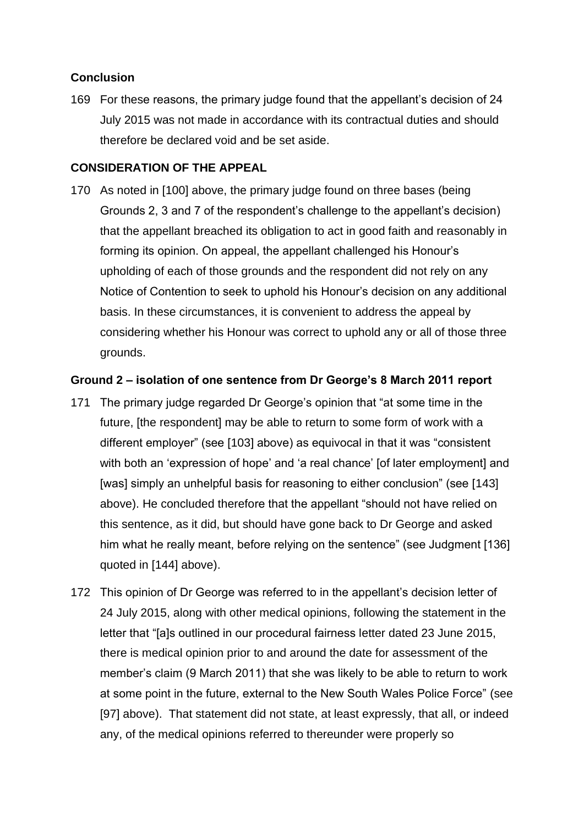# **Conclusion**

169 For these reasons, the primary judge found that the appellant's decision of 24 July 2015 was not made in accordance with its contractual duties and should therefore be declared void and be set aside.

## **CONSIDERATION OF THE APPEAL**

170 As noted in [100] above, the primary judge found on three bases (being Grounds 2, 3 and 7 of the respondent's challenge to the appellant's decision) that the appellant breached its obligation to act in good faith and reasonably in forming its opinion. On appeal, the appellant challenged his Honour's upholding of each of those grounds and the respondent did not rely on any Notice of Contention to seek to uphold his Honour's decision on any additional basis. In these circumstances, it is convenient to address the appeal by considering whether his Honour was correct to uphold any or all of those three grounds.

### **Ground 2 – isolation of one sentence from Dr George's 8 March 2011 report**

- 171 The primary judge regarded Dr George's opinion that "at some time in the future, [the respondent] may be able to return to some form of work with a different employer" (see [103] above) as equivocal in that it was "consistent with both an 'expression of hope' and 'a real chance' [of later employment] and [was] simply an unhelpful basis for reasoning to either conclusion" (see [143] above). He concluded therefore that the appellant "should not have relied on this sentence, as it did, but should have gone back to Dr George and asked him what he really meant, before relying on the sentence" (see Judgment [136] quoted in [144] above).
- 172 This opinion of Dr George was referred to in the appellant's decision letter of 24 July 2015, along with other medical opinions, following the statement in the letter that "[a]s outlined in our procedural fairness letter dated 23 June 2015, there is medical opinion prior to and around the date for assessment of the member's claim (9 March 2011) that she was likely to be able to return to work at some point in the future, external to the New South Wales Police Force" (see [97] above). That statement did not state, at least expressly, that all, or indeed any, of the medical opinions referred to thereunder were properly so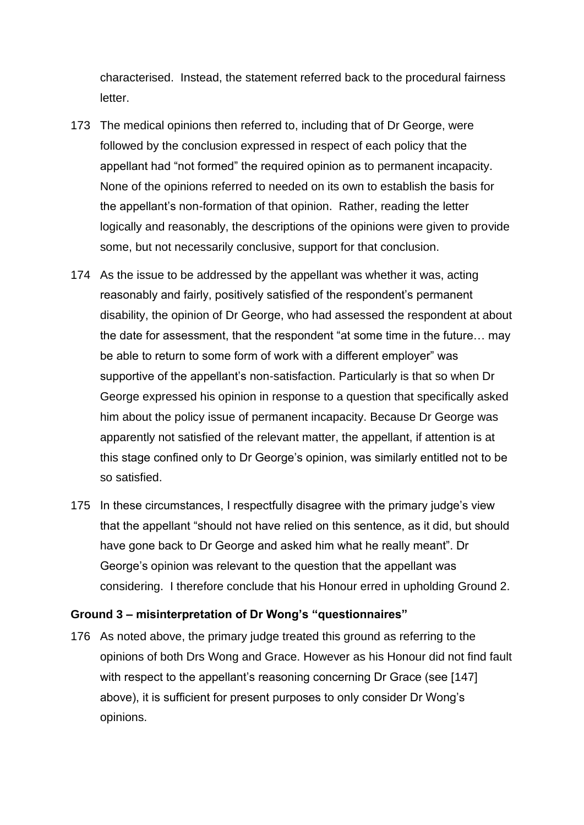characterised. Instead, the statement referred back to the procedural fairness letter.

- 173 The medical opinions then referred to, including that of Dr George, were followed by the conclusion expressed in respect of each policy that the appellant had "not formed" the required opinion as to permanent incapacity. None of the opinions referred to needed on its own to establish the basis for the appellant's non-formation of that opinion. Rather, reading the letter logically and reasonably, the descriptions of the opinions were given to provide some, but not necessarily conclusive, support for that conclusion.
- 174 As the issue to be addressed by the appellant was whether it was, acting reasonably and fairly, positively satisfied of the respondent's permanent disability, the opinion of Dr George, who had assessed the respondent at about the date for assessment, that the respondent "at some time in the future… may be able to return to some form of work with a different employer" was supportive of the appellant's non-satisfaction. Particularly is that so when Dr George expressed his opinion in response to a question that specifically asked him about the policy issue of permanent incapacity. Because Dr George was apparently not satisfied of the relevant matter, the appellant, if attention is at this stage confined only to Dr George's opinion, was similarly entitled not to be so satisfied.
- 175 In these circumstances, I respectfully disagree with the primary judge's view that the appellant "should not have relied on this sentence, as it did, but should have gone back to Dr George and asked him what he really meant". Dr George's opinion was relevant to the question that the appellant was considering. I therefore conclude that his Honour erred in upholding Ground 2.

### **Ground 3 – misinterpretation of Dr Wong's "questionnaires"**

176 As noted above, the primary judge treated this ground as referring to the opinions of both Drs Wong and Grace. However as his Honour did not find fault with respect to the appellant's reasoning concerning Dr Grace (see [147] above), it is sufficient for present purposes to only consider Dr Wong's opinions.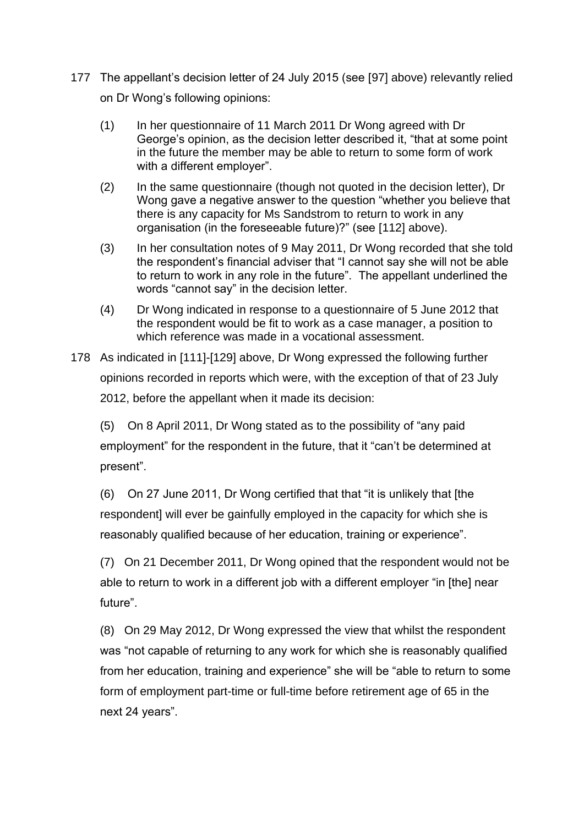- 177 The appellant's decision letter of 24 July 2015 (see [97] above) relevantly relied on Dr Wong's following opinions:
	- (1) In her questionnaire of 11 March 2011 Dr Wong agreed with Dr George's opinion, as the decision letter described it, "that at some point in the future the member may be able to return to some form of work with a different employer".
	- (2) In the same questionnaire (though not quoted in the decision letter), Dr Wong gave a negative answer to the question "whether you believe that there is any capacity for Ms Sandstrom to return to work in any organisation (in the foreseeable future)?" (see [112] above).
	- (3) In her consultation notes of 9 May 2011, Dr Wong recorded that she told the respondent's financial adviser that "I cannot say she will not be able to return to work in any role in the future". The appellant underlined the words "cannot say" in the decision letter.
	- (4) Dr Wong indicated in response to a questionnaire of 5 June 2012 that the respondent would be fit to work as a case manager, a position to which reference was made in a vocational assessment.
- 178 As indicated in [111]-[129] above, Dr Wong expressed the following further opinions recorded in reports which were, with the exception of that of 23 July 2012, before the appellant when it made its decision:

(5) On 8 April 2011, Dr Wong stated as to the possibility of "any paid employment" for the respondent in the future, that it "can't be determined at present".

(6) On 27 June 2011, Dr Wong certified that that "it is unlikely that [the respondent] will ever be gainfully employed in the capacity for which she is reasonably qualified because of her education, training or experience".

(7) On 21 December 2011, Dr Wong opined that the respondent would not be able to return to work in a different job with a different employer "in [the] near future".

(8) On 29 May 2012, Dr Wong expressed the view that whilst the respondent was "not capable of returning to any work for which she is reasonably qualified from her education, training and experience" she will be "able to return to some form of employment part-time or full-time before retirement age of 65 in the next 24 years".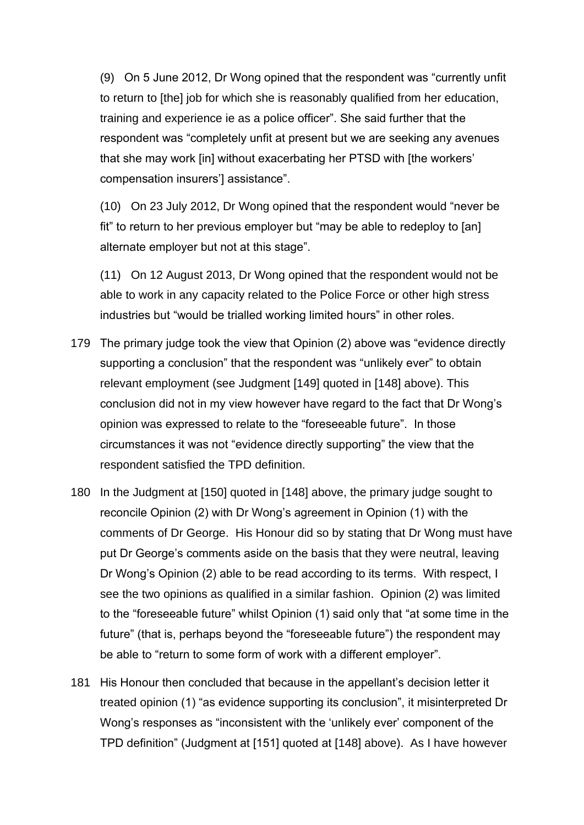(9) On 5 June 2012, Dr Wong opined that the respondent was "currently unfit to return to [the] job for which she is reasonably qualified from her education, training and experience ie as a police officer". She said further that the respondent was "completely unfit at present but we are seeking any avenues that she may work [in] without exacerbating her PTSD with [the workers' compensation insurers'] assistance".

(10) On 23 July 2012, Dr Wong opined that the respondent would "never be fit" to return to her previous employer but "may be able to redeploy to [an] alternate employer but not at this stage".

(11) On 12 August 2013, Dr Wong opined that the respondent would not be able to work in any capacity related to the Police Force or other high stress industries but "would be trialled working limited hours" in other roles.

- 179 The primary judge took the view that Opinion (2) above was "evidence directly supporting a conclusion" that the respondent was "unlikely ever" to obtain relevant employment (see Judgment [149] quoted in [148] above). This conclusion did not in my view however have regard to the fact that Dr Wong's opinion was expressed to relate to the "foreseeable future". In those circumstances it was not "evidence directly supporting" the view that the respondent satisfied the TPD definition.
- 180 In the Judgment at [150] quoted in [148] above, the primary judge sought to reconcile Opinion (2) with Dr Wong's agreement in Opinion (1) with the comments of Dr George. His Honour did so by stating that Dr Wong must have put Dr George's comments aside on the basis that they were neutral, leaving Dr Wong's Opinion (2) able to be read according to its terms. With respect, I see the two opinions as qualified in a similar fashion. Opinion (2) was limited to the "foreseeable future" whilst Opinion (1) said only that "at some time in the future" (that is, perhaps beyond the "foreseeable future") the respondent may be able to "return to some form of work with a different employer".
- 181 His Honour then concluded that because in the appellant's decision letter it treated opinion (1) "as evidence supporting its conclusion", it misinterpreted Dr Wong's responses as "inconsistent with the 'unlikely ever' component of the TPD definition" (Judgment at [151] quoted at [148] above). As I have however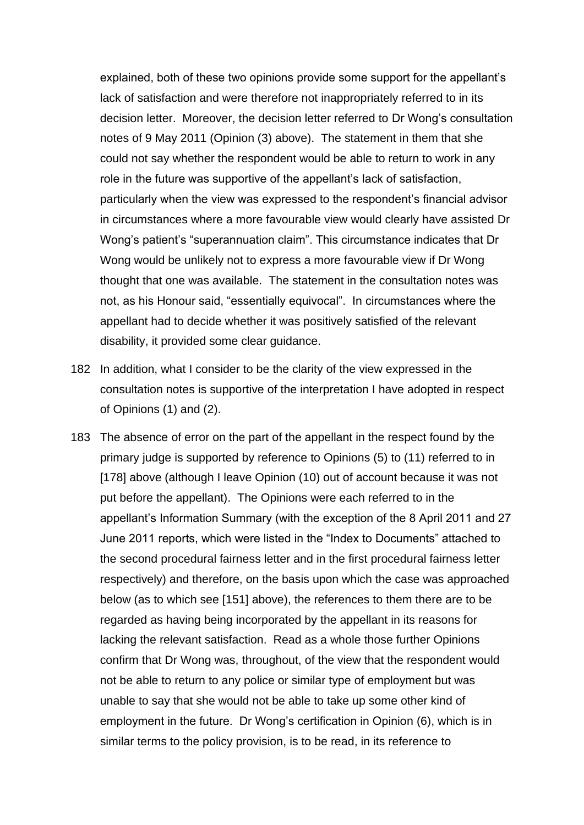explained, both of these two opinions provide some support for the appellant's lack of satisfaction and were therefore not inappropriately referred to in its decision letter. Moreover, the decision letter referred to Dr Wong's consultation notes of 9 May 2011 (Opinion (3) above). The statement in them that she could not say whether the respondent would be able to return to work in any role in the future was supportive of the appellant's lack of satisfaction, particularly when the view was expressed to the respondent's financial advisor in circumstances where a more favourable view would clearly have assisted Dr Wong's patient's "superannuation claim". This circumstance indicates that Dr Wong would be unlikely not to express a more favourable view if Dr Wong thought that one was available. The statement in the consultation notes was not, as his Honour said, "essentially equivocal". In circumstances where the appellant had to decide whether it was positively satisfied of the relevant disability, it provided some clear guidance.

- 182 In addition, what I consider to be the clarity of the view expressed in the consultation notes is supportive of the interpretation I have adopted in respect of Opinions (1) and (2).
- 183 The absence of error on the part of the appellant in the respect found by the primary judge is supported by reference to Opinions (5) to (11) referred to in [178] above (although I leave Opinion (10) out of account because it was not put before the appellant). The Opinions were each referred to in the appellant's Information Summary (with the exception of the 8 April 2011 and 27 June 2011 reports, which were listed in the "Index to Documents" attached to the second procedural fairness letter and in the first procedural fairness letter respectively) and therefore, on the basis upon which the case was approached below (as to which see [151] above), the references to them there are to be regarded as having being incorporated by the appellant in its reasons for lacking the relevant satisfaction. Read as a whole those further Opinions confirm that Dr Wong was, throughout, of the view that the respondent would not be able to return to any police or similar type of employment but was unable to say that she would not be able to take up some other kind of employment in the future. Dr Wong's certification in Opinion (6), which is in similar terms to the policy provision, is to be read, in its reference to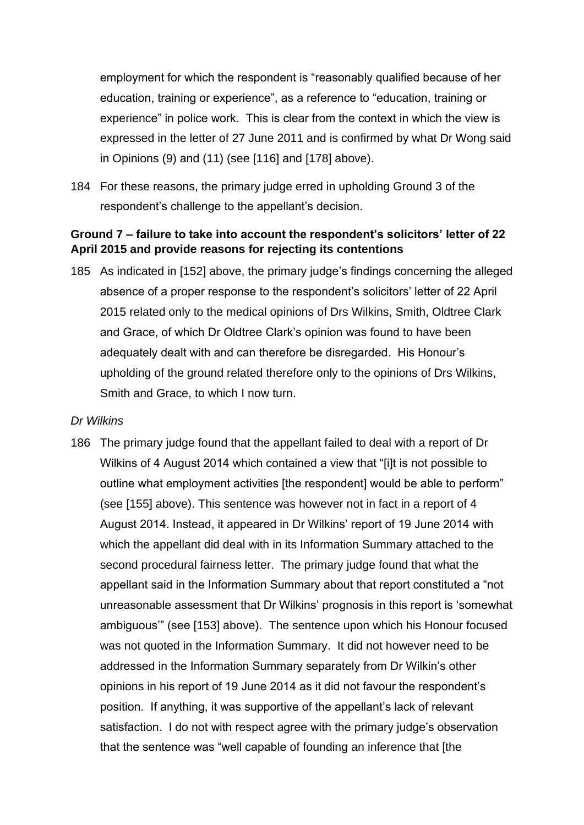employment for which the respondent is "reasonably qualified because of her education, training or experience", as a reference to "education, training or experience" in police work. This is clear from the context in which the view is expressed in the letter of 27 June 2011 and is confirmed by what Dr Wong said in Opinions (9) and (11) (see [116] and [178] above).

184 For these reasons, the primary judge erred in upholding Ground 3 of the respondent's challenge to the appellant's decision.

# **Ground 7 – failure to take into account the respondent's solicitors' letter of 22 April 2015 and provide reasons for rejecting its contentions**

185 As indicated in [152] above, the primary judge's findings concerning the alleged absence of a proper response to the respondent's solicitors' letter of 22 April 2015 related only to the medical opinions of Drs Wilkins, Smith, Oldtree Clark and Grace, of which Dr Oldtree Clark's opinion was found to have been adequately dealt with and can therefore be disregarded. His Honour's upholding of the ground related therefore only to the opinions of Drs Wilkins, Smith and Grace, to which I now turn.

### *Dr Wilkins*

186 The primary judge found that the appellant failed to deal with a report of Dr Wilkins of 4 August 2014 which contained a view that "[i]t is not possible to outline what employment activities [the respondent] would be able to perform" (see [155] above). This sentence was however not in fact in a report of 4 August 2014. Instead, it appeared in Dr Wilkins' report of 19 June 2014 with which the appellant did deal with in its Information Summary attached to the second procedural fairness letter. The primary judge found that what the appellant said in the Information Summary about that report constituted a "not unreasonable assessment that Dr Wilkins' prognosis in this report is 'somewhat ambiguous'" (see [153] above). The sentence upon which his Honour focused was not quoted in the Information Summary. It did not however need to be addressed in the Information Summary separately from Dr Wilkin's other opinions in his report of 19 June 2014 as it did not favour the respondent's position. If anything, it was supportive of the appellant's lack of relevant satisfaction. I do not with respect agree with the primary judge's observation that the sentence was "well capable of founding an inference that [the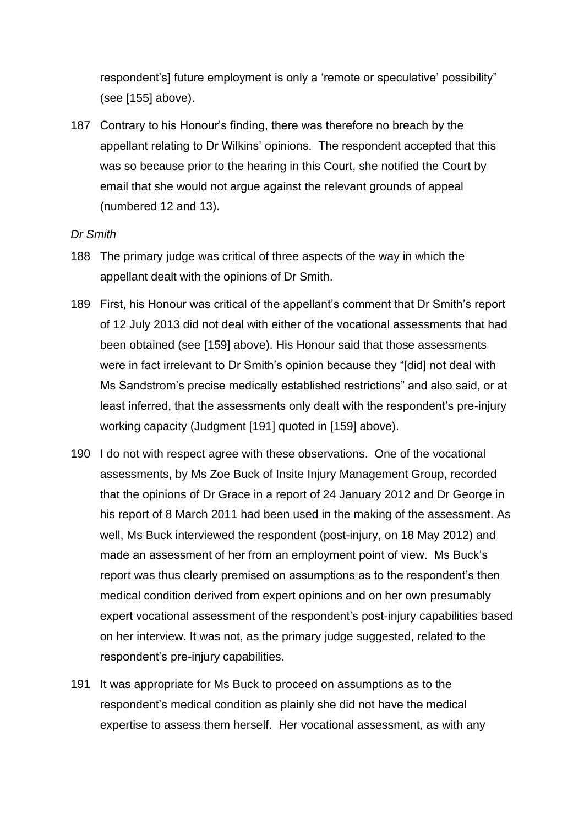respondent's] future employment is only a 'remote or speculative' possibility" (see [155] above).

187 Contrary to his Honour's finding, there was therefore no breach by the appellant relating to Dr Wilkins' opinions. The respondent accepted that this was so because prior to the hearing in this Court, she notified the Court by email that she would not argue against the relevant grounds of appeal (numbered 12 and 13).

### *Dr Smith*

- 188 The primary judge was critical of three aspects of the way in which the appellant dealt with the opinions of Dr Smith.
- 189 First, his Honour was critical of the appellant's comment that Dr Smith's report of 12 July 2013 did not deal with either of the vocational assessments that had been obtained (see [159] above). His Honour said that those assessments were in fact irrelevant to Dr Smith's opinion because they "[did] not deal with Ms Sandstrom's precise medically established restrictions" and also said, or at least inferred, that the assessments only dealt with the respondent's pre-injury working capacity (Judgment [191] quoted in [159] above).
- 190 I do not with respect agree with these observations. One of the vocational assessments, by Ms Zoe Buck of Insite Injury Management Group, recorded that the opinions of Dr Grace in a report of 24 January 2012 and Dr George in his report of 8 March 2011 had been used in the making of the assessment. As well, Ms Buck interviewed the respondent (post-injury, on 18 May 2012) and made an assessment of her from an employment point of view. Ms Buck's report was thus clearly premised on assumptions as to the respondent's then medical condition derived from expert opinions and on her own presumably expert vocational assessment of the respondent's post-injury capabilities based on her interview. It was not, as the primary judge suggested, related to the respondent's pre-injury capabilities.
- 191 It was appropriate for Ms Buck to proceed on assumptions as to the respondent's medical condition as plainly she did not have the medical expertise to assess them herself. Her vocational assessment, as with any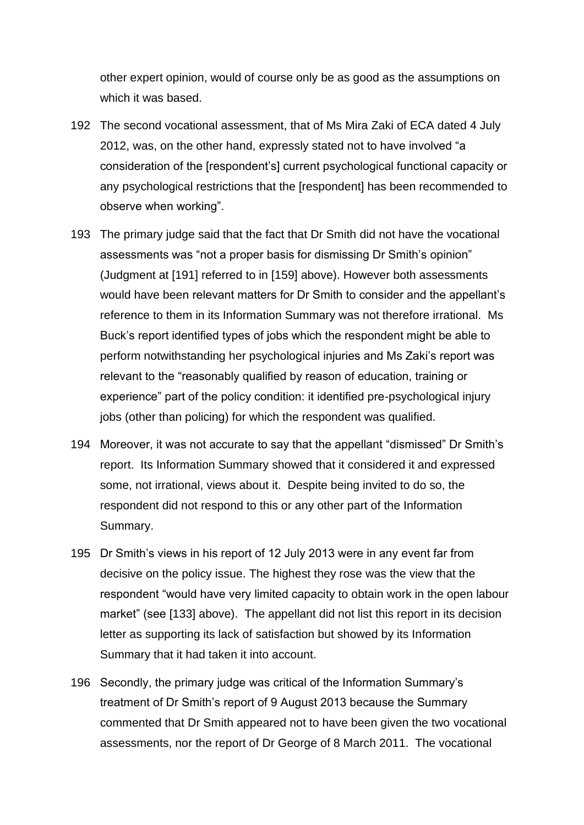other expert opinion, would of course only be as good as the assumptions on which it was based.

- 192 The second vocational assessment, that of Ms Mira Zaki of ECA dated 4 July 2012, was, on the other hand, expressly stated not to have involved "a consideration of the [respondent's] current psychological functional capacity or any psychological restrictions that the [respondent] has been recommended to observe when working".
- 193 The primary judge said that the fact that Dr Smith did not have the vocational assessments was "not a proper basis for dismissing Dr Smith's opinion" (Judgment at [191] referred to in [159] above). However both assessments would have been relevant matters for Dr Smith to consider and the appellant's reference to them in its Information Summary was not therefore irrational. Ms Buck's report identified types of jobs which the respondent might be able to perform notwithstanding her psychological injuries and Ms Zaki's report was relevant to the "reasonably qualified by reason of education, training or experience" part of the policy condition: it identified pre-psychological injury jobs (other than policing) for which the respondent was qualified.
- 194 Moreover, it was not accurate to say that the appellant "dismissed" Dr Smith's report. Its Information Summary showed that it considered it and expressed some, not irrational, views about it. Despite being invited to do so, the respondent did not respond to this or any other part of the Information Summary.
- 195 Dr Smith's views in his report of 12 July 2013 were in any event far from decisive on the policy issue. The highest they rose was the view that the respondent "would have very limited capacity to obtain work in the open labour market" (see [133] above). The appellant did not list this report in its decision letter as supporting its lack of satisfaction but showed by its Information Summary that it had taken it into account.
- 196 Secondly, the primary judge was critical of the Information Summary's treatment of Dr Smith's report of 9 August 2013 because the Summary commented that Dr Smith appeared not to have been given the two vocational assessments, nor the report of Dr George of 8 March 2011. The vocational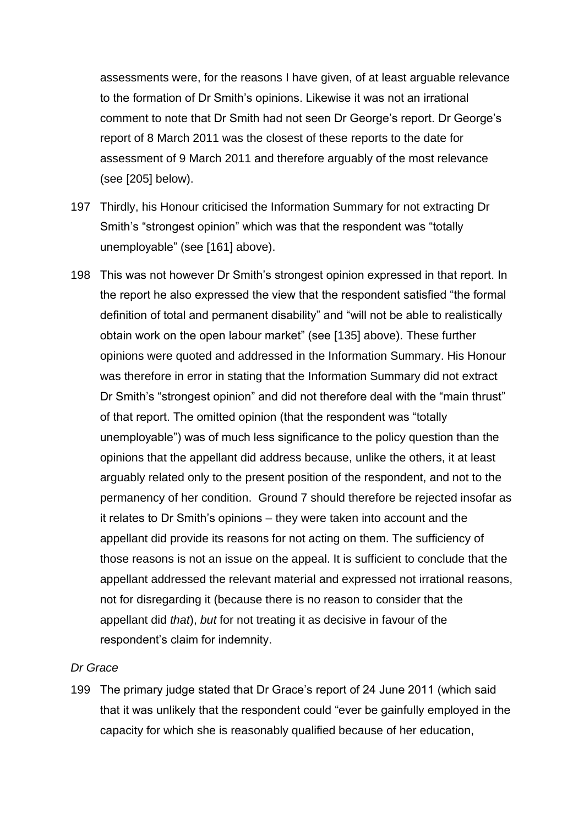assessments were, for the reasons I have given, of at least arguable relevance to the formation of Dr Smith's opinions. Likewise it was not an irrational comment to note that Dr Smith had not seen Dr George's report. Dr George's report of 8 March 2011 was the closest of these reports to the date for assessment of 9 March 2011 and therefore arguably of the most relevance (see [205] below).

- 197 Thirdly, his Honour criticised the Information Summary for not extracting Dr Smith's "strongest opinion" which was that the respondent was "totally unemployable" (see [161] above).
- 198 This was not however Dr Smith's strongest opinion expressed in that report. In the report he also expressed the view that the respondent satisfied "the formal definition of total and permanent disability" and "will not be able to realistically obtain work on the open labour market" (see [135] above). These further opinions were quoted and addressed in the Information Summary. His Honour was therefore in error in stating that the Information Summary did not extract Dr Smith's "strongest opinion" and did not therefore deal with the "main thrust" of that report. The omitted opinion (that the respondent was "totally unemployable") was of much less significance to the policy question than the opinions that the appellant did address because, unlike the others, it at least arguably related only to the present position of the respondent, and not to the permanency of her condition. Ground 7 should therefore be rejected insofar as it relates to Dr Smith's opinions – they were taken into account and the appellant did provide its reasons for not acting on them. The sufficiency of those reasons is not an issue on the appeal. It is sufficient to conclude that the appellant addressed the relevant material and expressed not irrational reasons, not for disregarding it (because there is no reason to consider that the appellant did *that*), *but* for not treating it as decisive in favour of the respondent's claim for indemnity.

### *Dr Grace*

199 The primary judge stated that Dr Grace's report of 24 June 2011 (which said that it was unlikely that the respondent could "ever be gainfully employed in the capacity for which she is reasonably qualified because of her education,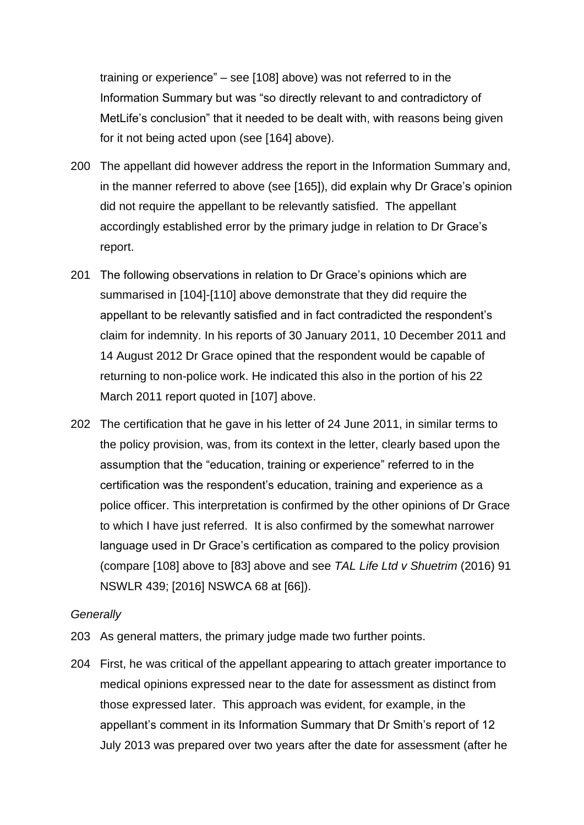training or experience" – see [108] above) was not referred to in the Information Summary but was "so directly relevant to and contradictory of MetLife's conclusion" that it needed to be dealt with, with reasons being given for it not being acted upon (see [164] above).

- 200 The appellant did however address the report in the Information Summary and, in the manner referred to above (see [165]), did explain why Dr Grace's opinion did not require the appellant to be relevantly satisfied. The appellant accordingly established error by the primary judge in relation to Dr Grace's report.
- 201 The following observations in relation to Dr Grace's opinions which are summarised in [104]-[110] above demonstrate that they did require the appellant to be relevantly satisfied and in fact contradicted the respondent's claim for indemnity. In his reports of 30 January 2011, 10 December 2011 and 14 August 2012 Dr Grace opined that the respondent would be capable of returning to non-police work. He indicated this also in the portion of his 22 March 2011 report quoted in [107] above.
- 202 The certification that he gave in his letter of 24 June 2011, in similar terms to the policy provision, was, from its context in the letter, clearly based upon the assumption that the "education, training or experience" referred to in the certification was the respondent's education, training and experience as a police officer. This interpretation is confirmed by the other opinions of Dr Grace to which I have just referred. It is also confirmed by the somewhat narrower language used in Dr Grace's certification as compared to the policy provision (compare [108] above to [83] above and see *TAL Life Ltd v Shuetrim* (2016) 91 NSWLR 439; [2016] NSWCA 68 at [66]).

### *Generally*

- 203 As general matters, the primary judge made two further points.
- 204 First, he was critical of the appellant appearing to attach greater importance to medical opinions expressed near to the date for assessment as distinct from those expressed later. This approach was evident, for example, in the appellant's comment in its Information Summary that Dr Smith's report of 12 July 2013 was prepared over two years after the date for assessment (after he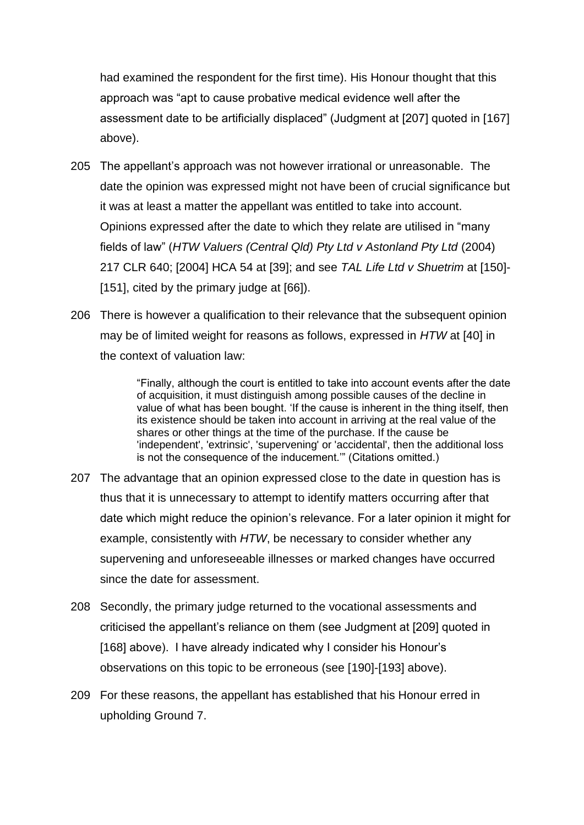had examined the respondent for the first time). His Honour thought that this approach was "apt to cause probative medical evidence well after the assessment date to be artificially displaced" (Judgment at [207] quoted in [167] above).

- 205 The appellant's approach was not however irrational or unreasonable. The date the opinion was expressed might not have been of crucial significance but it was at least a matter the appellant was entitled to take into account. Opinions expressed after the date to which they relate are utilised in "many fields of law" (*HTW Valuers (Central Qld) Pty Ltd v Astonland Pty Ltd* (2004) 217 CLR 640; [2004] HCA 54 at [39]; and see *TAL Life Ltd v Shuetrim* at [150]- [151], cited by the primary judge at [66]).
- 206 There is however a qualification to their relevance that the subsequent opinion may be of limited weight for reasons as follows, expressed in *HTW* at [40] in the context of valuation law:

"Finally, although the court is entitled to take into account events after the date of acquisition, it must distinguish among possible causes of the decline in value of what has been bought. 'If the cause is inherent in the thing itself, then its existence should be taken into account in arriving at the real value of the shares or other things at the time of the purchase. If the cause be 'independent', 'extrinsic', 'supervening' or 'accidental', then the additional loss is not the consequence of the inducement.'" (Citations omitted.)

- 207 The advantage that an opinion expressed close to the date in question has is thus that it is unnecessary to attempt to identify matters occurring after that date which might reduce the opinion's relevance. For a later opinion it might for example, consistently with *HTW*, be necessary to consider whether any supervening and unforeseeable illnesses or marked changes have occurred since the date for assessment.
- 208 Secondly, the primary judge returned to the vocational assessments and criticised the appellant's reliance on them (see Judgment at [209] quoted in [168] above). I have already indicated why I consider his Honour's observations on this topic to be erroneous (see [190]-[193] above).
- 209 For these reasons, the appellant has established that his Honour erred in upholding Ground 7.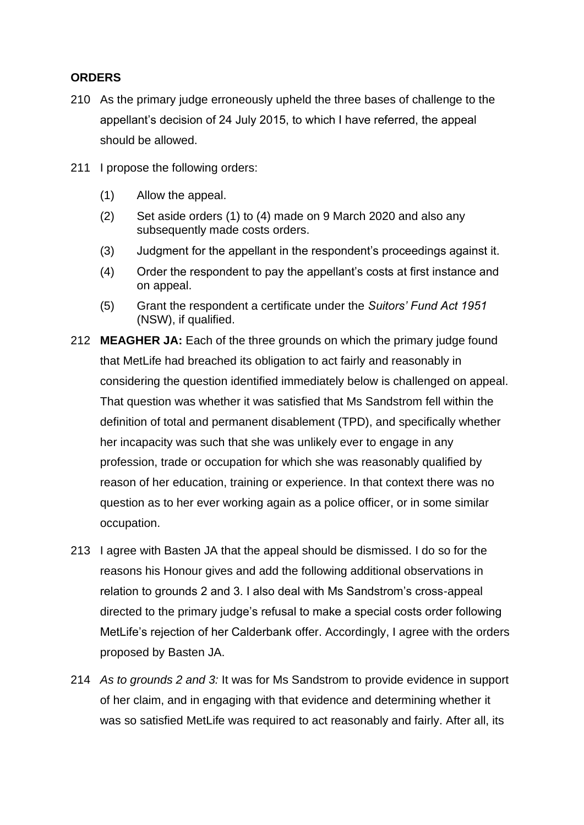# **ORDERS**

- 210 As the primary judge erroneously upheld the three bases of challenge to the appellant's decision of 24 July 2015, to which I have referred, the appeal should be allowed.
- 211 I propose the following orders:
	- (1) Allow the appeal.
	- (2) Set aside orders (1) to (4) made on 9 March 2020 and also any subsequently made costs orders.
	- (3) Judgment for the appellant in the respondent's proceedings against it.
	- (4) Order the respondent to pay the appellant's costs at first instance and on appeal.
	- (5) Grant the respondent a certificate under the *Suitors' Fund Act 1951* (NSW), if qualified.
- 212 **MEAGHER JA:** Each of the three grounds on which the primary judge found that MetLife had breached its obligation to act fairly and reasonably in considering the question identified immediately below is challenged on appeal. That question was whether it was satisfied that Ms Sandstrom fell within the definition of total and permanent disablement (TPD), and specifically whether her incapacity was such that she was unlikely ever to engage in any profession, trade or occupation for which she was reasonably qualified by reason of her education, training or experience. In that context there was no question as to her ever working again as a police officer, or in some similar occupation.
- 213 I agree with Basten JA that the appeal should be dismissed. I do so for the reasons his Honour gives and add the following additional observations in relation to grounds 2 and 3. I also deal with Ms Sandstrom's cross-appeal directed to the primary judge's refusal to make a special costs order following MetLife's rejection of her Calderbank offer. Accordingly, I agree with the orders proposed by Basten JA.
- 214 *As to grounds 2 and 3:* It was for Ms Sandstrom to provide evidence in support of her claim, and in engaging with that evidence and determining whether it was so satisfied MetLife was required to act reasonably and fairly. After all, its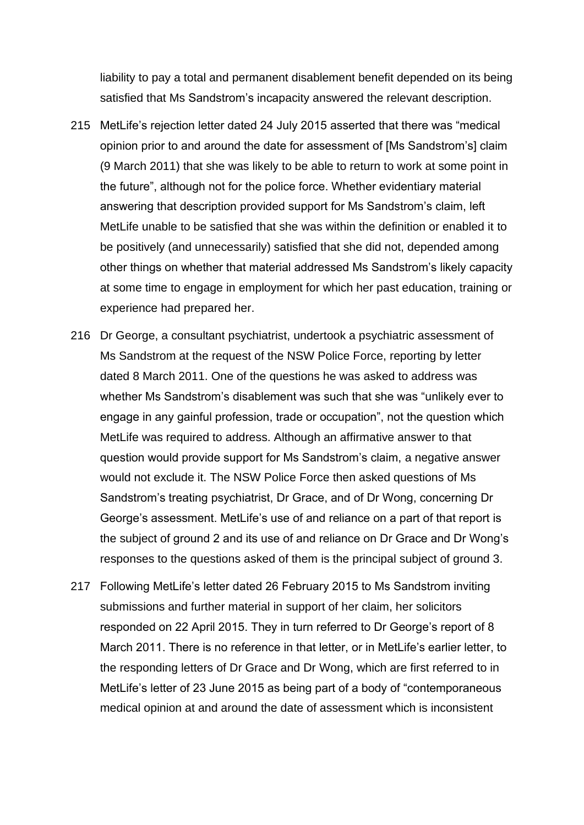liability to pay a total and permanent disablement benefit depended on its being satisfied that Ms Sandstrom's incapacity answered the relevant description.

- 215 MetLife's rejection letter dated 24 July 2015 asserted that there was "medical opinion prior to and around the date for assessment of [Ms Sandstrom's] claim (9 March 2011) that she was likely to be able to return to work at some point in the future", although not for the police force. Whether evidentiary material answering that description provided support for Ms Sandstrom's claim, left MetLife unable to be satisfied that she was within the definition or enabled it to be positively (and unnecessarily) satisfied that she did not, depended among other things on whether that material addressed Ms Sandstrom's likely capacity at some time to engage in employment for which her past education, training or experience had prepared her.
- 216 Dr George, a consultant psychiatrist, undertook a psychiatric assessment of Ms Sandstrom at the request of the NSW Police Force, reporting by letter dated 8 March 2011. One of the questions he was asked to address was whether Ms Sandstrom's disablement was such that she was "unlikely ever to engage in any gainful profession, trade or occupation", not the question which MetLife was required to address. Although an affirmative answer to that question would provide support for Ms Sandstrom's claim, a negative answer would not exclude it. The NSW Police Force then asked questions of Ms Sandstrom's treating psychiatrist, Dr Grace, and of Dr Wong, concerning Dr George's assessment. MetLife's use of and reliance on a part of that report is the subject of ground 2 and its use of and reliance on Dr Grace and Dr Wong's responses to the questions asked of them is the principal subject of ground 3.
- 217 Following MetLife's letter dated 26 February 2015 to Ms Sandstrom inviting submissions and further material in support of her claim, her solicitors responded on 22 April 2015. They in turn referred to Dr George's report of 8 March 2011. There is no reference in that letter, or in MetLife's earlier letter, to the responding letters of Dr Grace and Dr Wong, which are first referred to in MetLife's letter of 23 June 2015 as being part of a body of "contemporaneous medical opinion at and around the date of assessment which is inconsistent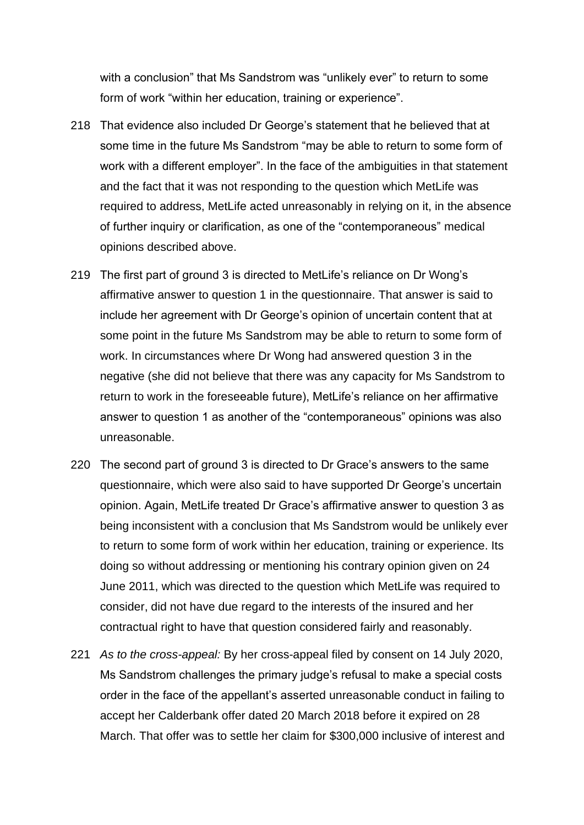with a conclusion" that Ms Sandstrom was "unlikely ever" to return to some form of work "within her education, training or experience".

- 218 That evidence also included Dr George's statement that he believed that at some time in the future Ms Sandstrom "may be able to return to some form of work with a different employer". In the face of the ambiguities in that statement and the fact that it was not responding to the question which MetLife was required to address, MetLife acted unreasonably in relying on it, in the absence of further inquiry or clarification, as one of the "contemporaneous" medical opinions described above.
- 219 The first part of ground 3 is directed to MetLife's reliance on Dr Wong's affirmative answer to question 1 in the questionnaire. That answer is said to include her agreement with Dr George's opinion of uncertain content that at some point in the future Ms Sandstrom may be able to return to some form of work. In circumstances where Dr Wong had answered question 3 in the negative (she did not believe that there was any capacity for Ms Sandstrom to return to work in the foreseeable future), MetLife's reliance on her affirmative answer to question 1 as another of the "contemporaneous" opinions was also unreasonable.
- 220 The second part of ground 3 is directed to Dr Grace's answers to the same questionnaire, which were also said to have supported Dr George's uncertain opinion. Again, MetLife treated Dr Grace's affirmative answer to question 3 as being inconsistent with a conclusion that Ms Sandstrom would be unlikely ever to return to some form of work within her education, training or experience. Its doing so without addressing or mentioning his contrary opinion given on 24 June 2011, which was directed to the question which MetLife was required to consider, did not have due regard to the interests of the insured and her contractual right to have that question considered fairly and reasonably.
- 221 *As to the cross-appeal:* By her cross-appeal filed by consent on 14 July 2020, Ms Sandstrom challenges the primary judge's refusal to make a special costs order in the face of the appellant's asserted unreasonable conduct in failing to accept her Calderbank offer dated 20 March 2018 before it expired on 28 March. That offer was to settle her claim for \$300,000 inclusive of interest and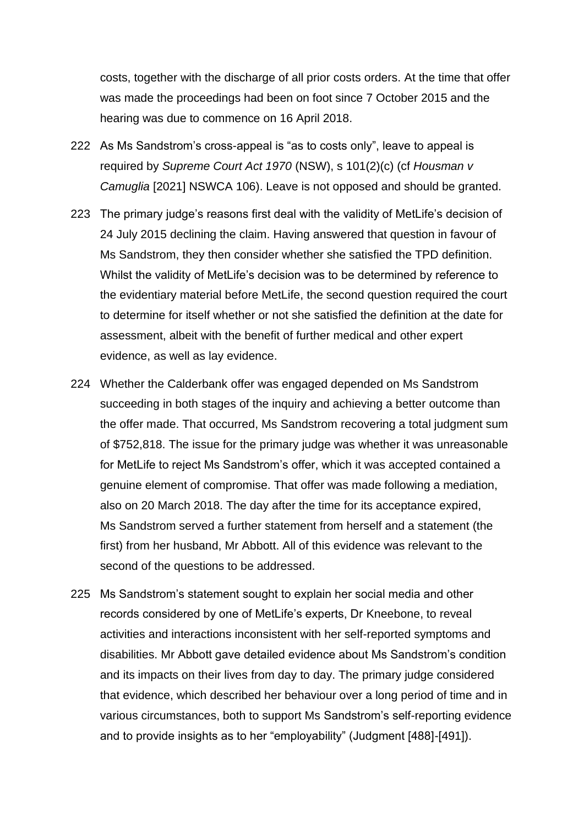costs, together with the discharge of all prior costs orders. At the time that offer was made the proceedings had been on foot since 7 October 2015 and the hearing was due to commence on 16 April 2018.

- 222 As Ms Sandstrom's cross-appeal is "as to costs only", leave to appeal is required by *Supreme Court Act 1970* (NSW), s 101(2)(c) (cf *Housman v Camuglia* [2021] NSWCA 106). Leave is not opposed and should be granted.
- 223 The primary judge's reasons first deal with the validity of MetLife's decision of 24 July 2015 declining the claim. Having answered that question in favour of Ms Sandstrom, they then consider whether she satisfied the TPD definition. Whilst the validity of MetLife's decision was to be determined by reference to the evidentiary material before MetLife, the second question required the court to determine for itself whether or not she satisfied the definition at the date for assessment, albeit with the benefit of further medical and other expert evidence, as well as lay evidence.
- 224 Whether the Calderbank offer was engaged depended on Ms Sandstrom succeeding in both stages of the inquiry and achieving a better outcome than the offer made. That occurred, Ms Sandstrom recovering a total judgment sum of \$752,818. The issue for the primary judge was whether it was unreasonable for MetLife to reject Ms Sandstrom's offer, which it was accepted contained a genuine element of compromise. That offer was made following a mediation, also on 20 March 2018. The day after the time for its acceptance expired, Ms Sandstrom served a further statement from herself and a statement (the first) from her husband, Mr Abbott. All of this evidence was relevant to the second of the questions to be addressed.
- 225 Ms Sandstrom's statement sought to explain her social media and other records considered by one of MetLife's experts, Dr Kneebone, to reveal activities and interactions inconsistent with her self-reported symptoms and disabilities. Mr Abbott gave detailed evidence about Ms Sandstrom's condition and its impacts on their lives from day to day. The primary judge considered that evidence, which described her behaviour over a long period of time and in various circumstances, both to support Ms Sandstrom's self-reporting evidence and to provide insights as to her "employability" (Judgment [488]-[491]).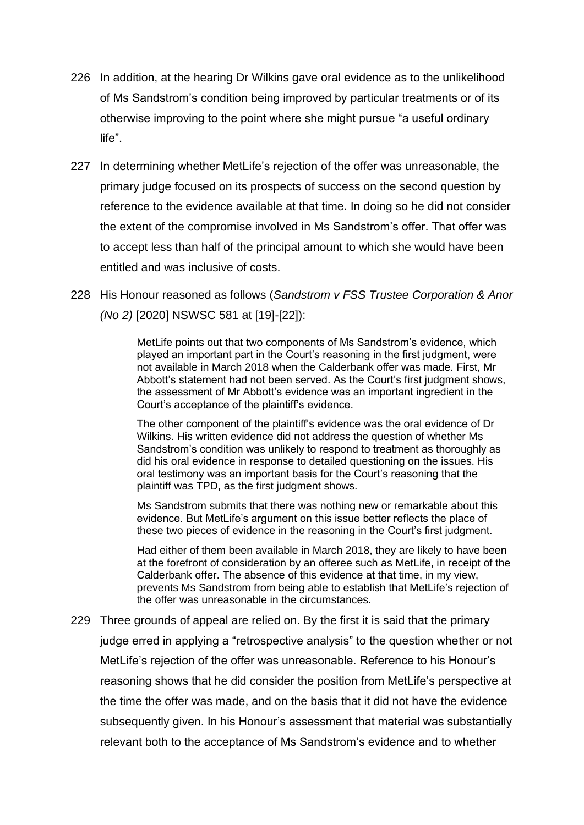- 226 In addition, at the hearing Dr Wilkins gave oral evidence as to the unlikelihood of Ms Sandstrom's condition being improved by particular treatments or of its otherwise improving to the point where she might pursue "a useful ordinary life".
- 227 In determining whether MetLife's rejection of the offer was unreasonable, the primary judge focused on its prospects of success on the second question by reference to the evidence available at that time. In doing so he did not consider the extent of the compromise involved in Ms Sandstrom's offer. That offer was to accept less than half of the principal amount to which she would have been entitled and was inclusive of costs.
- 228 His Honour reasoned as follows (*Sandstrom v FSS Trustee Corporation & Anor (No 2)* [2020] NSWSC 581 at [19]-[22]):

MetLife points out that two components of Ms Sandstrom's evidence, which played an important part in the Court's reasoning in the first judgment, were not available in March 2018 when the Calderbank offer was made. First, Mr Abbott's statement had not been served. As the Court's first judgment shows, the assessment of Mr Abbott's evidence was an important ingredient in the Court's acceptance of the plaintiff's evidence.

The other component of the plaintiff's evidence was the oral evidence of Dr Wilkins. His written evidence did not address the question of whether Ms Sandstrom's condition was unlikely to respond to treatment as thoroughly as did his oral evidence in response to detailed questioning on the issues. His oral testimony was an important basis for the Court's reasoning that the plaintiff was TPD, as the first judgment shows.

Ms Sandstrom submits that there was nothing new or remarkable about this evidence. But MetLife's argument on this issue better reflects the place of these two pieces of evidence in the reasoning in the Court's first judgment.

Had either of them been available in March 2018, they are likely to have been at the forefront of consideration by an offeree such as MetLife, in receipt of the Calderbank offer. The absence of this evidence at that time, in my view, prevents Ms Sandstrom from being able to establish that MetLife's rejection of the offer was unreasonable in the circumstances.

229 Three grounds of appeal are relied on. By the first it is said that the primary judge erred in applying a "retrospective analysis" to the question whether or not MetLife's rejection of the offer was unreasonable. Reference to his Honour's reasoning shows that he did consider the position from MetLife's perspective at the time the offer was made, and on the basis that it did not have the evidence subsequently given. In his Honour's assessment that material was substantially relevant both to the acceptance of Ms Sandstrom's evidence and to whether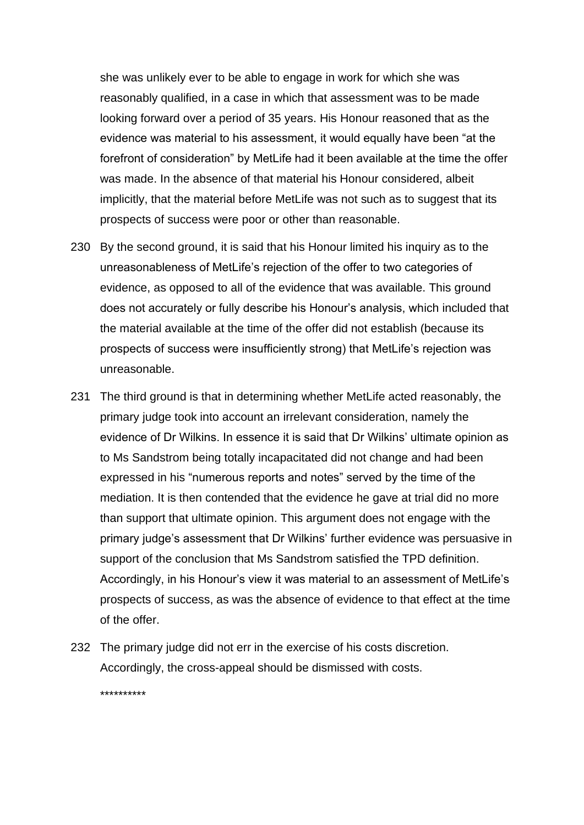she was unlikely ever to be able to engage in work for which she was reasonably qualified, in a case in which that assessment was to be made looking forward over a period of 35 years. His Honour reasoned that as the evidence was material to his assessment, it would equally have been "at the forefront of consideration" by MetLife had it been available at the time the offer was made. In the absence of that material his Honour considered, albeit implicitly, that the material before MetLife was not such as to suggest that its prospects of success were poor or other than reasonable.

- 230 By the second ground, it is said that his Honour limited his inquiry as to the unreasonableness of MetLife's rejection of the offer to two categories of evidence, as opposed to all of the evidence that was available. This ground does not accurately or fully describe his Honour's analysis, which included that the material available at the time of the offer did not establish (because its prospects of success were insufficiently strong) that MetLife's rejection was unreasonable.
- 231 The third ground is that in determining whether MetLife acted reasonably, the primary judge took into account an irrelevant consideration, namely the evidence of Dr Wilkins. In essence it is said that Dr Wilkins' ultimate opinion as to Ms Sandstrom being totally incapacitated did not change and had been expressed in his "numerous reports and notes" served by the time of the mediation. It is then contended that the evidence he gave at trial did no more than support that ultimate opinion. This argument does not engage with the primary judge's assessment that Dr Wilkins' further evidence was persuasive in support of the conclusion that Ms Sandstrom satisfied the TPD definition. Accordingly, in his Honour's view it was material to an assessment of MetLife's prospects of success, as was the absence of evidence to that effect at the time of the offer.
- 232 The primary judge did not err in the exercise of his costs discretion. Accordingly, the cross-appeal should be dismissed with costs.

\*\*\*\*\*\*\*\*\*\*